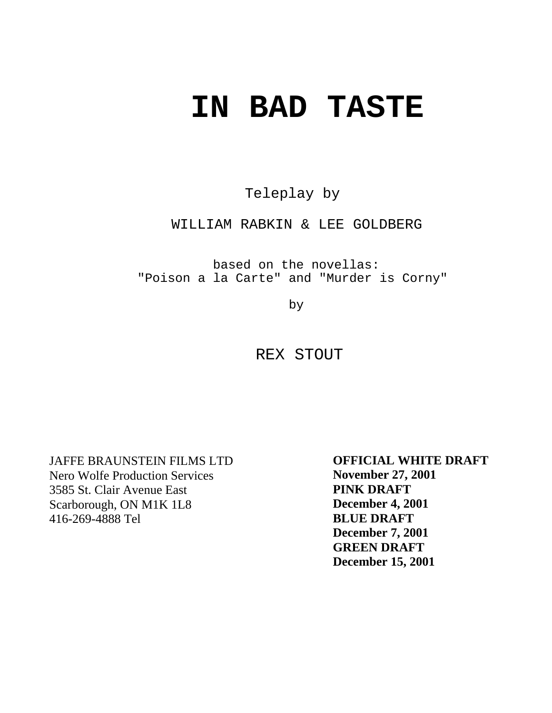# **IN BAD TASTE**

Teleplay by

WILLIAM RABKIN & LEE GOLDBERG

based on the novellas: "Poison a la Carte" and "Murder is Corny"

by

REX STOUT

JAFFE BRAUNSTEIN FILMS LTD Nero Wolfe Production Services 3585 St. Clair Avenue East Scarborough, ON M1K 1L8 416-269-4888 Tel

**OFFICIAL WHITE DRAFT November 27, 2001 PINK DRAFT December 4, 2001 BLUE DRAFT December 7, 2001 GREEN DRAFT December 15, 2001**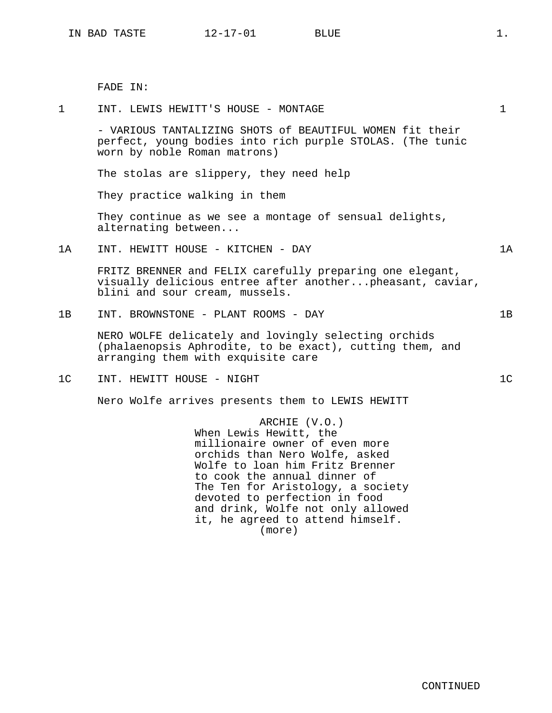FADE IN:

The stolas are slippery, they need help

worn by noble Roman matrons)

1 INT. LEWIS HEWITT'S HOUSE - MONTAGE 1

- VARIOUS TANTALIZING SHOTS of BEAUTIFUL WOMEN fit their perfect, young bodies into rich purple STOLAS. (The tunic

They practice walking in them They continue as we see a montage of sensual delights, alternating between... 1A INT. HEWITT HOUSE - KITCHEN - DAY 1A FRITZ BRENNER and FELIX carefully preparing one elegant, visually delicious entree after another...pheasant, caviar, blini and sour cream, mussels. 1B INT. BROWNSTONE - PLANT ROOMS - DAY 1B NERO WOLFE delicately and lovingly selecting orchids (phalaenopsis Aphrodite, to be exact), cutting them, and arranging them with exquisite care 1C INT. HEWITT HOUSE - NIGHT 1C Nero Wolfe arrives presents them to LEWIS HEWITT ARCHIE (V.O.) When Lewis Hewitt, the millionaire owner of even more orchids than Nero Wolfe, asked Wolfe to loan him Fritz Brenner to cook the annual dinner of The Ten for Aristology, a society devoted to perfection in food and drink, Wolfe not only allowed it, he agreed to attend himself. (more)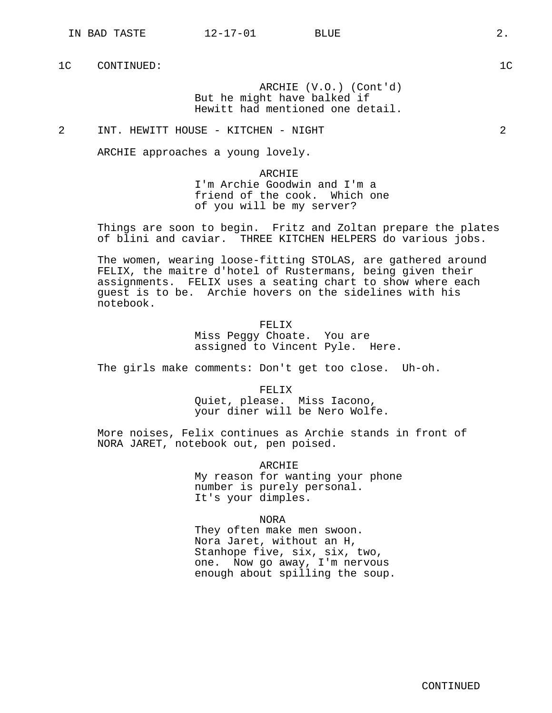1C CONTINUED: 1C

ARCHIE (V.O.) (Cont'd) But he might have balked if Hewitt had mentioned one detail.

2 INT. HEWITT HOUSE - KITCHEN - NIGHT 2

ARCHIE approaches a young lovely.

ARCHIE I'm Archie Goodwin and I'm a friend of the cook. Which one of you will be my server?

Things are soon to begin. Fritz and Zoltan prepare the plates of blini and caviar. THREE KITCHEN HELPERS do various jobs.

The women, wearing loose-fitting STOLAS, are gathered around FELIX, the maitre d'hotel of Rustermans, being given their assignments. FELIX uses a seating chart to show where each guest is to be. Archie hovers on the sidelines with his notebook.

> FELIX Miss Peggy Choate. You are assigned to Vincent Pyle. Here.

The girls make comments: Don't get too close. Uh-oh.

FELIX Quiet, please. Miss Iacono, your diner will be Nero Wolfe.

More noises, Felix continues as Archie stands in front of NORA JARET, notebook out, pen poised.

> ARCHIE My reason for wanting your phone number is purely personal. It's your dimples.

> > NORA

They often make men swoon. Nora Jaret, without an H, Stanhope five, six, six, two, one. Now go away, I'm nervous enough about spilling the soup.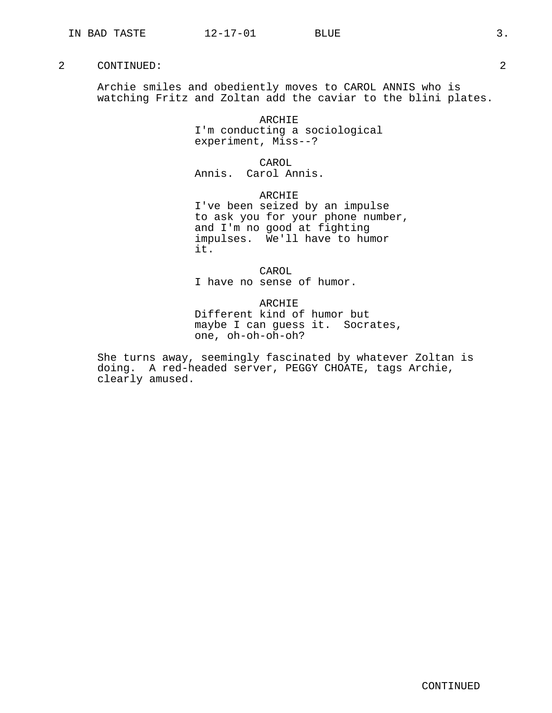Archie smiles and obediently moves to CAROL ANNIS who is watching Fritz and Zoltan add the caviar to the blini plates.

> ARCHIE I'm conducting a sociological experiment, Miss--?

> > CAROL

Annis. Carol Annis.

ARCHIE

I've been seized by an impulse to ask you for your phone number, and I'm no good at fighting impulses. We'll have to humor it.

CAROL I have no sense of humor.

ARCHIE Different kind of humor but maybe I can guess it. Socrates, one, oh-oh-oh-oh?

She turns away, seemingly fascinated by whatever Zoltan is doing. A red-headed server, PEGGY CHOATE, tags Archie, clearly amused.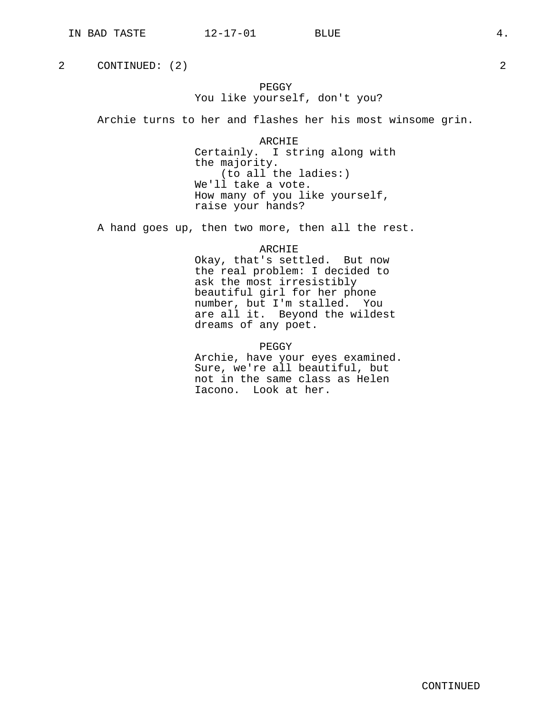# PEGGY You like yourself, don't you?

Archie turns to her and flashes her his most winsome grin.

ARCHIE Certainly. I string along with the majority. (to all the ladies:) We'll take a vote. How many of you like yourself, raise your hands?

A hand goes up, then two more, then all the rest.

ARCHIE

Okay, that's settled. But now the real problem: I decided to ask the most irresistibly beautiful girl for her phone number, but I'm stalled. You are all it. Beyond the wildest dreams of any poet.

PEGGY

Archie, have your eyes examined. Sure, we're all beautiful, but not in the same class as Helen Iacono. Look at her.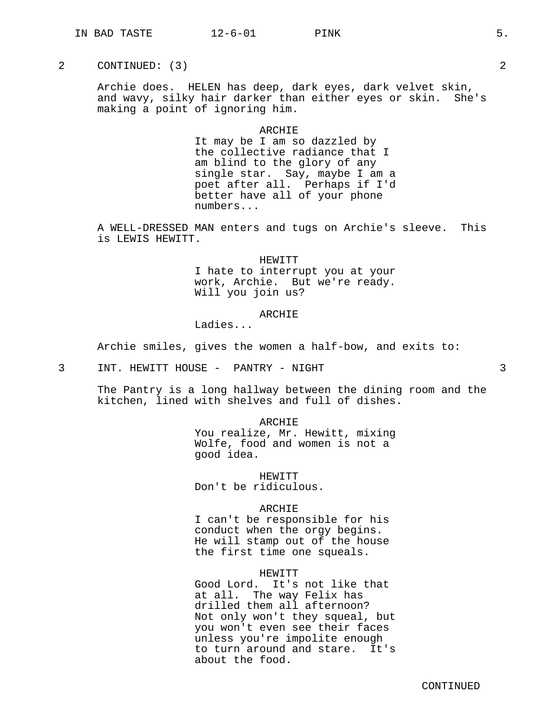Archie does. HELEN has deep, dark eyes, dark velvet skin, and wavy, silky hair darker than either eyes or skin. She's making a point of ignoring him.

#### ARCHIE

It may be I am so dazzled by the collective radiance that I am blind to the glory of any single star. Say, maybe I am a poet after all. Perhaps if I'd better have all of your phone numbers...

A WELL-DRESSED MAN enters and tugs on Archie's sleeve. This is LEWIS HEWITT.

HEWITT

I hate to interrupt you at your work, Archie. But we're ready. Will you join us?

# ARCHIE

Ladies...

Archie smiles, gives the women a half-bow, and exits to:

3 INT. HEWITT HOUSE - PANTRY - NIGHT 3

The Pantry is a long hallway between the dining room and the kitchen, lined with shelves and full of dishes.

ARCHIE

You realize, Mr. Hewitt, mixing Wolfe, food and women is not a good idea.

HEWITT Don't be ridiculous.

#### ARCHIE

I can't be responsible for his conduct when the orgy begins. He will stamp out of the house the first time one squeals.

## HEWITT

Good Lord. It's not like that at all. The way Felix has drilled them all afternoon? Not only won't they squeal, but you won't even see their faces unless you're impolite enough to turn around and stare. It's about the food.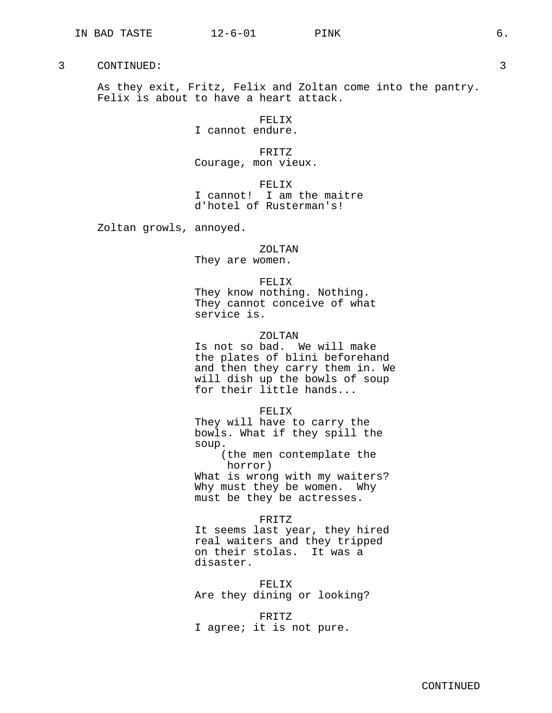As they exit, Fritz, Felix and Zoltan come into the pantry. Felix is about to have a heart attack.

> FELIX I cannot endure.

FRITZ Courage, mon vieux.

FELIX I cannot! I am the maitre d'hotel of Rusterman's!

Zoltan growls, annoyed.

ZOLTAN

They are women.

FELIX

They know nothing. Nothing. They cannot conceive of what service is.

## ZOLTAN

Is not so bad. We will make the plates of blini beforehand and then they carry them in. We will dish up the bowls of soup for their little hands...

FELIX

They will have to carry the bowls. What if they spill the soup.

(the men contemplate the horror)

What is wrong with my waiters? Why must they be women. Why must be they be actresses.

## FRITZ

It seems last year, they hired real waiters and they tripped on their stolas. It was a disaster.

FELIX

Are they dining or looking?

FRITZ

I agree; it is not pure.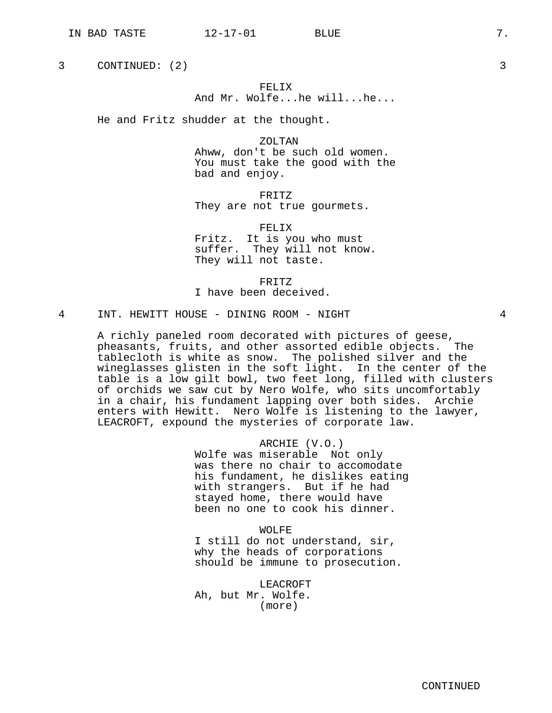# FELIX And Mr. Wolfe...he will...he...

He and Fritz shudder at the thought.

ZOLTAN Ahww, don't be such old women. You must take the good with the bad and enjoy.

FRITZ They are not true gourmets.

FELIX Fritz. It is you who must suffer. They will not know. They will not taste.

FRITZ I have been deceived.

4 INT. HEWITT HOUSE - DINING ROOM - NIGHT 4

A richly paneled room decorated with pictures of geese, pheasants, fruits, and other assorted edible objects. The tablecloth is white as snow. The polished silver and the wineglasses glisten in the soft light. In the center of the table is a low gilt bowl, two feet long, filled with clusters of orchids we saw cut by Nero Wolfe, who sits uncomfortably in a chair, his fundament lapping over both sides. Archie enters with Hewitt. Nero Wolfe is listening to the lawyer, LEACROFT, expound the mysteries of corporate law.

> ARCHIE (V.O.) Wolfe was miserable Not only was there no chair to accomodate his fundament, he dislikes eating with strangers. But if he had stayed home, there would have been no one to cook his dinner.

WOLFE I still do not understand, sir, why the heads of corporations should be immune to prosecution.

LEACROFT Ah, but Mr. Wolfe. (more)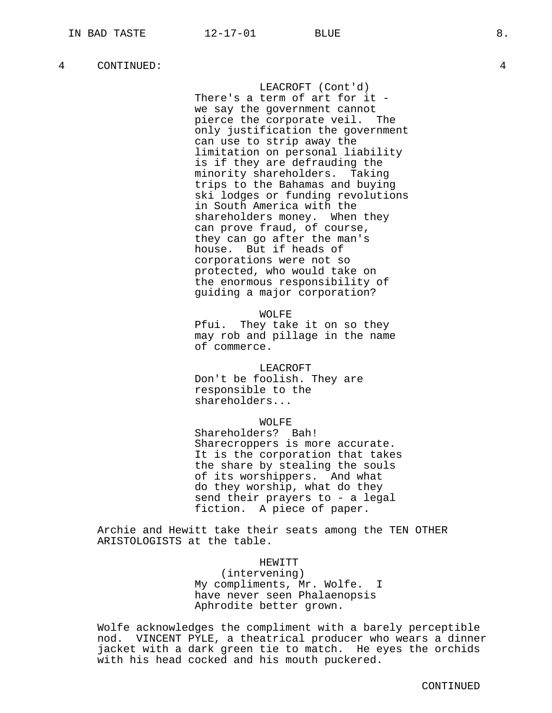LEACROFT (Cont'd)

There's a term of art for it we say the government cannot pierce the corporate veil. The only justification the government can use to strip away the limitation on personal liability is if they are defrauding the minority shareholders. Taking trips to the Bahamas and buying ski lodges or funding revolutions in South America with the shareholders money. When they can prove fraud, of course, they can go after the man's house. But if heads of corporations were not so protected, who would take on the enormous responsibility of guiding a major corporation?

#### WOLFE

Pfui. They take it on so they may rob and pillage in the name of commerce.

#### LEACROFT

Don't be foolish. They are responsible to the shareholders...

#### WOLFE

Shareholders? Bah! Sharecroppers is more accurate. It is the corporation that takes the share by stealing the souls of its worshippers. And what do they worship, what do they send their prayers to - a legal fiction. A piece of paper.

Archie and Hewitt take their seats among the TEN OTHER ARISTOLOGISTS at the table.

## HEWITT

(intervening) My compliments, Mr. Wolfe. I have never seen Phalaenopsis Aphrodite better grown.

Wolfe acknowledges the compliment with a barely perceptible nod. VINCENT PYLE, a theatrical producer who wears a dinner jacket with a dark green tie to match. He eyes the orchids with his head cocked and his mouth puckered.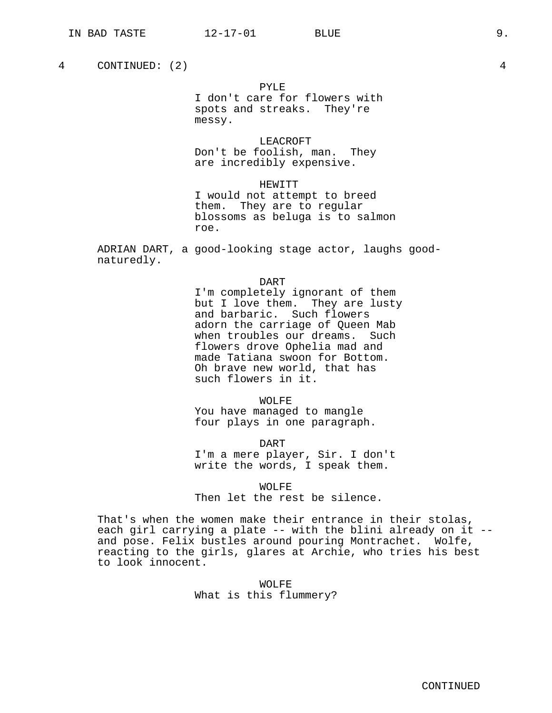messy.

roe.

PYLE

I don't care for flowers with spots and streaks. They're

LEACROFT Don't be foolish, man. They are incredibly expensive.

HEWITT I would not attempt to breed them. They are to regular

blossoms as beluga is to salmon

4 CONTINUED: (2) 4

ADRIAN DART, a good-looking stage actor, laughs goodnaturedly. DART I'm completely ignorant of them but I love them. They are lusty and barbaric. Such flowers adorn the carriage of Queen Mab

when troubles our dreams. Such flowers drove Ophelia mad and made Tatiana swoon for Bottom. Oh brave new world, that has such flowers in it.

WOLFE You have managed to mangle four plays in one paragraph.

DART I'm a mere player, Sir. I don't write the words, I speak them.

WOLFE Then let the rest be silence.

That's when the women make their entrance in their stolas, each girl carrying a plate -- with the blini already on it -and pose. Felix bustles around pouring Montrachet. Wolfe, reacting to the girls, glares at Archie, who tries his best to look innocent.

> WOLFE What is this flummery?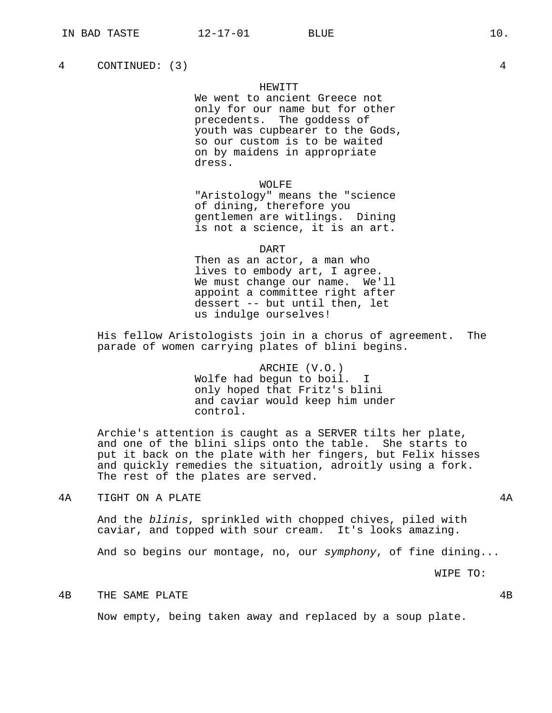## HEWITT

We went to ancient Greece not only for our name but for other precedents. The goddess of youth was cupbearer to the Gods, so our custom is to be waited on by maidens in appropriate dress.

WOLFE

"Aristology" means the "science of dining, therefore you gentlemen are witlings. Dining is not a science, it is an art.

#### DART

Then as an actor, a man who lives to embody art, I agree. We must change our name. We'll appoint a committee right after dessert -- but until then, let us indulge ourselves!

His fellow Aristologists join in a chorus of agreement. The parade of women carrying plates of blini begins.

> ARCHIE (V.O.) Wolfe had begun to boil. I only hoped that Fritz's blini and caviar would keep him under control.

Archie's attention is caught as a SERVER tilts her plate, and one of the blini slips onto the table. She starts to put it back on the plate with her fingers, but Felix hisses and quickly remedies the situation, adroitly using a fork. The rest of the plates are served.

 $4A$  TIGHT ON A PLATE  $4A$ 

And the blinis, sprinkled with chopped chives, piled with caviar, and topped with sour cream. It's looks amazing.

And so begins our montage, no, our symphony, of fine dining...

WIPE TO:

4B THE SAME PLATE 4B

Now empty, being taken away and replaced by a soup plate.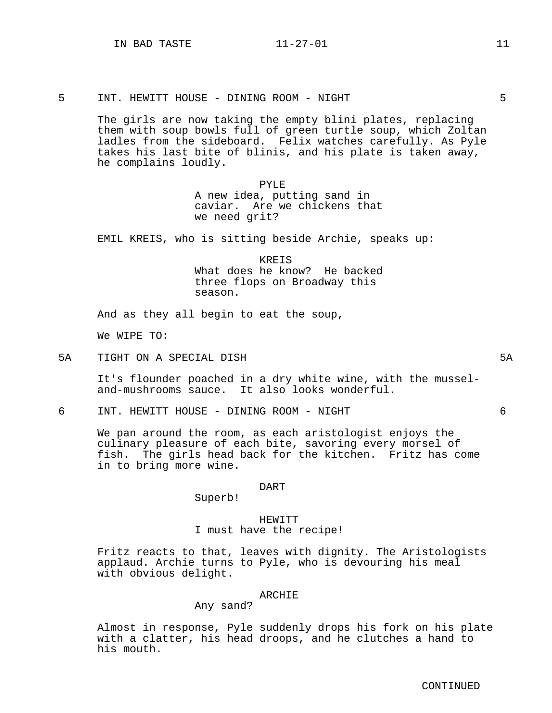5 INT. HEWITT HOUSE - DINING ROOM - NIGHT 5

The girls are now taking the empty blini plates, replacing them with soup bowls full of green turtle soup, which Zoltan ladles from the sideboard. Felix watches carefully. As Pyle takes his last bite of blinis, and his plate is taken away, he complains loudly.

> PYLE A new idea, putting sand in caviar. Are we chickens that we need grit?

EMIL KREIS, who is sitting beside Archie, speaks up:

**KREIS** What does he know? He backed three flops on Broadway this season.

And as they all begin to eat the soup,

We WIPE TO:

5A TIGHT ON A SPECIAL DISH 5A

It's flounder poached in a dry white wine, with the musseland-mushrooms sauce. It also looks wonderful.

6 INT. HEWITT HOUSE - DINING ROOM - NIGHT 6

We pan around the room, as each aristologist enjoys the culinary pleasure of each bite, savoring every morsel of fish. The girls head back for the kitchen. Fritz has come in to bring more wine.

#### DART

Superb!

# HEWITT I must have the recipe!

Fritz reacts to that, leaves with dignity. The Aristologists applaud. Archie turns to Pyle, who is devouring his meal with obvious delight.

# ARCHIE

## Any sand?

Almost in response, Pyle suddenly drops his fork on his plate with a clatter, his head droops, and he clutches a hand to his mouth.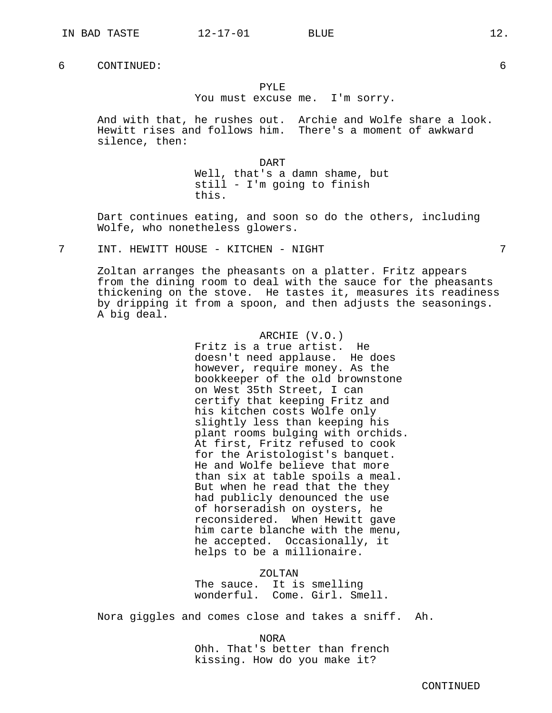# PYLE

You must excuse me. I'm sorry.

And with that, he rushes out. Archie and Wolfe share a look. Hewitt rises and follows him. There's a moment of awkward silence, then:

DART

Well, that's a damn shame, but still - I'm going to finish this.

Dart continues eating, and soon so do the others, including Wolfe, who nonetheless glowers.

7 INT. HEWITT HOUSE - KITCHEN - NIGHT 7

Zoltan arranges the pheasants on a platter. Fritz appears from the dining room to deal with the sauce for the pheasants thickening on the stove. He tastes it, measures its readiness by dripping it from a spoon, and then adjusts the seasonings. A big deal.

> ARCHIE (V.O.) Fritz is a true artist. He doesn't need applause. He does however, require money. As the bookkeeper of the old brownstone on West 35th Street, I can certify that keeping Fritz and his kitchen costs Wolfe only slightly less than keeping his plant rooms bulging with orchids. At first, Fritz refused to cook for the Aristologist's banquet. He and Wolfe believe that more than six at table spoils a meal. But when he read that the they had publicly denounced the use of horseradish on oysters, he reconsidered. When Hewitt gave him carte blanche with the menu, he accepted. Occasionally, it helps to be a millionaire.

> > ZOLTAN

The sauce. It is smelling wonderful. Come. Girl. Smell.

Nora giggles and comes close and takes a sniff. Ah.

NORA Ohh. That's better than french kissing. How do you make it?

CONTINUED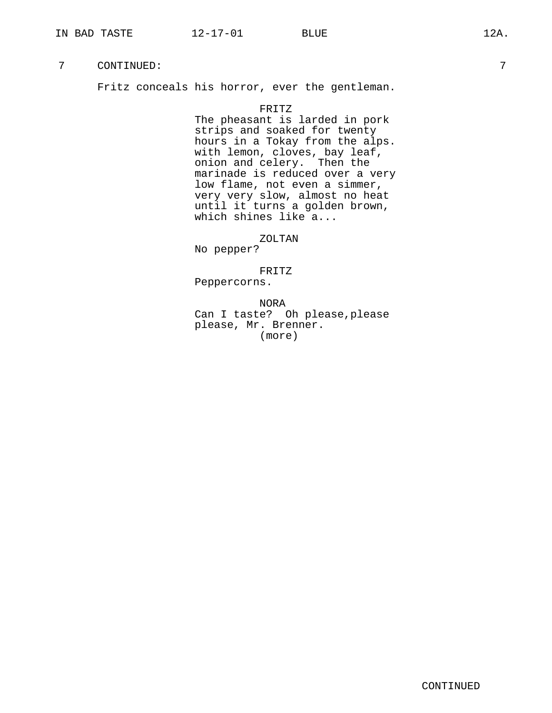Fritz conceals his horror, ever the gentleman.

## FRITZ

The pheasant is larded in pork strips and soaked for twenty hours in a Tokay from the alps. with lemon, cloves, bay leaf, onion and celery. Then the marinade is reduced over a very low flame, not even a simmer, very very slow, almost no heat until it turns a golden brown, which shines like a...

ZOLTAN

No pepper?

FRITZ

Peppercorns.

NORA Can I taste? Oh please,please please, Mr. Brenner. (more)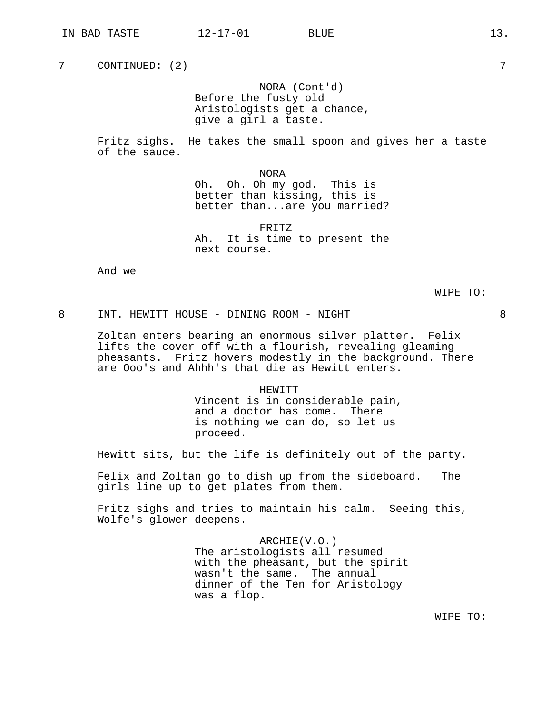NORA (Cont'd) Before the fusty old Aristologists get a chance, give a girl a taste.

Fritz sighs. He takes the small spoon and gives her a taste of the sauce.

NORA

Oh. Oh. Oh my god. This is better than kissing, this is better than...are you married?

FRITZ Ah. It is time to present the next course.

And we

WIPE TO:

## 8 INT. HEWITT HOUSE - DINING ROOM - NIGHT 8

Zoltan enters bearing an enormous silver platter. Felix lifts the cover off with a flourish, revealing gleaming pheasants. Fritz hovers modestly in the background. There are Ooo's and Ahhh's that die as Hewitt enters.

> HEWITT Vincent is in considerable pain, and a doctor has come. There is nothing we can do, so let us proceed.

Hewitt sits, but the life is definitely out of the party.

Felix and Zoltan go to dish up from the sideboard. The girls line up to get plates from them.

Fritz sighs and tries to maintain his calm. Seeing this, Wolfe's glower deepens.

> ARCHIE(V.O.) The aristologists all resumed with the pheasant, but the spirit wasn't the same. The annual dinner of the Ten for Aristology was a flop.

> > WIPE TO: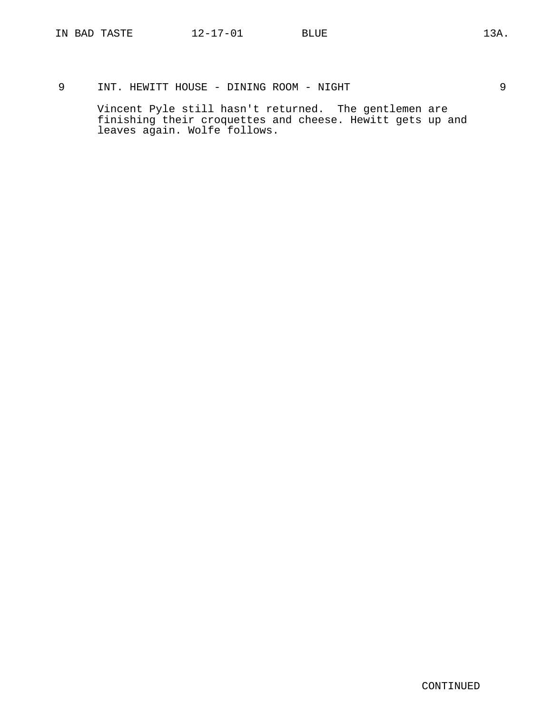9 INT. HEWITT HOUSE - DINING ROOM - NIGHT 9

Vincent Pyle still hasn't returned. The gentlemen are finishing their croquettes and cheese. Hewitt gets up and leaves again. Wolfe follows.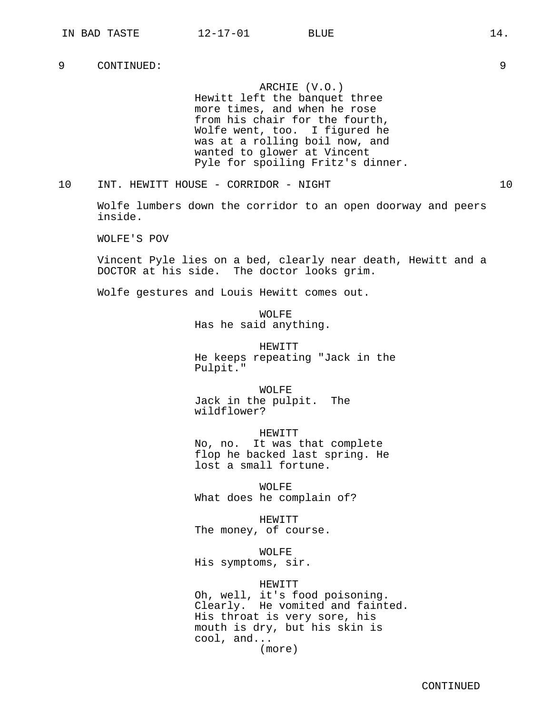ARCHIE (V.O.) Hewitt left the banquet three more times, and when he rose from his chair for the fourth, Wolfe went, too. I figured he was at a rolling boil now, and wanted to glower at Vincent Pyle for spoiling Fritz's dinner.

10 INT. HEWITT HOUSE - CORRIDOR - NIGHT 10

Wolfe lumbers down the corridor to an open doorway and peers inside.

WOLFE'S POV

Vincent Pyle lies on a bed, clearly near death, Hewitt and a DOCTOR at his side. The doctor looks grim.

Wolfe gestures and Louis Hewitt comes out.

WOLFF. Has he said anything.

HEWITT He keeps repeating "Jack in the Pulpit."

WOLFE Jack in the pulpit. The wildflower?

HEWITT No, no. It was that complete flop he backed last spring. He lost a small fortune.

WOLFE What does he complain of?

HEWITT The money, of course.

WOLFE His symptoms, sir.

HEWITT Oh, well, it's food poisoning. Clearly. He vomited and fainted. His throat is very sore, his mouth is dry, but his skin is cool, and... (more)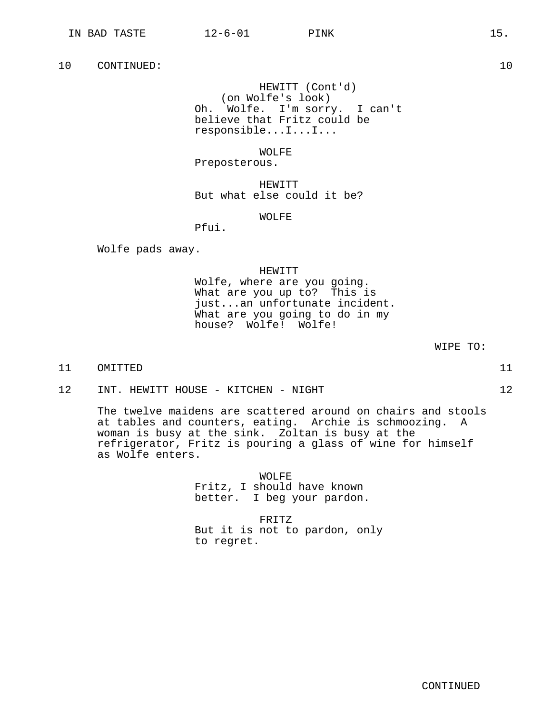HEWITT (Cont'd) (on Wolfe's look) Oh. Wolfe. I'm sorry. I can't believe that Fritz could be responsible...I...I...

WOLFE

Preposterous.

HEWITT But what else could it be?

WOLFE

Pfui.

Wolfe pads away.

HEWITT

Wolfe, where are you going. What are you up to? This is just...an unfortunate incident. What are you going to do in my house? Wolfe! Wolfe!

WIPE TO:

11 OMITTED 11

12 INT. HEWITT HOUSE - KITCHEN - NIGHT 12

The twelve maidens are scattered around on chairs and stools at tables and counters, eating. Archie is schmoozing. A woman is busy at the sink. Zoltan is busy at the refrigerator, Fritz is pouring a glass of wine for himself as Wolfe enters.

> WOLFE Fritz, I should have known better. I beg your pardon.

FRITZ But it is not to pardon, only to regret.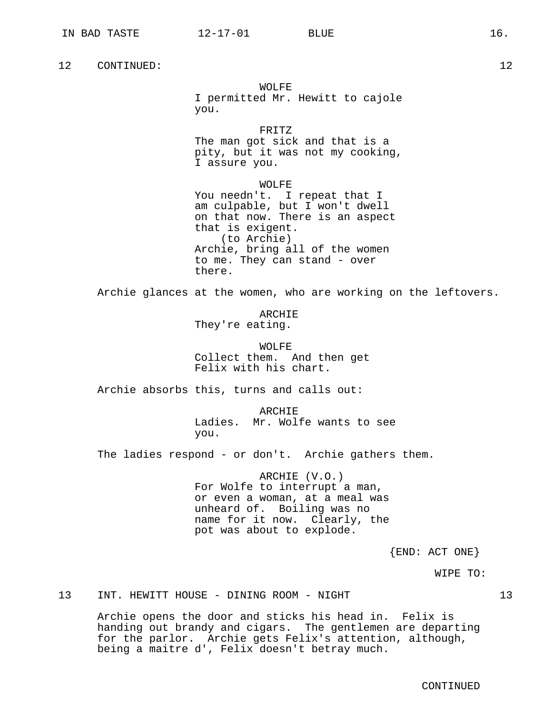WOLFE

I permitted Mr. Hewitt to cajole you.

FRITZ The man got sick and that is a pity, but it was not my cooking, I assure you.

WOLFE You needn't. I repeat that I am culpable, but I won't dwell on that now. There is an aspect that is exigent. (to Archie) Archie, bring all of the women to me. They can stand - over there.

Archie glances at the women, who are working on the leftovers.

ARCHIE They're eating.

WOLFE Collect them. And then get Felix with his chart.

Archie absorbs this, turns and calls out:

ARCHIE Ladies. Mr. Wolfe wants to see you.

The ladies respond - or don't. Archie gathers them.

ARCHIE (V.O.) For Wolfe to interrupt a man, or even a woman, at a meal was unheard of. Boiling was no name for it now. Clearly, the pot was about to explode.

{END: ACT ONE}

WIPE TO:

13 INT. HEWITT HOUSE - DINING ROOM - NIGHT 13

Archie opens the door and sticks his head in. Felix is handing out brandy and cigars. The gentlemen are departing for the parlor. Archie gets Felix's attention, although, being a maitre d', Felix doesn't betray much.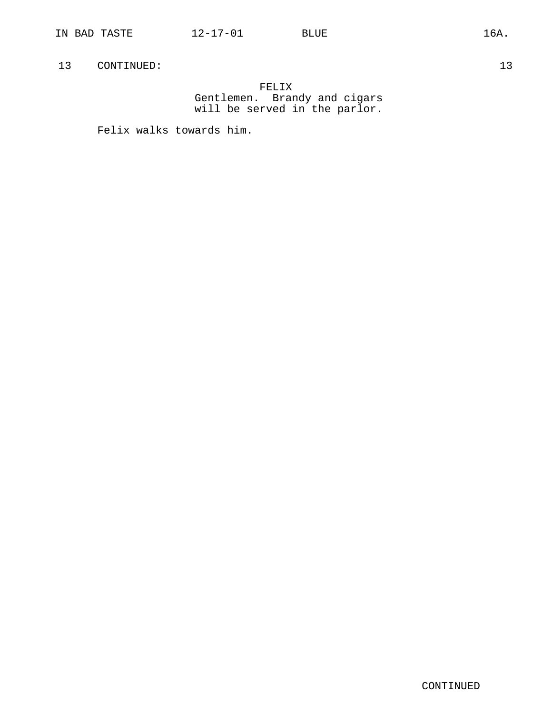FELIX Gentlemen. Brandy and cigars will be served in the parlor.

Felix walks towards him.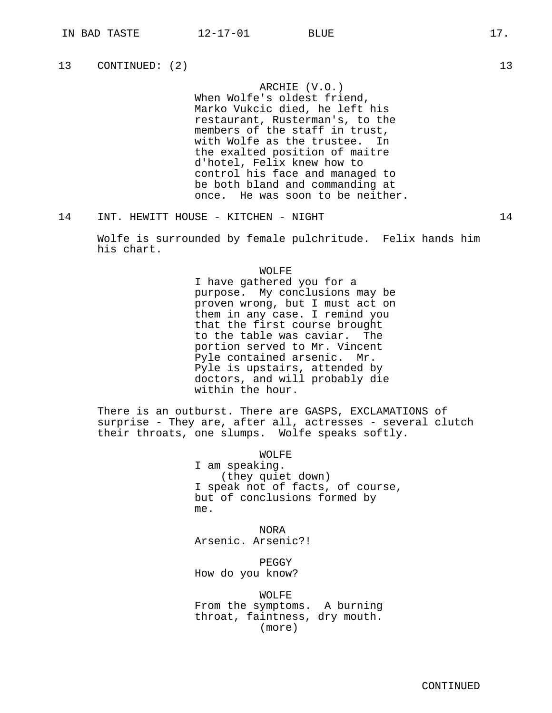ARCHIE (V.O.)

When Wolfe's oldest friend, Marko Vukcic died, he left his restaurant, Rusterman's, to the members of the staff in trust, with Wolfe as the trustee. In the exalted position of maitre d'hotel, Felix knew how to control his face and managed to be both bland and commanding at once. He was soon to be neither.

14 INT. HEWITT HOUSE - KITCHEN - NIGHT 14

Wolfe is surrounded by female pulchritude. Felix hands him his chart.

## WOLFE

I have gathered you for a purpose. My conclusions may be proven wrong, but I must act on them in any case. I remind you that the first course brought<br>to the table was caviar. The to the table was caviar. portion served to Mr. Vincent Pyle contained arsenic. Mr. Pyle is upstairs, attended by doctors, and will probably die within the hour.

There is an outburst. There are GASPS, EXCLAMATIONS of surprise - They are, after all, actresses - several clutch their throats, one slumps. Wolfe speaks softly.

WOLFE

I am speaking. (they quiet down) I speak not of facts, of course, but of conclusions formed by me.

NORA Arsenic. Arsenic?!

PEGGY How do you know?

WOLFE From the symptoms. A burning throat, faintness, dry mouth. (more)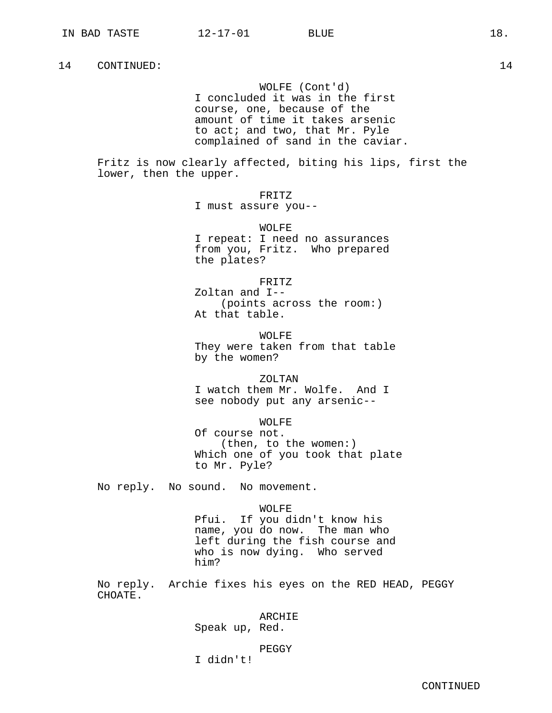WOLFE (Cont'd) I concluded it was in the first course, one, because of the amount of time it takes arsenic to act; and two, that Mr. Pyle complained of sand in the caviar.

Fritz is now clearly affected, biting his lips, first the lower, then the upper.

> FRITZ I must assure you--

WOLFE I repeat: I need no assurances from you, Fritz. Who prepared the plates?

FRITZ Zoltan and I-- (points across the room:) At that table.

WOLFF. They were taken from that table by the women?

ZOLTAN I watch them Mr. Wolfe. And I see nobody put any arsenic--

WOLFE Of course not. (then, to the women:) Which one of you took that plate to Mr. Pyle?

No reply. No sound. No movement.

## WOLFE

Pfui. If you didn't know his name, you do now. The man who left during the fish course and who is now dying. Who served him?

No reply. Archie fixes his eyes on the RED HEAD, PEGGY CHOATE.

## ARCHIE

Speak up, Red.

# PEGGY

I didn't!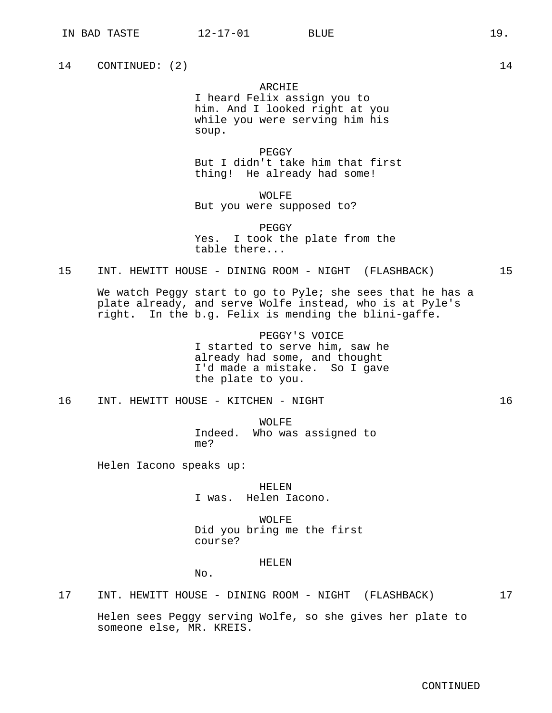#### ARCHIE

I heard Felix assign you to him. And I looked right at you while you were serving him his soup.

PEGGY But I didn't take him that first thing! He already had some!

WOLFF. But you were supposed to?

PEGGY Yes. I took the plate from the table there...

#### 15 INT. HEWITT HOUSE - DINING ROOM - NIGHT (FLASHBACK) 15

We watch Peggy start to go to Pyle; she sees that he has a plate already, and serve Wolfe instead, who is at Pyle's right. In the b.g. Felix is mending the blini-gaffe.

> PEGGY'S VOICE I started to serve him, saw he already had some, and thought I'd made a mistake. So I gave the plate to you.

16 INT. HEWITT HOUSE - KITCHEN - NIGHT 16

WOLFE Indeed. Who was assigned to me?

Helen Iacono speaks up:

HELEN I was. Helen Iacono.

WOLFE Did you bring me the first course?

#### HELEN

No.

17 INT. HEWITT HOUSE - DINING ROOM - NIGHT (FLASHBACK) 17

Helen sees Peggy serving Wolfe, so she gives her plate to someone else, MR. KREIS.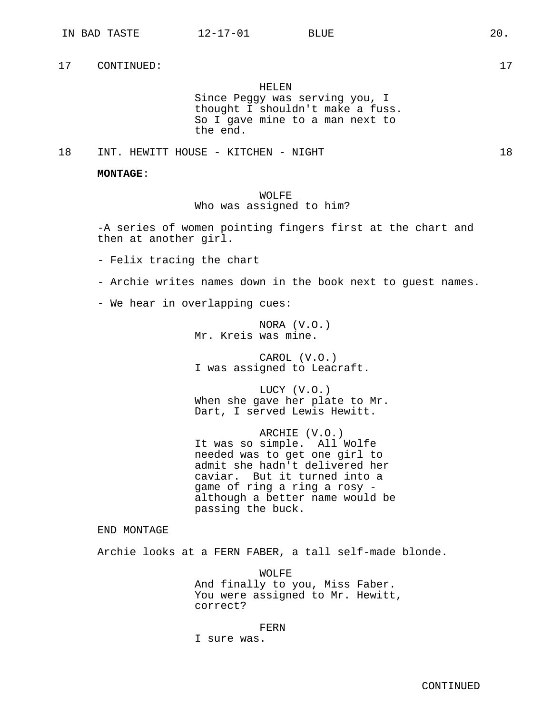HELEN

Since Peggy was serving you, I thought I shouldn't make a fuss. So I gave mine to a man next to the end.

18 INT. HEWITT HOUSE - KITCHEN - NIGHT 18

**MONTAGE**:

WOLFF. Who was assigned to him?

-A series of women pointing fingers first at the chart and then at another girl.

- Felix tracing the chart

- Archie writes names down in the book next to guest names.

- We hear in overlapping cues:

NORA (V.O.) Mr. Kreis was mine.

CAROL (V.O.) I was assigned to Leacraft.

LUCY (V.O.) When she gave her plate to Mr. Dart, I served Lewis Hewitt.

ARCHIE (V.O.) It was so simple. All Wolfe needed was to get one girl to admit she hadn't delivered her caviar. But it turned into a game of ring a ring a rosy although a better name would be passing the buck.

END MONTAGE

Archie looks at a FERN FABER, a tall self-made blonde.

WOLFE And finally to you, Miss Faber. You were assigned to Mr. Hewitt, correct?

FERN

I sure was.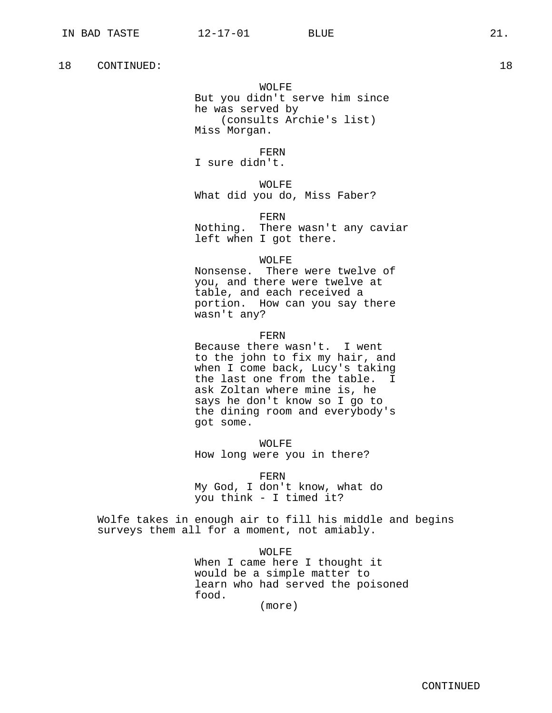WOLFE But you didn't serve him since he was served by (consults Archie's list) Miss Morgan.

FERN

I sure didn't.

WOLFE What did you do, Miss Faber?

FERN

Nothing. There wasn't any caviar left when I got there.

## WOLFE

Nonsense. There were twelve of you, and there were twelve at table, and each received a portion. How can you say there wasn't any?

FERN

Because there wasn't. I went to the john to fix my hair, and when I come back, Lucy's taking the last one from the table. I ask Zoltan where mine is, he says he don't know so I go to the dining room and everybody's got some.

WOLFE How long were you in there?

FERN My God, I don't know, what do you think - I timed it?

Wolfe takes in enough air to fill his middle and begins surveys them all for a moment, not amiably.

> WOLFF. When I came here I thought it would be a simple matter to learn who had served the poisoned food.

(more)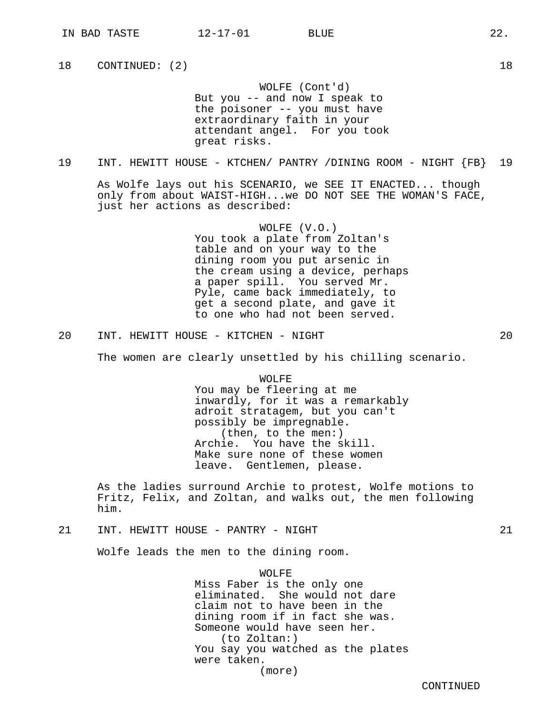WOLFE (Cont'd) But you -- and now I speak to the poisoner -- you must have extraordinary faith in your attendant angel. For you took great risks.

# 19 INT. HEWITT HOUSE - KTCHEN/ PANTRY /DINING ROOM - NIGHT {FB} 19

As Wolfe lays out his SCENARIO, we SEE IT ENACTED... though only from about WAIST-HIGH...we DO NOT SEE THE WOMAN'S FACE, just her actions as described:

> WOLFE (V.O.) You took a plate from Zoltan's table and on your way to the dining room you put arsenic in the cream using a device, perhaps a paper spill. You served Mr. Pyle, came back immediately, to get a second plate, and gave it to one who had not been served.

20 INT. HEWITT HOUSE - KITCHEN - NIGHT 20

The women are clearly unsettled by his chilling scenario.

WOLFE You may be fleering at me inwardly, for it was a remarkably adroit stratagem, but you can't possibly be impregnable. (then, to the men:) Archie. You have the skill. Make sure none of these women leave. Gentlemen, please.

As the ladies surround Archie to protest, Wolfe motions to Fritz, Felix, and Zoltan, and walks out, the men following him.

# 21 INT. HEWITT HOUSE - PANTRY - NIGHT 21

Wolfe leads the men to the dining room.

WOLFF. Miss Faber is the only one eliminated. She would not dare claim not to have been in the dining room if in fact she was. Someone would have seen her. (to Zoltan:) You say you watched as the plates were taken. (more)

CONTINUED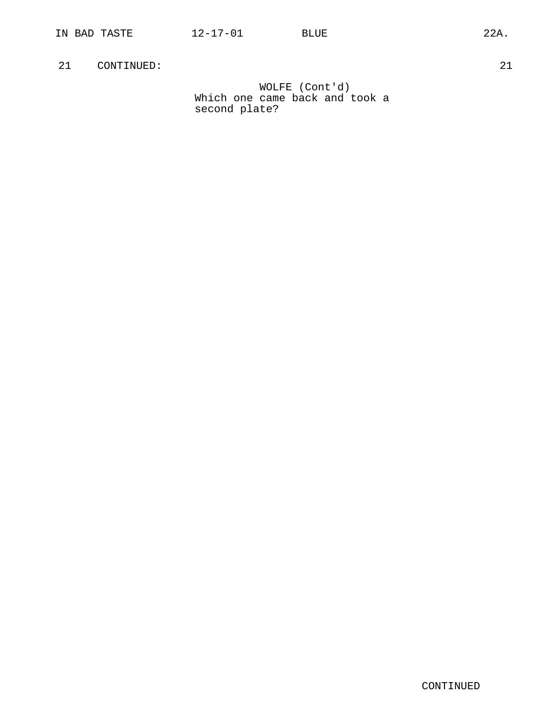WOLFE (Cont'd) Which one came back and took a second plate?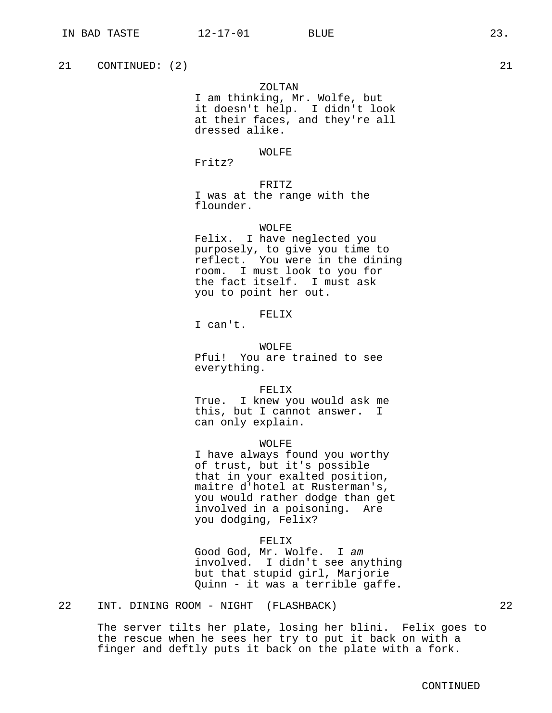## ZOLTAN

I am thinking, Mr. Wolfe, but it doesn't help. I didn't look at their faces, and they're all dressed alike.

## WOLFE

Fritz?

FRITZ I was at the range with the flounder.

## WOLFE

Felix. I have neglected you purposely, to give you time to reflect. You were in the dining room. I must look to you for the fact itself. I must ask you to point her out.

## FELIX

I can't.

WOLFE Pfui! You are trained to see everything.

FELIX True. I knew you would ask me this, but I cannot answer. I can only explain.

WOLFE

I have always found you worthy of trust, but it's possible that in your exalted position, maitre d'hotel at Rusterman's, you would rather dodge than get involved in a poisoning. Are you dodging, Felix?

## FELIX

Good God, Mr. Wolfe. I am involved. I didn't see anything but that stupid girl, Marjorie Quinn - it was a terrible gaffe.

# 22 INT. DINING ROOM - NIGHT (FLASHBACK) 22

The server tilts her plate, losing her blini. Felix goes to the rescue when he sees her try to put it back on with a finger and deftly puts it back on the plate with a fork.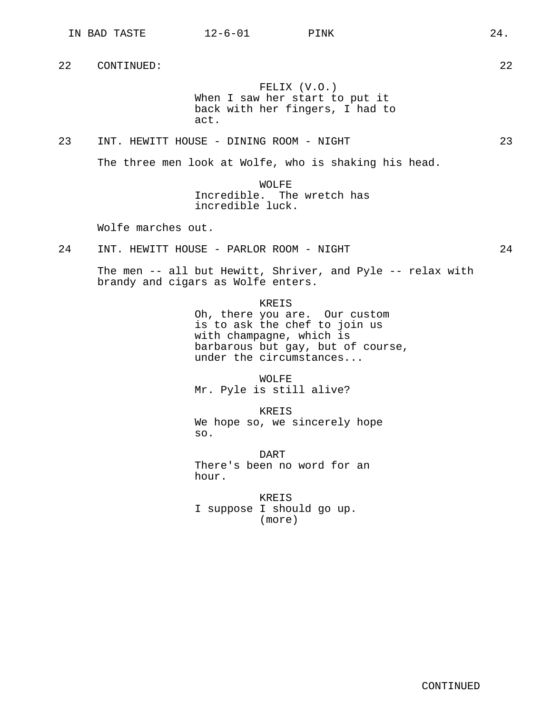FELIX (V.O.) When I saw her start to put it back with her fingers, I had to act.

23 INT. HEWITT HOUSE - DINING ROOM - NIGHT 23

The three men look at Wolfe, who is shaking his head.

WOLFE Incredible. The wretch has incredible luck.

Wolfe marches out.

24 INT. HEWITT HOUSE - PARLOR ROOM - NIGHT 24

The men -- all but Hewitt, Shriver, and Pyle -- relax with brandy and cigars as Wolfe enters.

KREIS

Oh, there you are. Our custom is to ask the chef to join us with champagne, which is barbarous but gay, but of course, under the circumstances...

WOLFE Mr. Pyle is still alive?

KREIS We hope so, we sincerely hope so.

DART There's been no word for an hour.

KREIS I suppose I should go up. (more)

CONTINUED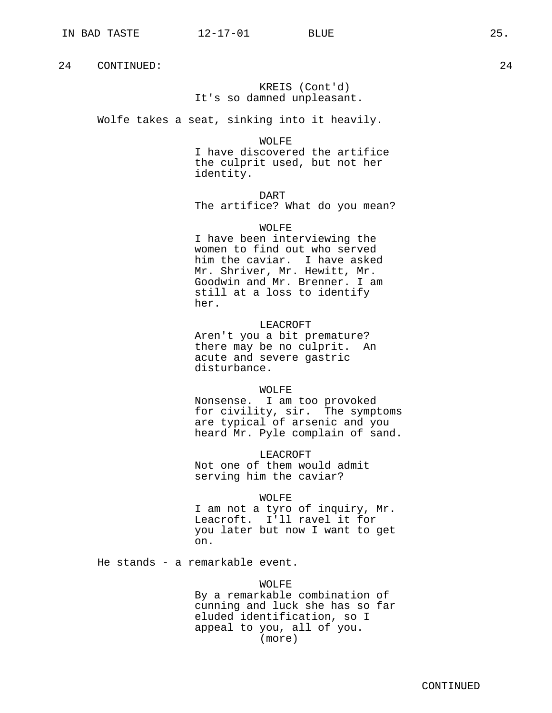KREIS (Cont'd) It's so damned unpleasant.

Wolfe takes a seat, sinking into it heavily.

WOLFE I have discovered the artifice the culprit used, but not her identity.

DART The artifice? What do you mean?

WOLFE I have been interviewing the women to find out who served him the caviar. I have asked Mr. Shriver, Mr. Hewitt, Mr. Goodwin and Mr. Brenner. I am still at a loss to identify her.

LEACROFT Aren't you a bit premature? there may be no culprit. An acute and severe gastric disturbance.

#### WOLFE

Nonsense. I am too provoked for civility, sir. The symptoms are typical of arsenic and you heard Mr. Pyle complain of sand.

LEACROFT Not one of them would admit serving him the caviar?

## WOLFE

I am not a tyro of inquiry, Mr. Leacroft. I'll ravel it for you later but now I want to get on.

He stands - a remarkable event.

# WOLFE

By a remarkable combination of cunning and luck she has so far eluded identification, so I appeal to you, all of you. (more)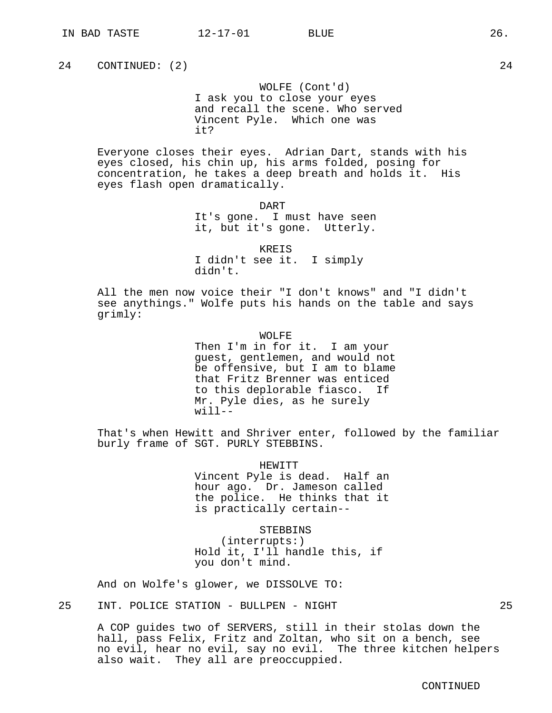WOLFE (Cont'd) I ask you to close your eyes and recall the scene. Who served Vincent Pyle. Which one was it?

Everyone closes their eyes. Adrian Dart, stands with his eyes closed, his chin up, his arms folded, posing for concentration, he takes a deep breath and holds it. His eyes flash open dramatically.

> DART It's gone. I must have seen it, but it's gone. Utterly.

> > KREIS

I didn't see it. I simply didn't.

All the men now voice their "I don't knows" and "I didn't see anythings." Wolfe puts his hands on the table and says grimly:

WOLFF.

Then I'm in for it. I am your guest, gentlemen, and would not be offensive, but I am to blame that Fritz Brenner was enticed to this deplorable fiasco. If Mr. Pyle dies, as he surely  $width--$ 

That's when Hewitt and Shriver enter, followed by the familiar burly frame of SGT. PURLY STEBBINS.

> HEWITT Vincent Pyle is dead. Half an hour ago. Dr. Jameson called the police. He thinks that it is practically certain--

**STEBBINS** (interrupts:) Hold it, I'll handle this, if you don't mind.

And on Wolfe's glower, we DISSOLVE TO:

25 INT. POLICE STATION - BULLPEN - NIGHT 25

A COP guides two of SERVERS, still in their stolas down the hall, pass Felix, Fritz and Zoltan, who sit on a bench, see no evil, hear no evil, say no evil. The three kitchen helpers also wait. They all are preoccuppied.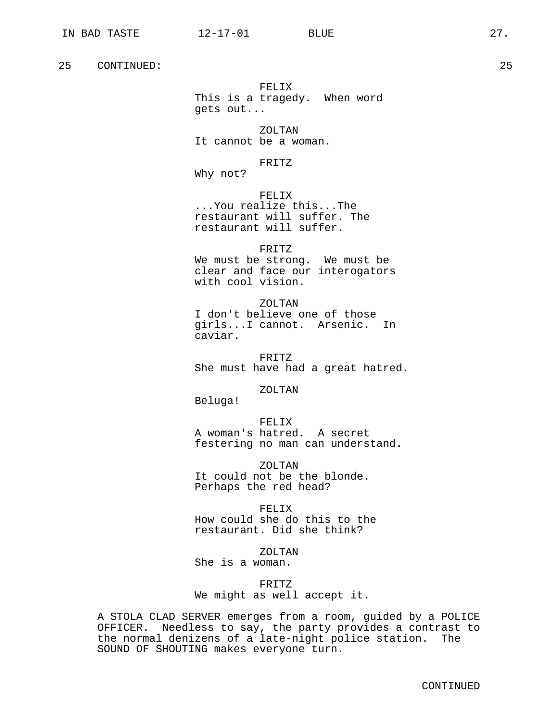FELIX This is a tragedy. When word gets out...

ZOLTAN It cannot be a woman.

FRITZ

Why not?

FELIX ...You realize this...The restaurant will suffer. The restaurant will suffer.

FRITZ We must be strong. We must be clear and face our interogators with cool vision.

ZOLTAN I don't believe one of those girls...I cannot. Arsenic. In caviar.

FRITZ She must have had a great hatred.

ZOLTAN

Beluga!

FELIX A woman's hatred. A secret festering no man can understand.

ZOLTAN It could not be the blonde. Perhaps the red head?

FELIX How could she do this to the restaurant. Did she think?

ZOLTAN

She is a woman.

FRITZ We might as well accept it.

A STOLA CLAD SERVER emerges from a room, guided by a POLICE OFFICER. Needless to say, the party provides a contrast to the normal denizens of a late-night police station. The SOUND OF SHOUTING makes everyone turn.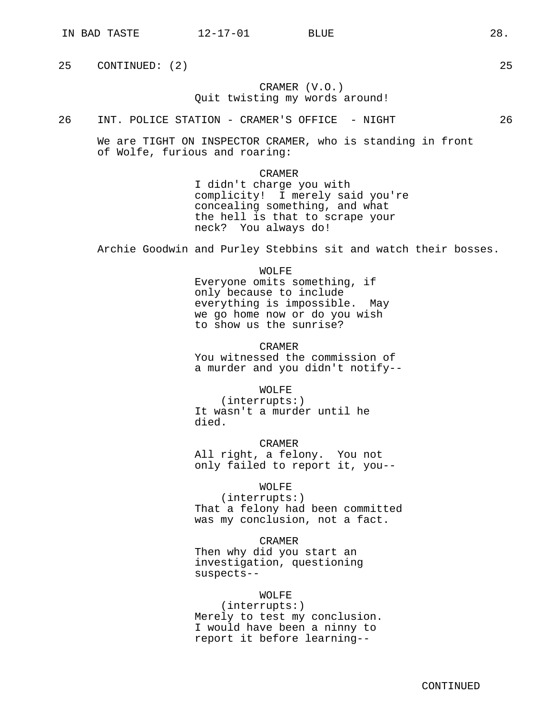# CRAMER (V.O.) Quit twisting my words around!

26 INT. POLICE STATION - CRAMER'S OFFICE - NIGHT 26

We are TIGHT ON INSPECTOR CRAMER, who is standing in front of Wolfe, furious and roaring:

#### CRAMER

I didn't charge you with complicity! I merely said you're concealing something, and what the hell is that to scrape your neck? You always do!

Archie Goodwin and Purley Stebbins sit and watch their bosses.

WOLFE Everyone omits something, if only because to include everything is impossible. May we go home now or do you wish to show us the sunrise?

CRAMER You witnessed the commission of a murder and you didn't notify--

WOLFE

(interrupts:) It wasn't a murder until he died.

CRAMER All right, a felony. You not only failed to report it, you--

WOLFE

(interrupts:) That a felony had been committed was my conclusion, not a fact.

CRAMER Then why did you start an investigation, questioning suspects--

# WOLFE

(interrupts:) Merely to test my conclusion. I would have been a ninny to report it before learning--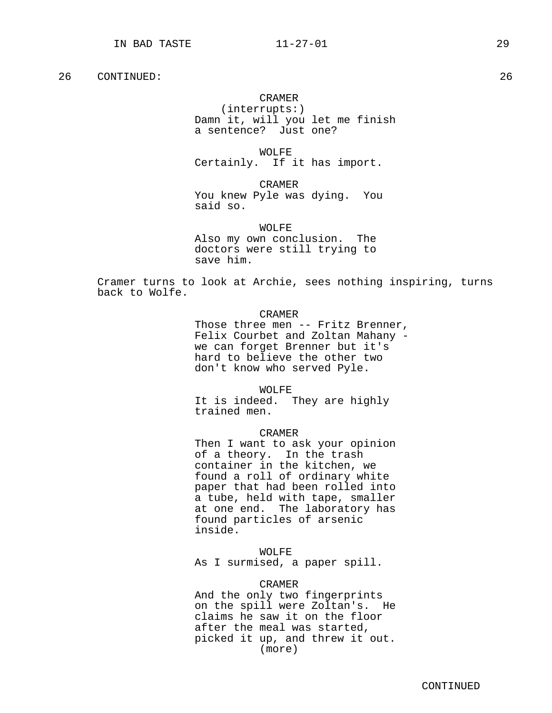#### CRAMER

(interrupts:) Damn it, will you let me finish a sentence? Just one?

WOLFE Certainly. If it has import.

CRAMER You knew Pyle was dying. You said so.

WOLFE Also my own conclusion. The doctors were still trying to save him.

Cramer turns to look at Archie, sees nothing inspiring, turns back to Wolfe.

## CRAMER

Those three men -- Fritz Brenner, Felix Courbet and Zoltan Mahany we can forget Brenner but it's hard to believe the other two don't know who served Pyle.

WOLFE

It is indeed. They are highly trained men.

#### CRAMER

Then I want to ask your opinion of a theory. In the trash container in the kitchen, we found a roll of ordinary white paper that had been rolled into a tube, held with tape, smaller at one end. The laboratory has found particles of arsenic inside.

 $H$ OL $H$ 

As I surmised, a paper spill.

## CRAMER

And the only two fingerprints on the spill were Zoltan's. He claims he saw it on the floor after the meal was started, picked it up, and threw it out. (more)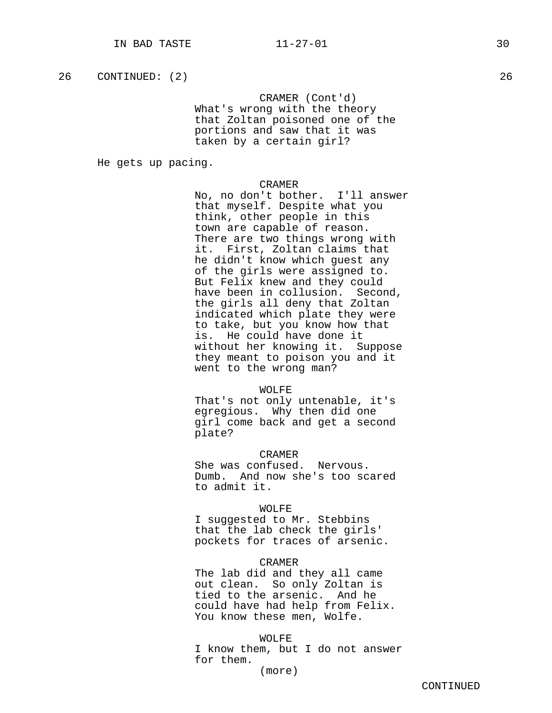CRAMER (Cont'd) What's wrong with the theory that Zoltan poisoned one of the portions and saw that it was taken by a certain girl?

He gets up pacing.

## CRAMER

No, no don't bother. I'll answer that myself. Despite what you think, other people in this town are capable of reason. There are two things wrong with it. First, Zoltan claims that he didn't know which guest any of the girls were assigned to. But Felix knew and they could have been in collusion. Second, the girls all deny that Zoltan indicated which plate they were to take, but you know how that is. He could have done it without her knowing it. Suppose they meant to poison you and it went to the wrong man?

#### WOLFE

That's not only untenable, it's egregious. Why then did one girl come back and get a second plate?

# CRAMER

She was confused. Nervous. Dumb. And now she's too scared to admit it.

## WOLFE

I suggested to Mr. Stebbins that the lab check the girls' pockets for traces of arsenic.

#### CRAMER

The lab did and they all came out clean. So only Zoltan is tied to the arsenic. And he could have had help from Felix. You know these men, Wolfe.

#### WOLFE

I know them, but I do not answer for them.

(more)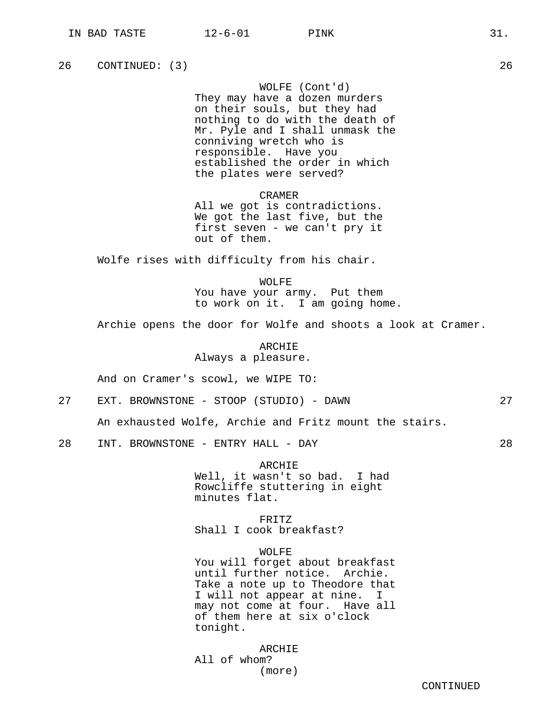WOLFE (Cont'd) They may have a dozen murders on their souls, but they had nothing to do with the death of Mr. Pyle and I shall unmask the conniving wretch who is responsible. Have you established the order in which the plates were served?

CRAMER All we got is contradictions. We got the last five, but the first seven - we can't pry it out of them.

Wolfe rises with difficulty from his chair.

WOLFE You have your army. Put them to work on it. I am going home.

Archie opens the door for Wolfe and shoots a look at Cramer.

ARCHIE Always a pleasure.

And on Cramer's scowl, we WIPE TO:

27 EXT. BROWNSTONE - STOOP (STUDIO) - DAWN 27

An exhausted Wolfe, Archie and Fritz mount the stairs.

28 INT. BROWNSTONE - ENTRY HALL - DAY 28

ARCHIE Well, it wasn't so bad. I had Rowcliffe stuttering in eight minutes flat.

FRITZ Shall I cook breakfast?

WOLFE

You will forget about breakfast until further notice. Archie. Take a note up to Theodore that I will not appear at nine. I may not come at four. Have all of them here at six o'clock tonight.

ARCHIE All of whom? (more)

CONTINUED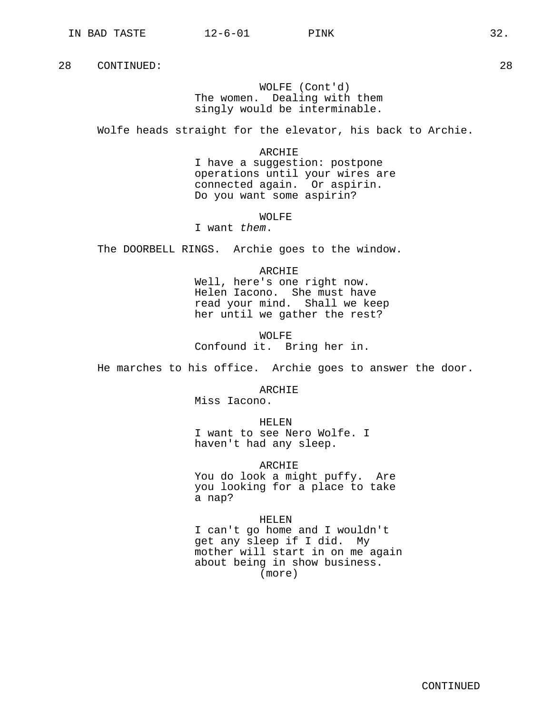# WOLFE (Cont'd) The women. Dealing with them singly would be interminable.

Wolfe heads straight for the elevator, his back to Archie.

#### ARCHIE

I have a suggestion: postpone operations until your wires are connected again. Or aspirin. Do you want some aspirin?

## WOLFE

I want them.

The DOORBELL RINGS. Archie goes to the window.

#### ARCHIE

Well, here's one right now. Helen Iacono. She must have read your mind. Shall we keep her until we gather the rest?

WOLFE Confound it. Bring her in.

He marches to his office. Archie goes to answer the door.

#### ARCHIE

Miss Iacono.

HELEN

I want to see Nero Wolfe. I haven't had any sleep.

ARCHIE

You do look a might puffy. Are you looking for a place to take a nap?

## HELEN

I can't go home and I wouldn't get any sleep if I did. My mother will start in on me again about being in show business. (more)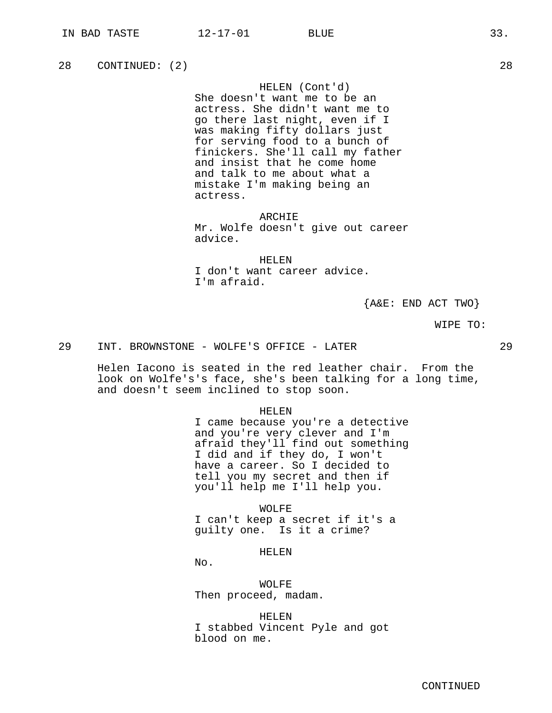28 CONTINUED: (2) 28

HELEN (Cont'd)

She doesn't want me to be an actress. She didn't want me to go there last night, even if I was making fifty dollars just for serving food to a bunch of finickers. She'll call my father and insist that he come home and talk to me about what a mistake I'm making being an actress.

ARCHIE

Mr. Wolfe doesn't give out career advice.

HELEN

I don't want career advice. I'm afraid.

{A&E: END ACT TWO}

WIPE TO:

29 INT. BROWNSTONE - WOLFE'S OFFICE - LATER 29

Helen Iacono is seated in the red leather chair. From the look on Wolfe's's face, she's been talking for a long time, and doesn't seem inclined to stop soon.

HELEN

I came because you're a detective and you're very clever and I'm afraid they'll find out something I did and if they do, I won't have a career. So I decided to tell you my secret and then if you'll help me I'll help you.

WOLFE I can't keep a secret if it's a guilty one. Is it a crime?

HELEN

No.

WOLFE Then proceed, madam.

HELEN I stabbed Vincent Pyle and got blood on me.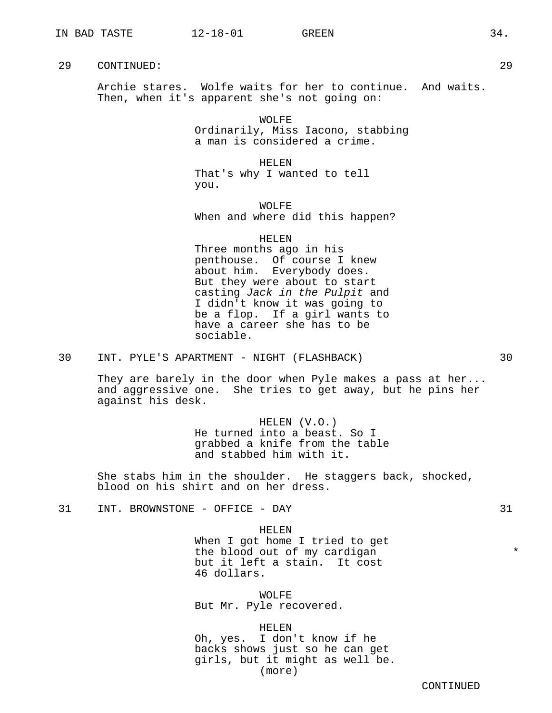Archie stares. Wolfe waits for her to continue. And waits. Then, when it's apparent she's not going on:

> WOLFE Ordinarily, Miss Iacono, stabbing a man is considered a crime.

HELEN That's why I wanted to tell you.

WOLFE When and where did this happen?

HELEN

Three months ago in his penthouse. Of course I knew about him. Everybody does. But they were about to start casting Jack in the Pulpit and I didn't know it was going to be a flop. If a girl wants to have a career she has to be sociable.

30 INT. PYLE'S APARTMENT - NIGHT (FLASHBACK) 30

They are barely in the door when Pyle makes a pass at her... and aggressive one. She tries to get away, but he pins her against his desk.

> HELEN (V.O.) He turned into a beast. So I grabbed a knife from the table and stabbed him with it.

She stabs him in the shoulder. He staggers back, shocked, blood on his shirt and on her dress.

31 INT. BROWNSTONE - OFFICE - DAY 31

HELEN When I got home I tried to get the blood out of my cardigan  $*$ but it left a stain. It cost 46 dollars.

WOLFE But Mr. Pyle recovered.

HELEN Oh, yes. I don't know if he backs shows just so he can get girls, but it might as well be. (more)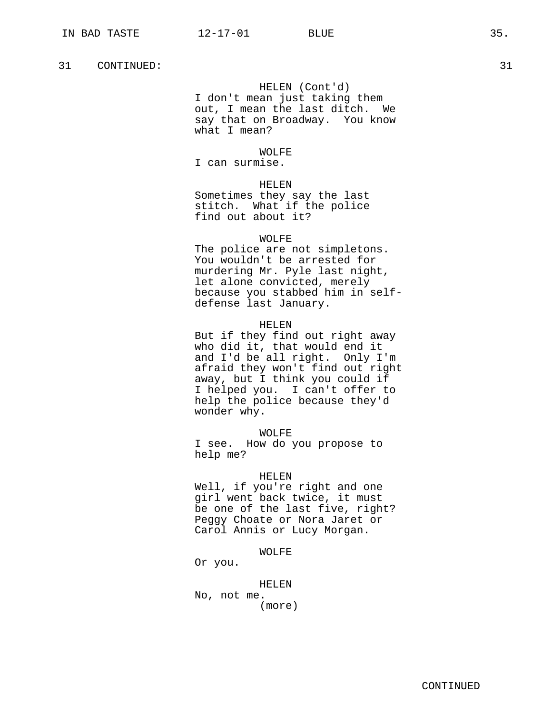## HELEN (Cont'd)

I don't mean just taking them out, I mean the last ditch. We say that on Broadway. You know what I mean?

## WOLFE

I can surmise.

# HELEN

Sometimes they say the last stitch. What if the police find out about it?

## WOLFE

The police are not simpletons. You wouldn't be arrested for murdering Mr. Pyle last night, let alone convicted, merely because you stabbed him in selfdefense last January.

#### HELEN

But if they find out right away who did it, that would end it and I'd be all right. Only I'm afraid they won't find out right away, but I think you could if I helped you. I can't offer to help the police because they'd wonder why.

#### WOLFE

I see. How do you propose to help me?

## HELEN

Well, if you're right and one girl went back twice, it must be one of the last five, right? Peggy Choate or Nora Jaret or Carol Annis or Lucy Morgan.

#### WOLFE

Or you.

#### HELEN

No, not me. (more)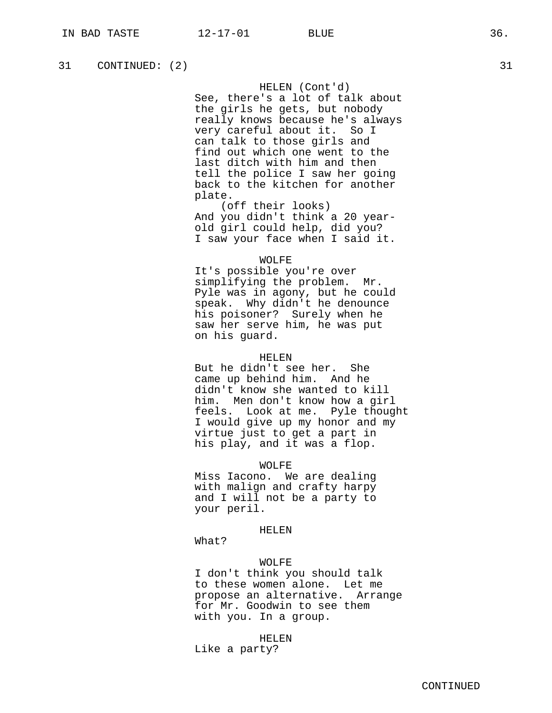HELEN (Cont'd)

See, there's a lot of talk about the girls he gets, but nobody really knows because he's always very careful about it. So I can talk to those girls and find out which one went to the last ditch with him and then tell the police I saw her going back to the kitchen for another plate.

(off their looks) And you didn't think a 20 yearold girl could help, did you? I saw your face when I said it.

#### WOLFE

It's possible you're over simplifying the problem. Mr. Pyle was in agony, but he could speak. Why didn't he denounce his poisoner? Surely when he saw her serve him, he was put on his guard.

#### HELEN

But he didn't see her. She came up behind him. And he didn't know she wanted to kill him. Men don't know how a girl feels. Look at me. Pyle thought I would give up my honor and my virtue just to get a part in his play, and it was a flop.

WOLFE

Miss Iacono. We are dealing with malign and crafty harpy and I will not be a party to your peril.

## HELEN

What?

## WOLFE

I don't think you should talk to these women alone. Let me propose an alternative. Arrange for Mr. Goodwin to see them with you. In a group.

HELEN

Like a party?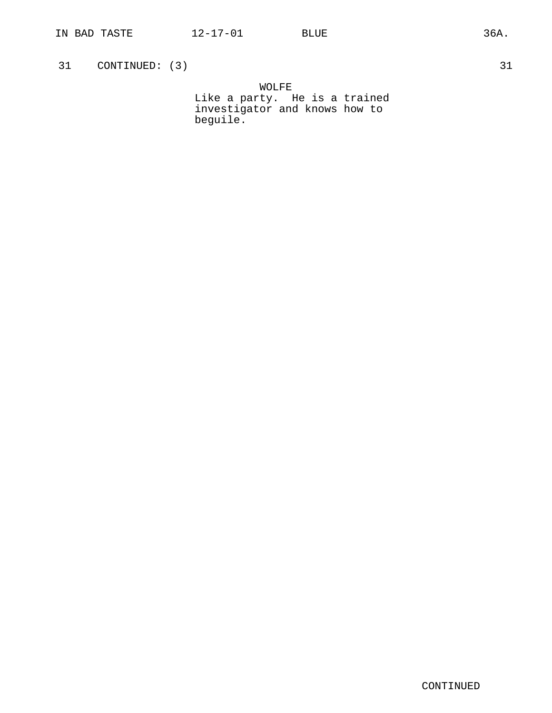31 CONTINUED: (3) 31

WOLFE Like a party. He is a trained investigator and knows how to beguile.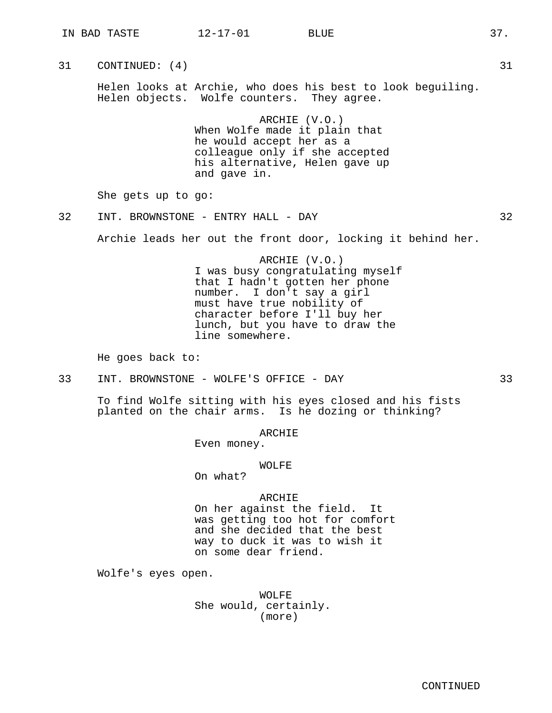31 CONTINUED: (4) 31

Helen looks at Archie, who does his best to look beguiling. Helen objects. Wolfe counters. They agree.

> ARCHIE (V.O.) When Wolfe made it plain that he would accept her as a colleague only if she accepted his alternative, Helen gave up and gave in.

She gets up to go:

32 INT. BROWNSTONE - ENTRY HALL - DAY 32

Archie leads her out the front door, locking it behind her.

ARCHIE (V.O.) I was busy congratulating myself that I hadn't gotten her phone number. I don't say a girl must have true nobility of character before I'll buy her lunch, but you have to draw the line somewhere.

He goes back to:

33 INT. BROWNSTONE - WOLFE'S OFFICE - DAY 33

To find Wolfe sitting with his eyes closed and his fists planted on the chair arms. Is he dozing or thinking?

## ARCHIE

Even money.

## WOLFE

On what?

# ARCHIE

On her against the field. It was getting too hot for comfort and she decided that the best way to duck it was to wish it on some dear friend.

Wolfe's eyes open.

WOLFE She would, certainly. (more)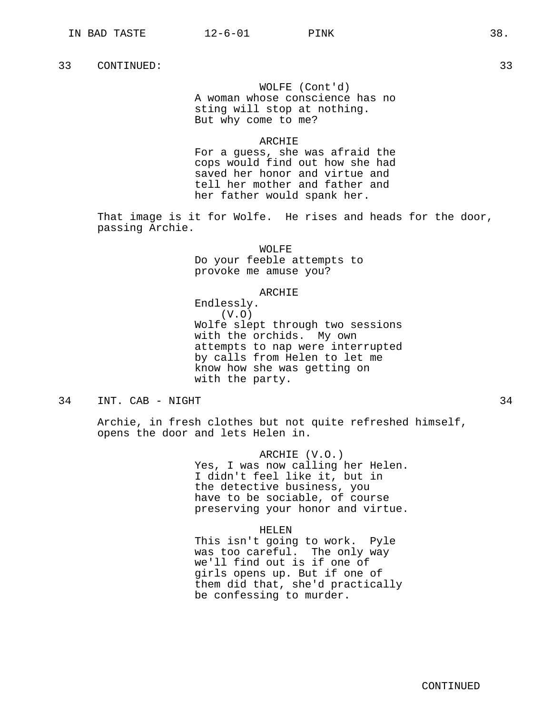WOLFE (Cont'd) A woman whose conscience has no sting will stop at nothing. But why come to me?

#### ARCHIE

For a guess, she was afraid the cops would find out how she had saved her honor and virtue and tell her mother and father and her father would spank her.

That image is it for Wolfe. He rises and heads for the door, passing Archie.

WOLFE

Do your feeble attempts to provoke me amuse you?

## ARCHIE

Endlessly. (V.O) Wolfe slept through two sessions with the orchids. My own attempts to nap were interrupted by calls from Helen to let me know how she was getting on with the party.

# 34 INT. CAB - NIGHT 34

Archie, in fresh clothes but not quite refreshed himself, opens the door and lets Helen in.

> ARCHIE (V.O.) Yes, I was now calling her Helen. I didn't feel like it, but in the detective business, you have to be sociable, of course preserving your honor and virtue.

## HELEN

This isn't going to work. Pyle was too careful. The only way we'll find out is if one of girls opens up. But if one of them did that, she'd practically be confessing to murder.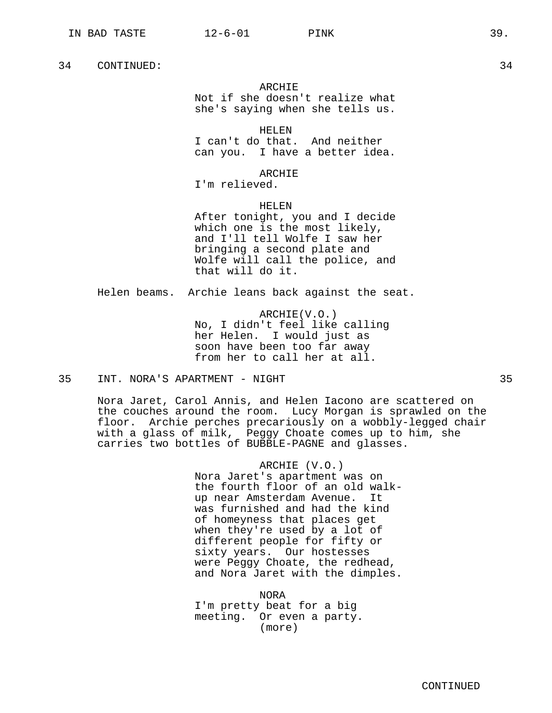#### ARCHIE

Not if she doesn't realize what she's saying when she tells us.

HELEN

I can't do that. And neither can you. I have a better idea.

ARCHIE

I'm relieved.

HELEN

After tonight, you and I decide which one is the most likely, and I'll tell Wolfe I saw her bringing a second plate and Wolfe will call the police, and that will do it.

Helen beams. Archie leans back against the seat.

ARCHIE(V.O.) No, I didn't feel like calling her Helen. I would just as soon have been too far away from her to call her at all.

## 35 INT. NORA'S APARTMENT - NIGHT 35

Nora Jaret, Carol Annis, and Helen Iacono are scattered on the couches around the room. Lucy Morgan is sprawled on the floor. Archie perches precariously on a wobbly-legged chair with a glass of milk, Peggy Choate comes up to him, she carries two bottles of BUBBLE-PAGNE and glasses.

> ARCHIE (V.O.) Nora Jaret's apartment was on the fourth floor of an old walkup near Amsterdam Avenue. It was furnished and had the kind of homeyness that places get when they're used by a lot of different people for fifty or sixty years. Our hostesses were Peggy Choate, the redhead, and Nora Jaret with the dimples.

NORA I'm pretty beat for a big meeting. Or even a party. (more)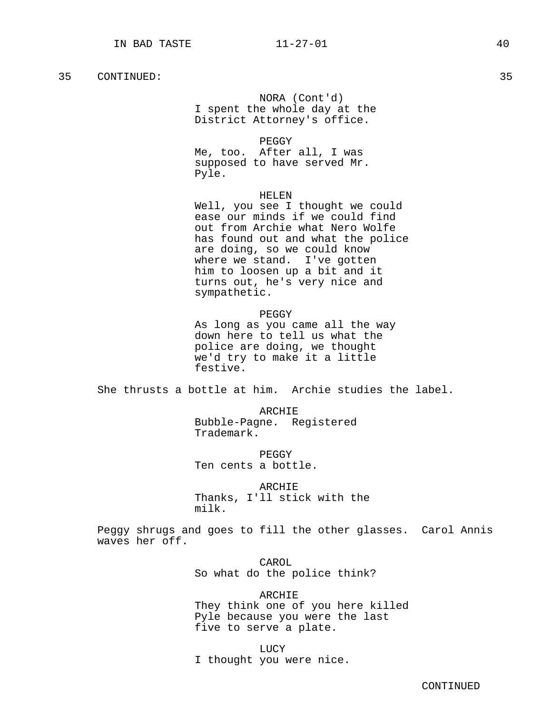## NORA (Cont'd)

I spent the whole day at the District Attorney's office.

PEGGY

Me, too. After all, I was supposed to have served Mr. Pyle.

#### HELEN

Well, you see I thought we could ease our minds if we could find out from Archie what Nero Wolfe has found out and what the police are doing, so we could know where we stand. I've gotten him to loosen up a bit and it turns out, he's very nice and sympathetic.

PEGGY

As long as you came all the way down here to tell us what the police are doing, we thought we'd try to make it a little festive.

She thrusts a bottle at him. Archie studies the label.

ARCHIE Bubble-Pagne. Registered Trademark.

PEGGY Ten cents a bottle.

ARCHIE Thanks, I'll stick with the milk.

Peggy shrugs and goes to fill the other glasses. Carol Annis waves her off.

> CAROL So what do the police think?

ARCHIE They think one of you here killed Pyle because you were the last five to serve a plate.

LUCY I thought you were nice.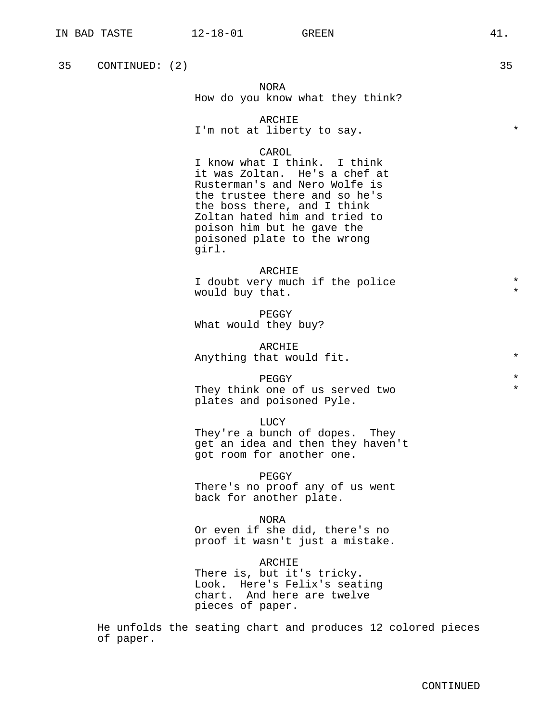35 CONTINUED: (2) 35

NORA How do you know what they think?

ARCHIE I'm not at liberty to say.

#### CAROL

I know what I think. I think it was Zoltan. He's a chef at Rusterman's and Nero Wolfe is the trustee there and so he's the boss there, and I think Zoltan hated him and tried to poison him but he gave the poisoned plate to the wrong girl.

ARCHIE I doubt very much if the police would buy that.

PEGGY What would they buy?

ARCHIE Anything that would fit.  $*$ 

PEGGY  $\qquad$  \*

They think one of us served two  $*$ plates and poisoned Pyle.

LUCY They're a bunch of dopes. They get an idea and then they haven't got room for another one.

PEGGY There's no proof any of us went back for another plate.

NORA Or even if she did, there's no proof it wasn't just a mistake.

ARCHIE There is, but it's tricky. Look. Here's Felix's seating chart. And here are twelve pieces of paper.

He unfolds the seating chart and produces 12 colored pieces of paper.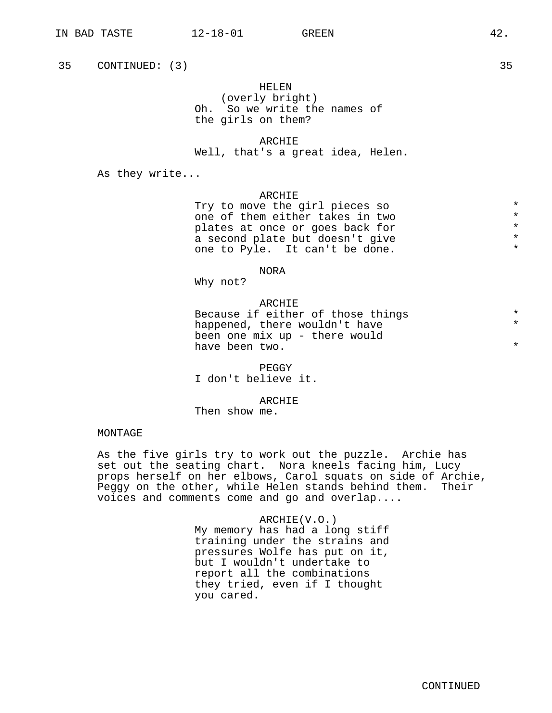35 CONTINUED: (3) 35

## HELEN

(overly bright) Oh. So we write the names of the girls on them?

#### ARCHIE

Well, that's a great idea, Helen.

As they write...

#### ARCHIE

Try to move the girl pieces so  $*$ <br>one of them either takes in two  $*$ one of them either takes in two  $*$ <br>plates at once or goes back for  $*$ plates at once or goes back for  $*$ <br>a second plate but doesn't give  $*$ a second plate but doesn't give  $\star$ <br>one to Pyle It can't be done one to Pyle. It can't be done.

#### NORA

Why not?

## ARCHIE

Because if either of those things  $*$ <br>barnered there wouldn't baye happened, there wouldn't have been one mix up - there would have been two.

PEGGY

I don't believe it.

ARCHIE

Then show me.

## MONTAGE

As the five girls try to work out the puzzle. Archie has set out the seating chart. Nora kneels facing him, Lucy props herself on her elbows, Carol squats on side of Archie, Peggy on the other, while Helen stands behind them. Their voices and comments come and go and overlap....

ARCHIE(V.O.)

My memory has had a long stiff training under the strains and pressures Wolfe has put on it, but I wouldn't undertake to report all the combinations they tried, even if I thought you cared.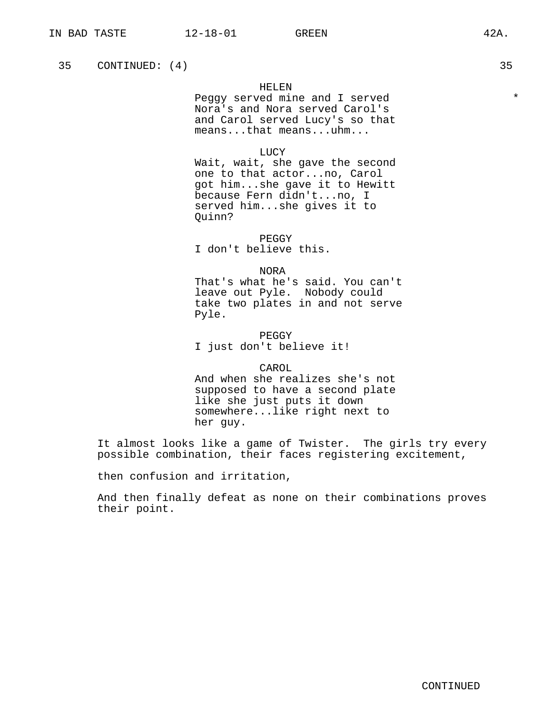35 CONTINUED: (4) 35

### HELEN

Peggy served mine and I served \*\*\* Nora's and Nora served Carol's and Carol served Lucy's so that means...that means...uhm...

LUCY

Wait, wait, she gave the second one to that actor...no, Carol got him...she gave it to Hewitt because Fern didn't...no, I served him...she gives it to Quinn?

PEGGY I don't believe this.

NORA

That's what he's said. You can't leave out Pyle. Nobody could take two plates in and not serve Pyle.

PEGGY I just don't believe it!

CAROL

And when she realizes she's not supposed to have a second plate like she just puts it down somewhere...like right next to her guy.

It almost looks like a game of Twister. The girls try every possible combination, their faces registering excitement,

then confusion and irritation,

And then finally defeat as none on their combinations proves their point.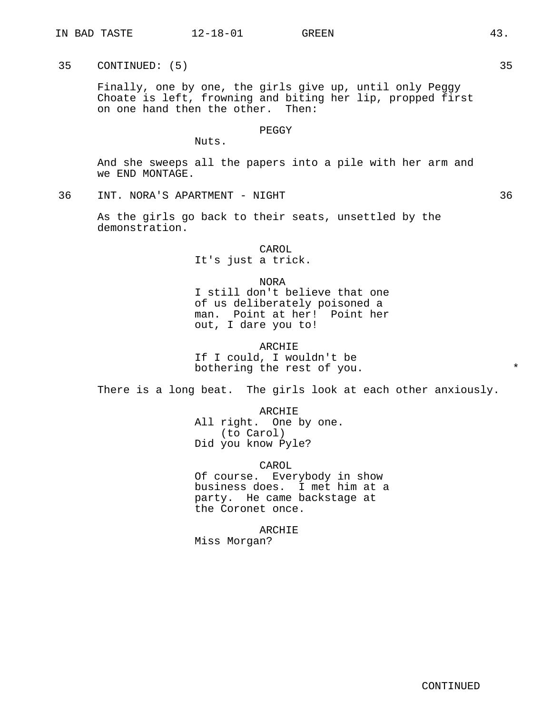35 CONTINUED: (5) 35

Finally, one by one, the girls give up, until only Peggy Choate is left, frowning and biting her lip, propped first on one hand then the other. Then:

## PEGGY

Nuts.

And she sweeps all the papers into a pile with her arm and we END MONTAGE.

36 INT. NORA'S APARTMENT - NIGHT 36

As the girls go back to their seats, unsettled by the demonstration.

> CAROL It's just a trick.

## NORA

I still don't believe that one of us deliberately poisoned a man. Point at her! Point her out, I dare you to!

ARCHIE If I could, I wouldn't be bothering the rest of you.

There is a long beat. The girls look at each other anxiously.

ARCHIE All right. One by one. (to Carol) Did you know Pyle?

CAROL Of course. Everybody in show business does. I met him at a party. He came backstage at the Coronet once.

ARCHIE Miss Morgan?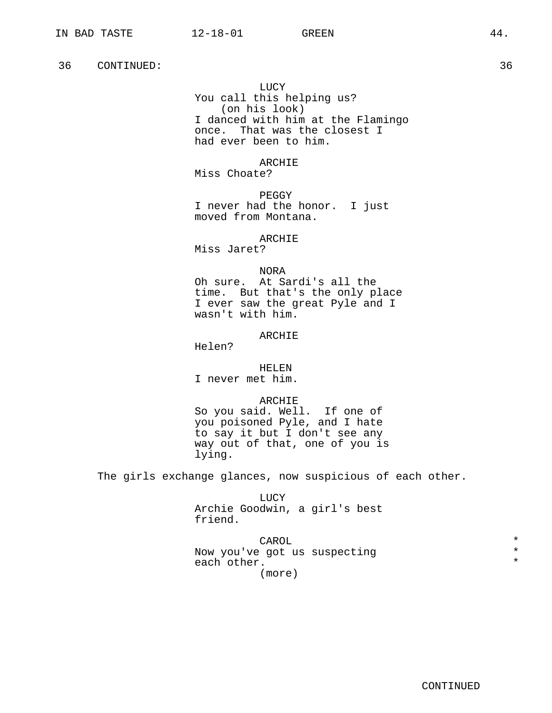LUCY You call this helping us? (on his look) I danced with him at the Flamingo once. That was the closest I had ever been to him.

ARCHIE Miss Choate?

PEGGY I never had the honor. I just moved from Montana.

ARCHIE Miss Jaret?

NORA

Oh sure. At Sardi's all the time. But that's the only place I ever saw the great Pyle and I wasn't with him.

#### ARCHIE

Helen?

HELEN

I never met him.

#### ARCHIE

So you said. Well. If one of you poisoned Pyle, and I hate to say it but I don't see any way out of that, one of you is lying.

The girls exchange glances, now suspicious of each other.

LUCY Archie Goodwin, a girl's best friend.

CAROL  $\qquad \qquad \star$ Now you've got us suspecting  $*$ <br>cash other  $*$ each other. (more)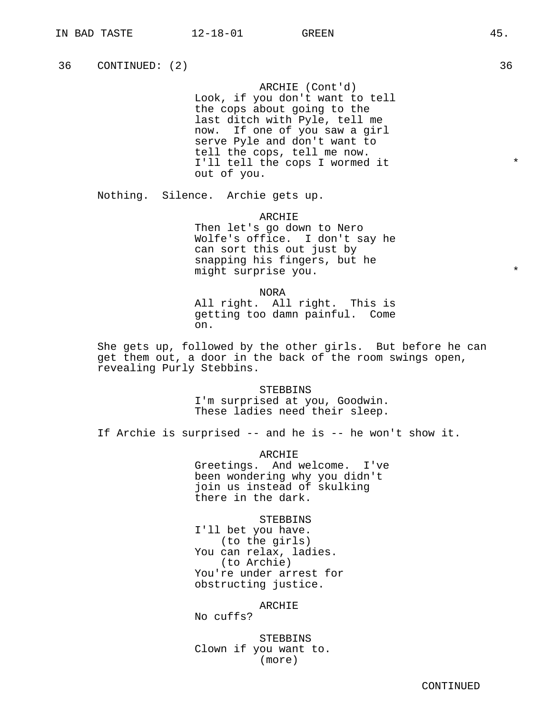36 CONTINUED: (2) 36 36

ARCHIE (Cont'd) Look, if you don't want to tell the cops about going to the last ditch with Pyle, tell me now. If one of you saw a girl serve Pyle and don't want to tell the cops, tell me now. I'll tell the cops I wormed it \* out of you.

Nothing. Silence. Archie gets up.

ARCHIE

Then let's go down to Nero Wolfe's office. I don't say he can sort this out just by snapping his fingers, but he might surprise you.

NORA

All right. All right. This is getting too damn painful. Come on.

She gets up, followed by the other girls. But before he can get them out, a door in the back of the room swings open, revealing Purly Stebbins.

> STEBBINS I'm surprised at you, Goodwin. These ladies need their sleep.

If Archie is surprised -- and he is -- he won't show it.

ARCHIE Greetings. And welcome. I've been wondering why you didn't join us instead of skulking there in the dark.

**STEBBINS** 

I'll bet you have. (to the girls) You can relax, ladies. (to Archie) You're under arrest for obstructing justice.

ARCHIE

No cuffs?

STEBBINS Clown if you want to. (more)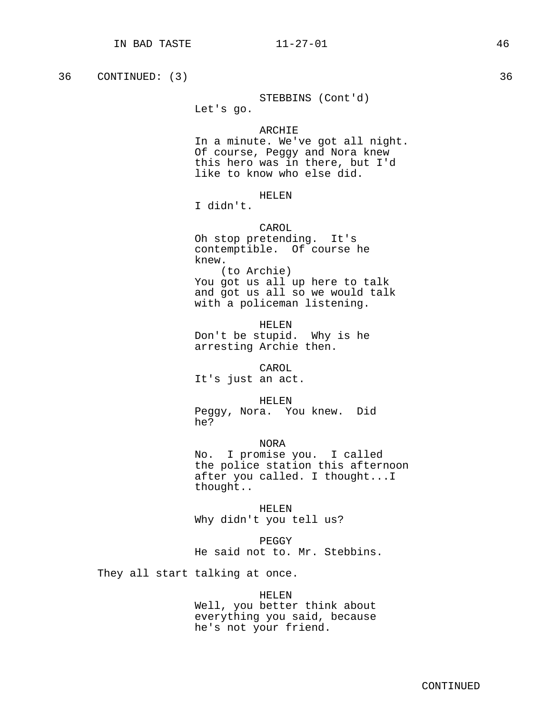36 CONTINUED: (3) 36 36

STEBBINS (Cont'd)

Let's go.

#### ARCHIE

In a minute. We've got all night. Of course, Peggy and Nora knew this hero was in there, but I'd like to know who else did.

# HELEN

I didn't.

CAROL Oh stop pretending. It's contemptible. Of course he knew. (to Archie) You got us all up here to talk and got us all so we would talk with a policeman listening.

HELEN Don't be stupid. Why is he arresting Archie then.

CAROL

It's just an act.

HELEN

Peggy, Nora. You knew. Did he?

NORA

No. I promise you. I called the police station this afternoon after you called. I thought...I thought..

HELEN Why didn't you tell us?

PEGGY He said not to. Mr. Stebbins.

They all start talking at once.

## HELEN

Well, you better think about everything you said, because he's not your friend.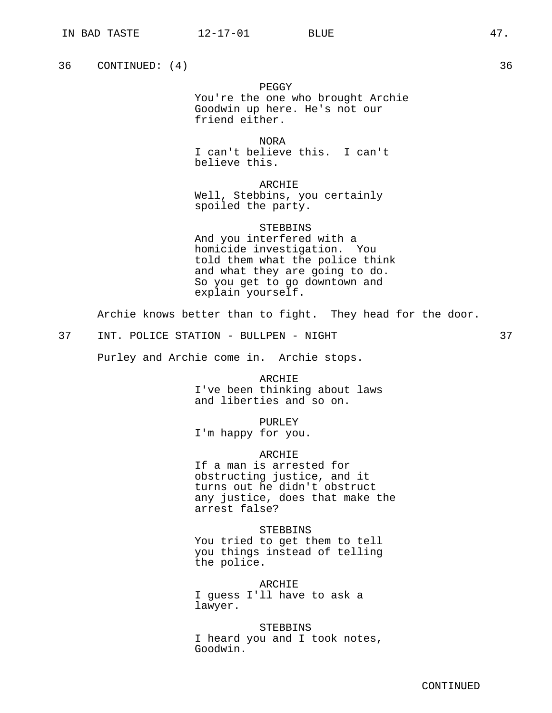36 CONTINUED: (4) 36

#### PEGGY

You're the one who brought Archie Goodwin up here. He's not our friend either.

NORA I can't believe this. I can't believe this.

ARCHIE Well, Stebbins, you certainly spoiled the party.

## STEBBINS

And you interfered with a homicide investigation. You told them what the police think and what they are going to do. So you get to go downtown and explain yourself.

Archie knows better than to fight. They head for the door.

37 INT. POLICE STATION - BULLPEN - NIGHT 37

Purley and Archie come in. Archie stops.

ARCHIE I've been thinking about laws and liberties and so on.

PURLEY I'm happy for you.

ARCHIE

If a man is arrested for obstructing justice, and it turns out he didn't obstruct any justice, does that make the arrest false?

**STEBBINS** You tried to get them to tell you things instead of telling the police.

ARCHIE I guess I'll have to ask a lawyer.

**STEBBINS** I heard you and I took notes, Goodwin.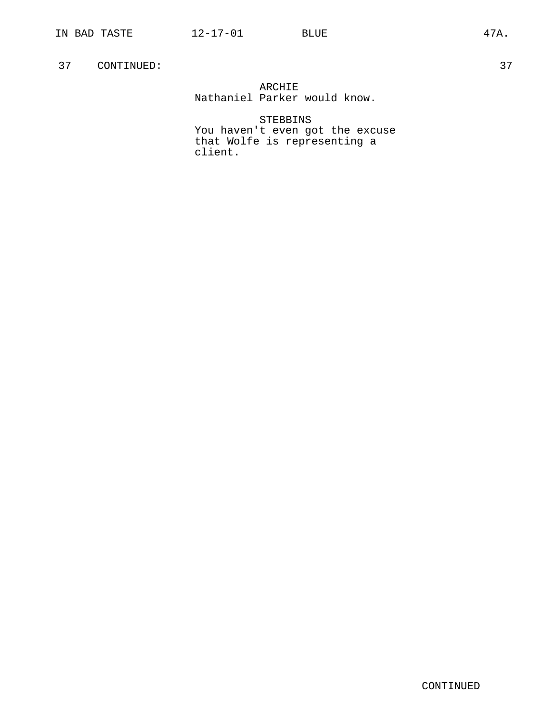# ARCHIE Nathaniel Parker would know.

STEBBINS You haven't even got the excuse that Wolfe is representing a client.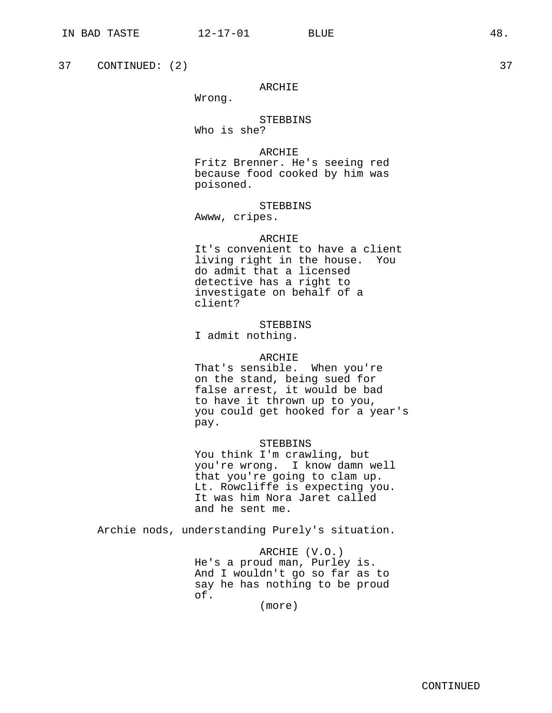37 CONTINUED: (2) 37

## ARCHIE

Wrong.

# STEBBINS Who is she?

ARCHIE

Fritz Brenner. He's seeing red because food cooked by him was poisoned.

#### STEBBINS

Awww, cripes.

# ARCHIE

It's convenient to have a client living right in the house. You do admit that a licensed detective has a right to investigate on behalf of a client?

**STEBBINS** I admit nothing.

#### ARCHIE

That's sensible. When you're on the stand, being sued for false arrest, it would be bad to have it thrown up to you, you could get hooked for a year's pay.

#### STEBBINS

You think I'm crawling, but you're wrong. I know damn well that you're going to clam up. Lt. Rowcliffe is expecting you. It was him Nora Jaret called and he sent me.

Archie nods, understanding Purely's situation.

# ARCHIE (V.O.) He's a proud man, Purley is. And I wouldn't go so far as to say he has nothing to be proud of.

(more)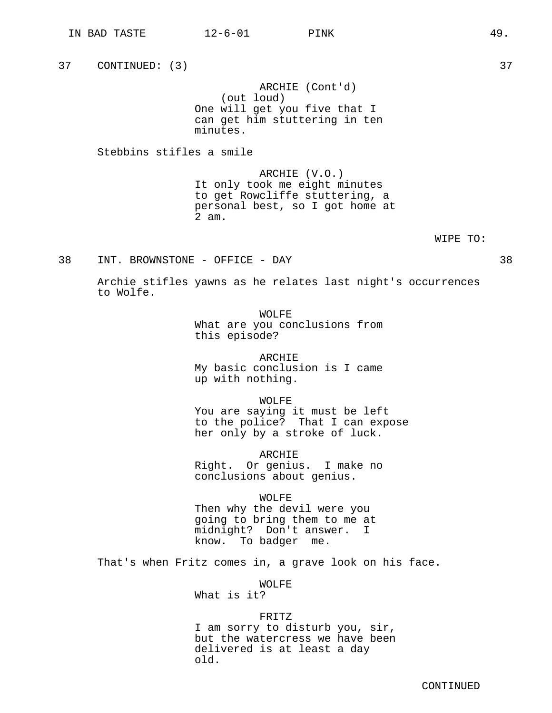37 CONTINUED: (3) 37 ARCHIE (Cont'd) (out loud) One will get you five that I can get him stuttering in ten minutes. Stebbins stifles a smile

> ARCHIE (V.O.) It only took me eight minutes to get Rowcliffe stuttering, a personal best, so I got home at 2 am.

> > WIPE TO:

38 INT. BROWNSTONE - OFFICE - DAY 38

Archie stifles yawns as he relates last night's occurrences to Wolfe.

> WOLFE. What are you conclusions from this episode?

> ARCHIE My basic conclusion is I came up with nothing.

WOLFE You are saying it must be left to the police? That I can expose her only by a stroke of luck.

ARCHIE Right. Or genius. I make no conclusions about genius.

WOLFE Then why the devil were you going to bring them to me at midnight? Don't answer. I know. To badger me.

That's when Fritz comes in, a grave look on his face.

WOLFE

What is it?

## FRITZ

I am sorry to disturb you, sir, but the watercress we have been delivered is at least a day old.

CONTINUED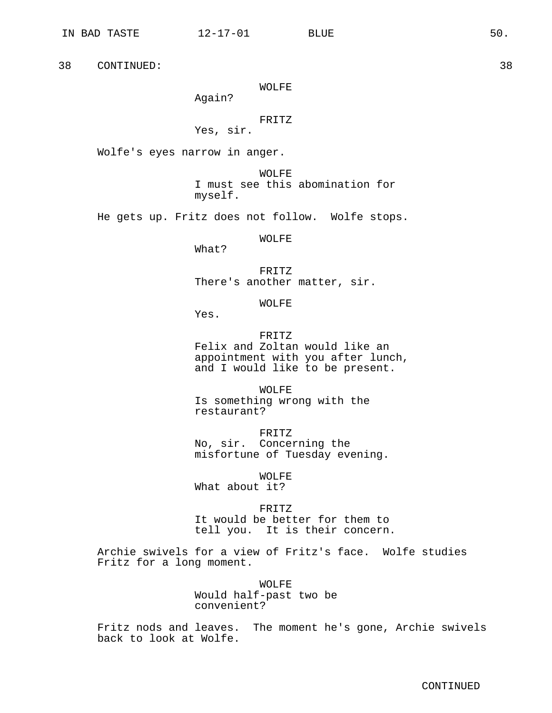## WOLFE

Again?

# FRITZ

Yes, sir.

Wolfe's eyes narrow in anger.

WOLFE I must see this abomination for myself.

He gets up. Fritz does not follow. Wolfe stops.

WOLFE

What?

FRITZ There's another matter, sir.

WOLFE

Yes.

FRITZ

Felix and Zoltan would like an appointment with you after lunch, and I would like to be present.

WOLFE Is something wrong with the restaurant?

FRITZ No, sir. Concerning the misfortune of Tuesday evening.

WOLFE What about it?

FRITZ It would be better for them to tell you. It is their concern.

Archie swivels for a view of Fritz's face. Wolfe studies Fritz for a long moment.

> WOLFE Would half-past two be convenient?

Fritz nods and leaves. The moment he's gone, Archie swivels back to look at Wolfe.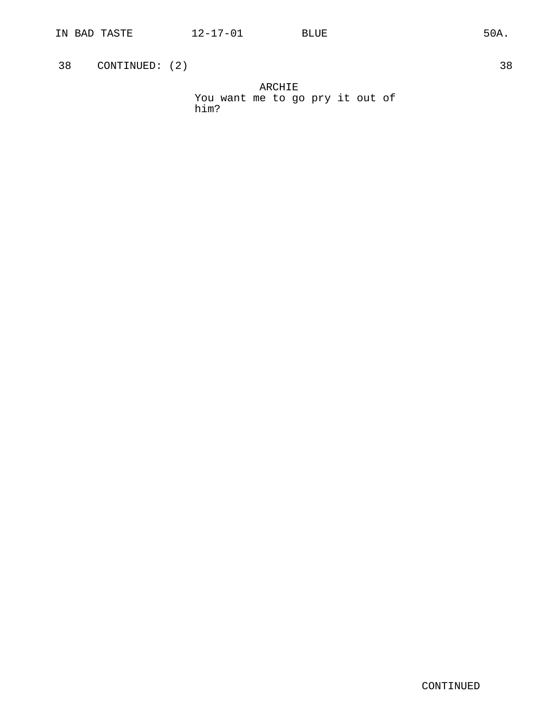38 CONTINUED: (2) 38

ARCHIE You want me to go pry it out of him?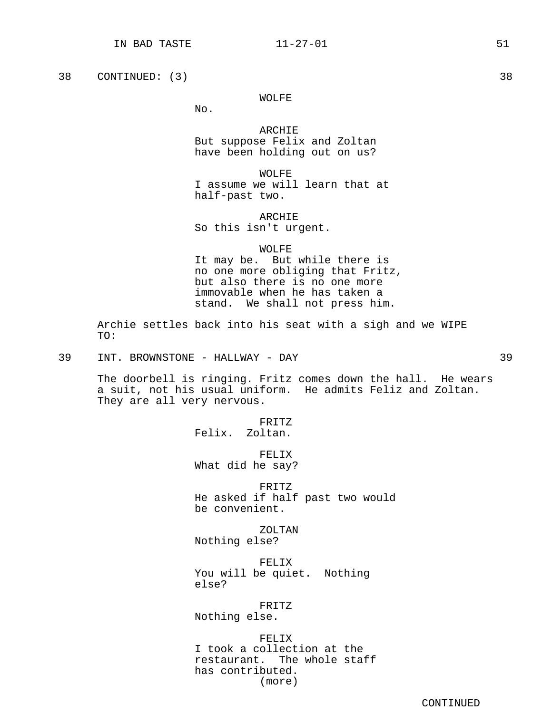38 CONTINUED: (3) 38

#### WOLFE

No.

ARCHIE But suppose Felix and Zoltan have been holding out on us?

WOLFE I assume we will learn that at half-past two.

ARCHIE

So this isn't urgent.

#### WOLFE

It may be. But while there is no one more obliging that Fritz, but also there is no one more immovable when he has taken a stand. We shall not press him.

Archie settles back into his seat with a sigh and we WIPE TO:

39 INT. BROWNSTONE - HALLWAY - DAY 39

The doorbell is ringing. Fritz comes down the hall. He wears a suit, not his usual uniform. He admits Feliz and Zoltan. They are all very nervous.

> FRITZ Felix. Zoltan.

FELIX What did he say?

FRITZ He asked if half past two would be convenient.

ZOLTAN Nothing else?

FELIX You will be quiet. Nothing else?

FRITZ

Nothing else.

FELIX I took a collection at the restaurant. The whole staff has contributed. (more)

CONTINUED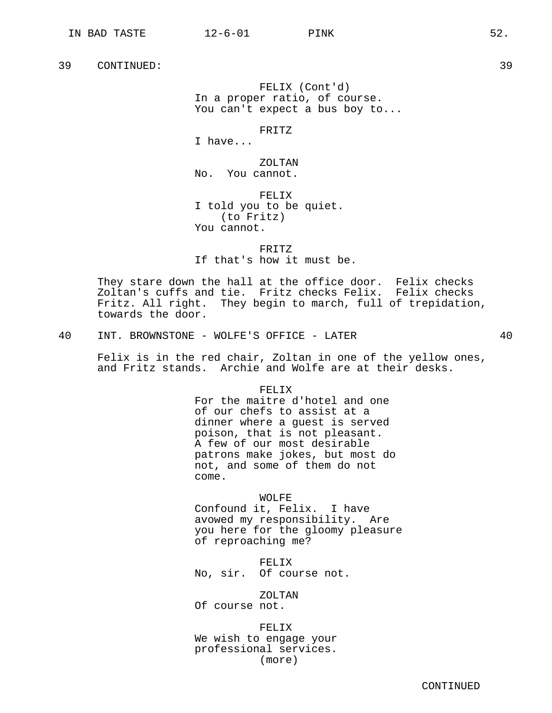FELIX (Cont'd) In a proper ratio, of course. You can't expect a bus boy to...

FRITZ

I have...

ZOLTAN No. You cannot.

FELIX I told you to be quiet. (to Fritz) You cannot.

FRITZ If that's how it must be.

They stare down the hall at the office door. Felix checks Zoltan's cuffs and tie. Fritz checks Felix. Felix checks Fritz. All right. They begin to march, full of trepidation, towards the door.

40 INT. BROWNSTONE - WOLFE'S OFFICE - LATER 40

Felix is in the red chair, Zoltan in one of the yellow ones, and Fritz stands. Archie and Wolfe are at their desks.

> FELIX For the maitre d'hotel and one of our chefs to assist at a dinner where a guest is served poison, that is not pleasant. A few of our most desirable patrons make jokes, but most do not, and some of them do not come.

WOLFE Confound it, Felix. I have avowed my responsibility. Are you here for the gloomy pleasure of reproaching me?

FELIX No, sir. Of course not.

ZOLTAN Of course not.

FELIX We wish to engage your professional services. (more)

CONTINUED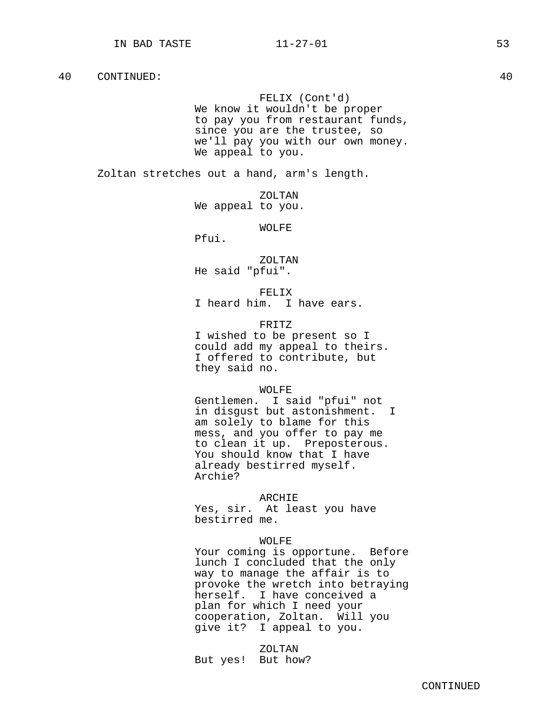## FELIX (Cont'd)

We know it wouldn't be proper to pay you from restaurant funds, since you are the trustee, so we'll pay you with our own money. We appeal to you.

Zoltan stretches out a hand, arm's length.

ZOLTAN We appeal to you.

WOLFE

Pfui.

ZOLTAN He said "pfui".

FELIX

I heard him. I have ears.

FRITZ

I wished to be present so I could add my appeal to theirs. I offered to contribute, but they said no.

#### WOLFE

Gentlemen. I said "pfui" not in disgust but astonishment. I am solely to blame for this mess, and you offer to pay me to clean it up. Preposterous. You should know that I have already bestirred myself. Archie?

#### ARCHIE

Yes, sir. At least you have bestirred me.

#### WOLFE

Your coming is opportune. Before lunch I concluded that the only way to manage the affair is to provoke the wretch into betraying herself. I have conceived a plan for which I need your cooperation, Zoltan. Will you give it? I appeal to you.

ZOLTAN But yes! But how?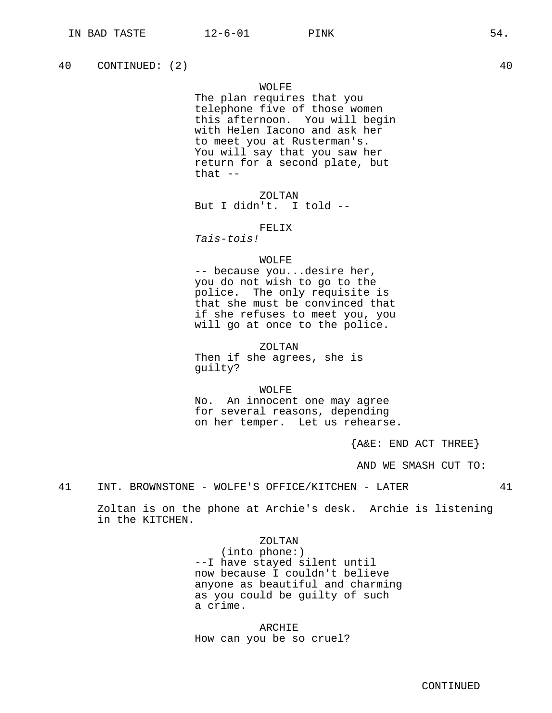40 CONTINUED: (2) 40

## WOLFE

The plan requires that you telephone five of those women this afternoon. You will begin with Helen Iacono and ask her to meet you at Rusterman's. You will say that you saw her return for a second plate, but that  $--$ 

ZOLTAN But I didn't. I told --

## FELIX

Tais-tois!

#### WOLFE

-- because you...desire her, you do not wish to go to the police. The only requisite is that she must be convinced that if she refuses to meet you, you will go at once to the police.

## ZOLTAN

Then if she agrees, she is guilty?

#### WOLFE

No. An innocent one may agree for several reasons, depending on her temper. Let us rehearse.

{A&E: END ACT THREE}

AND WE SMASH CUT TO:

41 INT. BROWNSTONE - WOLFE'S OFFICE/KITCHEN - LATER 41

Zoltan is on the phone at Archie's desk. Archie is listening in the KITCHEN.

## ZOLTAN

(into phone:) --I have stayed silent until now because I couldn't believe anyone as beautiful and charming as you could be guilty of such a crime.

ARCHIE How can you be so cruel?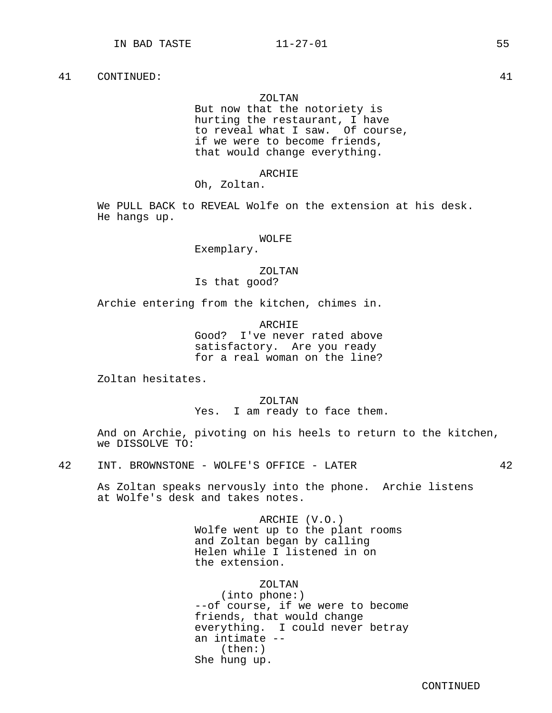#### ZOLTAN

But now that the notoriety is hurting the restaurant, I have to reveal what I saw. Of course, if we were to become friends, that would change everything.

## ARCHIE

Oh, Zoltan.

We PULL BACK to REVEAL Wolfe on the extension at his desk. He hangs up.

WOLFE

Exemplary.

ZOLTAN Is that good?

Archie entering from the kitchen, chimes in.

ARCHIE Good? I've never rated above satisfactory. Are you ready for a real woman on the line?

Zoltan hesitates.

ZOLTAN Yes. I am ready to face them.

And on Archie, pivoting on his heels to return to the kitchen, we DISSOLVE TO:

42 INT. BROWNSTONE - WOLFE'S OFFICE - LATER 42

As Zoltan speaks nervously into the phone. Archie listens at Wolfe's desk and takes notes.

> ARCHIE (V.O.) Wolfe went up to the plant rooms and Zoltan began by calling Helen while I listened in on the extension.

> > ZOLTAN

(into phone:) --of course, if we were to become friends, that would change everything. I could never betray an intimate -- (then:) She hung up.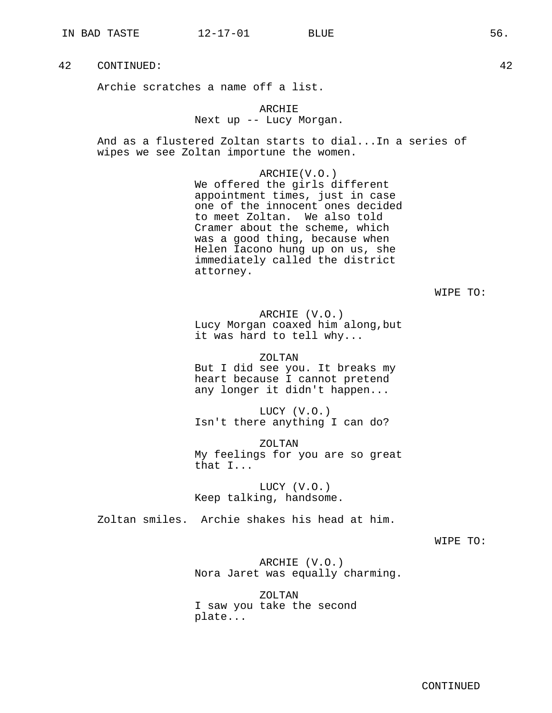Archie scratches a name off a list.

# ARCHIE Next up -- Lucy Morgan.

And as a flustered Zoltan starts to dial...In a series of wipes we see Zoltan importune the women.

> ARCHIE(V.O.) We offered the girls different appointment times, just in case one of the innocent ones decided to meet Zoltan. We also told Cramer about the scheme, which was a good thing, because when Helen Iacono hung up on us, she immediately called the district attorney.

> > WIPE TO:

ARCHIE (V.O.) Lucy Morgan coaxed him along,but it was hard to tell why...

ZOLTAN But I did see you. It breaks my heart because I cannot pretend any longer it didn't happen...

LUCY (V.O.) Isn't there anything I can do?

ZOLTAN My feelings for you are so great that I...

LUCY (V.O.) Keep talking, handsome.

Zoltan smiles. Archie shakes his head at him.

WIPE TO:

ARCHIE (V.O.) Nora Jaret was equally charming.

ZOLTAN I saw you take the second plate...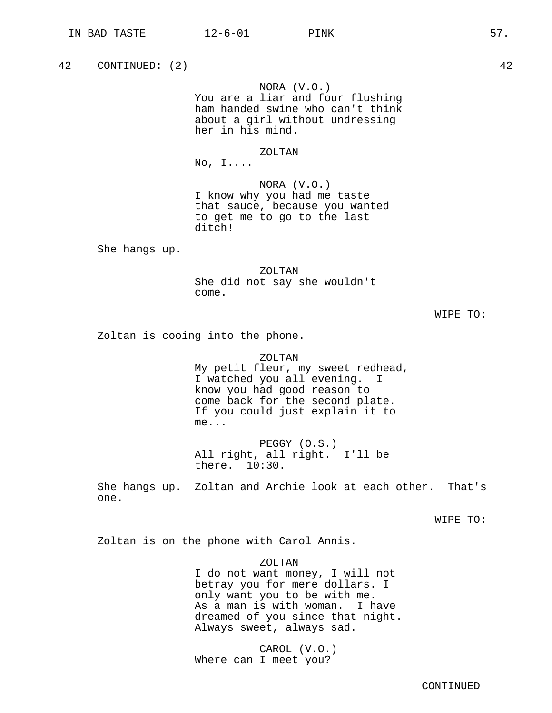42 CONTINUED: (2) 42 NORA (V.O.) You are a liar and four flushing ham handed swine who can't think about a girl without undressing her in his mind. ZOLTAN  $No, I...$ NORA (V.O.) I know why you had me taste that sauce, because you wanted to get me to go to the last ditch! She hangs up. ZOLTAN She did not say she wouldn't come. WIPE TO: Zoltan is cooing into the phone. ZOLTAN My petit fleur, my sweet redhead, I watched you all evening. I know you had good reason to come back for the second plate. If you could just explain it to

me...

PEGGY (O.S.) All right, all right. I'll be there. 10:30.

She hangs up. Zoltan and Archie look at each other. That's one.

WIPE TO:

Zoltan is on the phone with Carol Annis.

ZOLTAN

I do not want money, I will not betray you for mere dollars. I only want you to be with me. As a man is with woman. I have dreamed of you since that night. Always sweet, always sad.

CAROL (V.O.) Where can I meet you?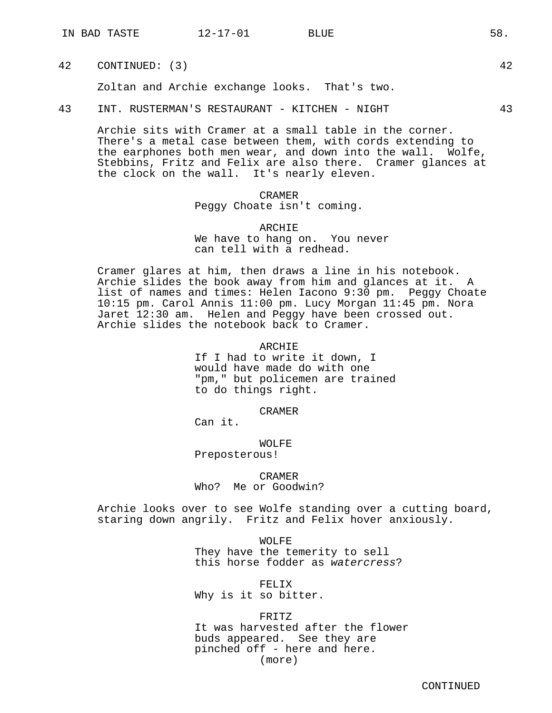42 CONTINUED: (3) 42

Zoltan and Archie exchange looks. That's two.

43 INT. RUSTERMAN'S RESTAURANT - KITCHEN - NIGHT 43

Archie sits with Cramer at a small table in the corner. There's a metal case between them, with cords extending to the earphones both men wear, and down into the wall. Wolfe, Stebbins, Fritz and Felix are also there. Cramer glances at the clock on the wall. It's nearly eleven.

# CRAMER Peggy Choate isn't coming.

ARCHIE We have to hang on. You never can tell with a redhead.

Cramer glares at him, then draws a line in his notebook. Archie slides the book away from him and glances at it. A list of names and times: Helen Iacono 9:30 pm. Peggy Choate 10:15 pm. Carol Annis 11:00 pm. Lucy Morgan 11:45 pm. Nora Jaret 12:30 am. Helen and Peggy have been crossed out. Archie slides the notebook back to Cramer.

ARCHIE

If I had to write it down, I would have made do with one "pm," but policemen are trained to do things right.

CRAMER

Can it.

WOLFE Preposterous!

CRAMER Who? Me or Goodwin?

Archie looks over to see Wolfe standing over a cutting board, staring down angrily. Fritz and Felix hover anxiously.

> WOLFE They have the temerity to sell this horse fodder as watercress?

FELIX Why is it so bitter.

FRITZ

It was harvested after the flower buds appeared. See they are pinched off - here and here. (more)

CONTINUED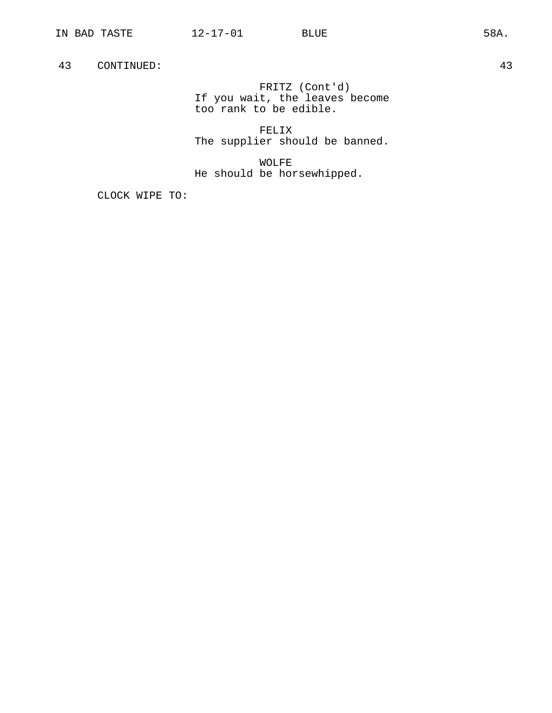FRITZ (Cont'd) If you wait, the leaves become too rank to be edible.

FELIX The supplier should be banned.

WOLFE He should be horsewhipped.

CLOCK WIPE TO: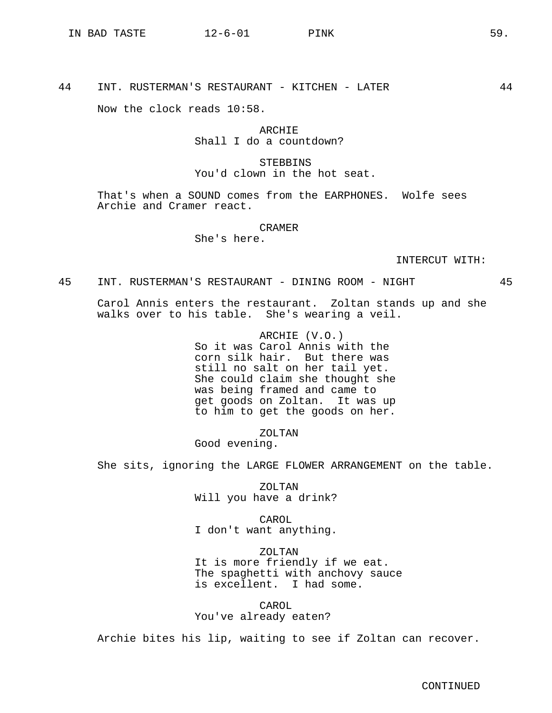44 INT. RUSTERMAN'S RESTAURANT - KITCHEN - LATER 44

Now the clock reads 10:58.

# ARCHIE Shall I do a countdown?

# **STEBBINS** You'd clown in the hot seat.

That's when a SOUND comes from the EARPHONES. Wolfe sees Archie and Cramer react.

#### CRAMER

She's here.

## INTERCUT WITH:

45 INT. RUSTERMAN'S RESTAURANT - DINING ROOM - NIGHT 45

Carol Annis enters the restaurant. Zoltan stands up and she walks over to his table. She's wearing a veil.

> ARCHIE (V.O.) So it was Carol Annis with the corn silk hair. But there was still no salt on her tail yet. She could claim she thought she was being framed and came to get goods on Zoltan. It was up to him to get the goods on her.

> > ZOLTAN

Good evening.

She sits, ignoring the LARGE FLOWER ARRANGEMENT on the table.

ZOLTAN Will you have a drink?

CAROL I don't want anything.

ZOLTAN It is more friendly if we eat. The spaghetti with anchovy sauce is excellent. I had some.

CAROL You've already eaten?

Archie bites his lip, waiting to see if Zoltan can recover.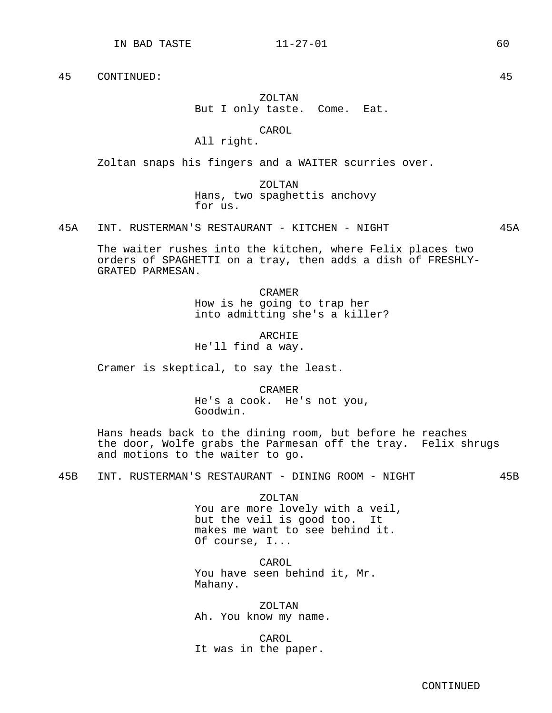# ZOLTAN But I only taste. Come. Eat.

#### CAROL

All right.

Zoltan snaps his fingers and a WAITER scurries over.

ZOLTAN Hans, two spaghettis anchovy for us.

45A INT. RUSTERMAN'S RESTAURANT - KITCHEN - NIGHT 45A

The waiter rushes into the kitchen, where Felix places two orders of SPAGHETTI on a tray, then adds a dish of FRESHLY-GRATED PARMESAN.

> CRAMER How is he going to trap her into admitting she's a killer?

ARCHIE He'll find a way.

Cramer is skeptical, to say the least.

CRAMER He's a cook. He's not you, Goodwin.

Hans heads back to the dining room, but before he reaches the door, Wolfe grabs the Parmesan off the tray. Felix shrugs and motions to the waiter to go.

45B INT. RUSTERMAN'S RESTAURANT - DINING ROOM - NIGHT 45B

ZOLTAN You are more lovely with a veil, but the veil is good too. It makes me want to see behind it. Of course, I...

CAROL You have seen behind it, Mr. Mahany.

ZOLTAN Ah. You know my name.

CAROL It was in the paper.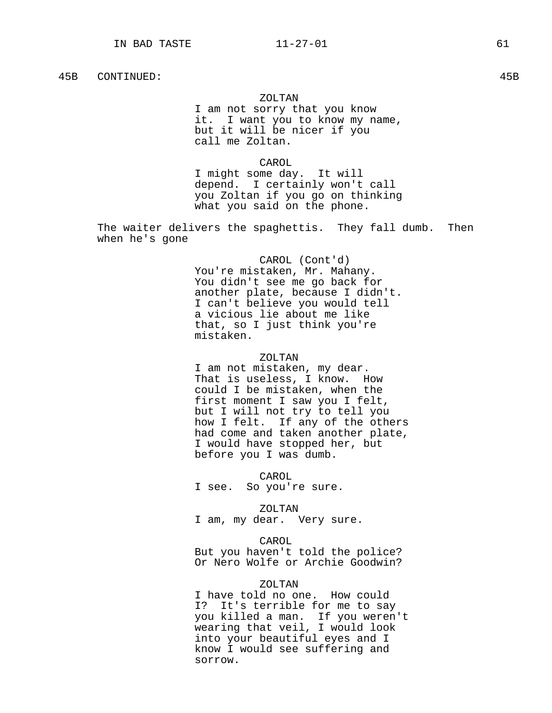## 45B CONTINUED: 45B

#### ZOLTAN

I am not sorry that you know it. I want you to know my name, but it will be nicer if you call me Zoltan.

CAROL

I might some day. It will depend. I certainly won't call you Zoltan if you go on thinking what you said on the phone.

The waiter delivers the spaghettis. They fall dumb. Then when he's gone

> CAROL (Cont'd) You're mistaken, Mr. Mahany. You didn't see me go back for another plate, because I didn't. I can't believe you would tell a vicious lie about me like that, so I just think you're mistaken.

## ZOLTAN

I am not mistaken, my dear. That is useless, I know. How could I be mistaken, when the first moment I saw you I felt, but I will not try to tell you how I felt. If any of the others had come and taken another plate, I would have stopped her, but before you I was dumb.

CAROL

I see. So you're sure.

ZOLTAN

I am, my dear. Very sure.

#### CAROL

But you haven't told the police? Or Nero Wolfe or Archie Goodwin?

# ZOLTAN

I have told no one. How could I? It's terrible for me to say you killed a man. If you weren't wearing that veil, I would look into your beautiful eyes and I know I would see suffering and sorrow.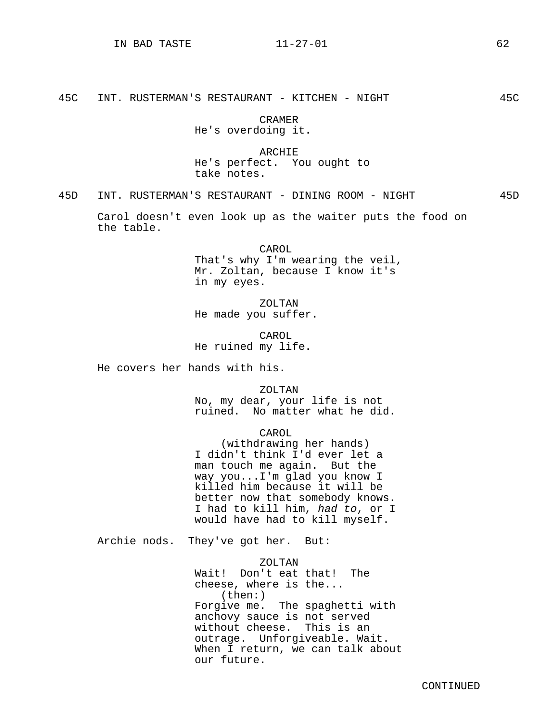45C INT. RUSTERMAN'S RESTAURANT - KITCHEN - NIGHT 45C

CRAMER He's overdoing it.

ARCHIE He's perfect. You ought to take notes.

45D INT. RUSTERMAN'S RESTAURANT - DINING ROOM - NIGHT 45D

Carol doesn't even look up as the waiter puts the food on the table.

> CAROL That's why I'm wearing the veil, Mr. Zoltan, because I know it's in my eyes.

ZOLTAN He made you suffer.

CAROL He ruined my life.

He covers her hands with his.

ZOLTAN No, my dear, your life is not ruined. No matter what he did.

# CAROL

(withdrawing her hands) I didn't think I'd ever let a man touch me again. But the way you...I'm glad you know I killed him because it will be better now that somebody knows. I had to kill him, had to, or I would have had to kill myself.

Archie nods. They've got her. But:

ZOLTAN Wait! Don't eat that! The cheese, where is the... (then:) Forgive me. The spaghetti with anchovy sauce is not served without cheese. This is an outrage. Unforgiveable. Wait. When I return, we can talk about our future.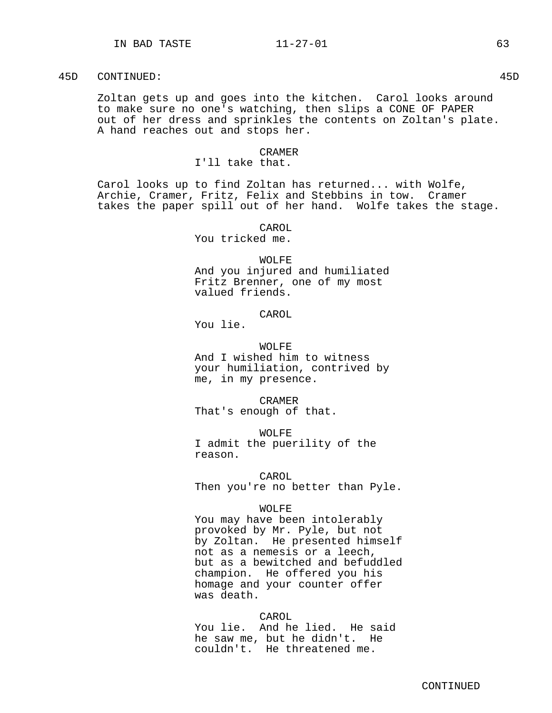### 45D CONTINUED: 45D

Zoltan gets up and goes into the kitchen. Carol looks around to make sure no one's watching, then slips a CONE OF PAPER out of her dress and sprinkles the contents on Zoltan's plate. A hand reaches out and stops her.

### CRAMER

# I'll take that.

Carol looks up to find Zoltan has returned... with Wolfe, Archie, Cramer, Fritz, Felix and Stebbins in tow. Cramer takes the paper spill out of her hand. Wolfe takes the stage.

### CAROL

You tricked me.

### WOLFE

And you injured and humiliated Fritz Brenner, one of my most valued friends.

# CAROL

You lie.

# WOLFE

And I wished him to witness your humiliation, contrived by me, in my presence.

CRAMER That's enough of that.

WOLFE I admit the puerility of the reason.

# CAROL

Then you're no better than Pyle.

# WOLFE

You may have been intolerably provoked by Mr. Pyle, but not by Zoltan. He presented himself not as a nemesis or a leech, but as a bewitched and befuddled champion. He offered you his homage and your counter offer was death.

# CAROL

You lie. And he lied. He said he saw me, but he didn't. He couldn't. He threatened me.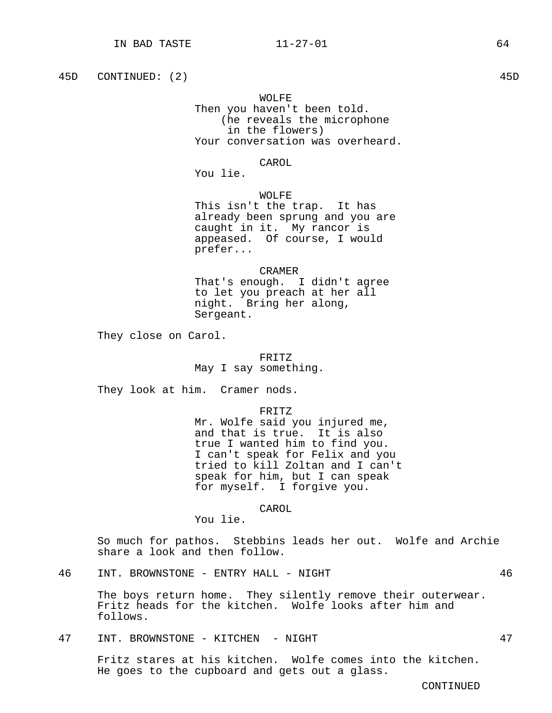45D CONTINUED: (2) 45D

WOLFE Then you haven't been told. (he reveals the microphone in the flowers) Your conversation was overheard.

CAROL

You lie.

WOLFE. This isn't the trap. It has already been sprung and you are caught in it. My rancor is appeased. Of course, I would prefer...

CRAMER That's enough. I didn't agree to let you preach at her all night. Bring her along, Sergeant.

They close on Carol.

# FRITZ

May I say something.

They look at him. Cramer nods.

FRITZ

Mr. Wolfe said you injured me, and that is true. It is also true I wanted him to find you. I can't speak for Felix and you tried to kill Zoltan and I can't speak for him, but I can speak for myself. I forgive you.

CAROL

You lie.

So much for pathos. Stebbins leads her out. Wolfe and Archie share a look and then follow.

46 INT. BROWNSTONE - ENTRY HALL - NIGHT 46

The boys return home. They silently remove their outerwear. Fritz heads for the kitchen. Wolfe looks after him and follows.

47 INT. BROWNSTONE - KITCHEN - NIGHT 47

Fritz stares at his kitchen. Wolfe comes into the kitchen. He goes to the cupboard and gets out a glass.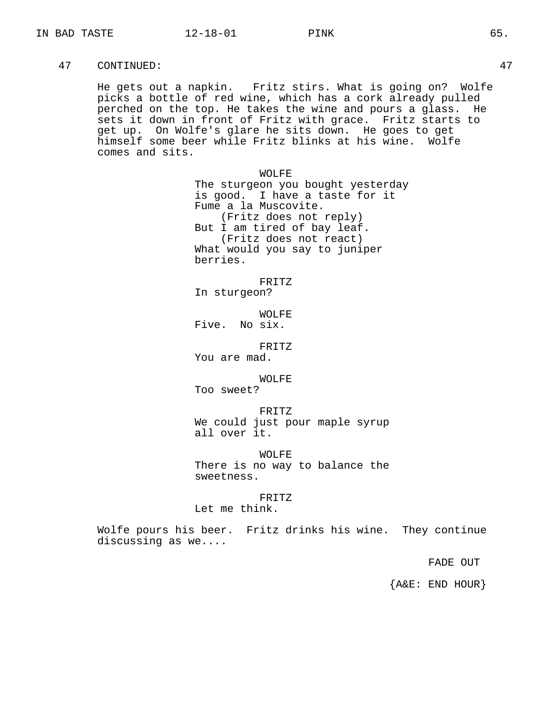He gets out a napkin. Fritz stirs. What is going on? Wolfe picks a bottle of red wine, which has a cork already pulled perched on the top. He takes the wine and pours a glass. He sets it down in front of Fritz with grace. Fritz starts to get up. On Wolfe's glare he sits down. He goes to get himself some beer while Fritz blinks at his wine. Wolfe comes and sits.

> WOLFE The sturgeon you bought yesterday is good. I have a taste for it Fume a la Muscovite. (Fritz does not reply) But I am tired of bay leaf. (Fritz does not react) What would you say to juniper berries.

FRITZ In sturgeon?

WOLFE. Five. No six.

FRITZ

You are mad.

### WOLFE

Too sweet?

FRITZ We could just pour maple syrup all over it.

WOLFE

There is no way to balance the sweetness.

### FRITZ

Let me think.

Wolfe pours his beer. Fritz drinks his wine. They continue discussing as we....

FADE OUT

{A&E: END HOUR}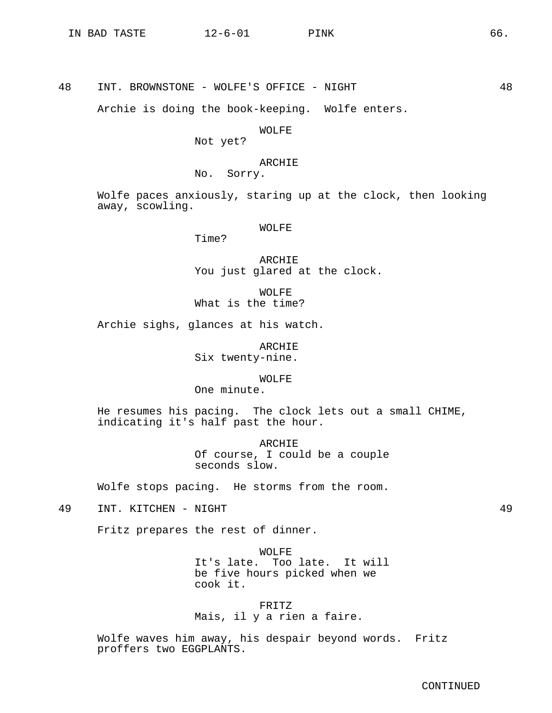48 INT. BROWNSTONE - WOLFE'S OFFICE - NIGHT 48

Archie is doing the book-keeping. Wolfe enters.

### WOLFE

Not yet?

# ARCHIE

No. Sorry.

Wolfe paces anxiously, staring up at the clock, then looking away, scowling.

# WOLFE

Time?

ARCHIE You just glared at the clock.

WOLFE What is the time?

Archie sighs, glances at his watch.

ARCHIE Six twenty-nine.

WOLFE

One minute.

He resumes his pacing. The clock lets out a small CHIME, indicating it's half past the hour.

> ARCHIE Of course, I could be a couple seconds slow.

Wolfe stops pacing. He storms from the room.

49 INT. KITCHEN - NIGHT 49

Fritz prepares the rest of dinner.

WOLFE It's late. Too late. It will be five hours picked when we cook it.

FRITZ Mais, il y a rien a faire.

Wolfe waves him away, his despair beyond words. Fritz proffers two EGGPLANTS.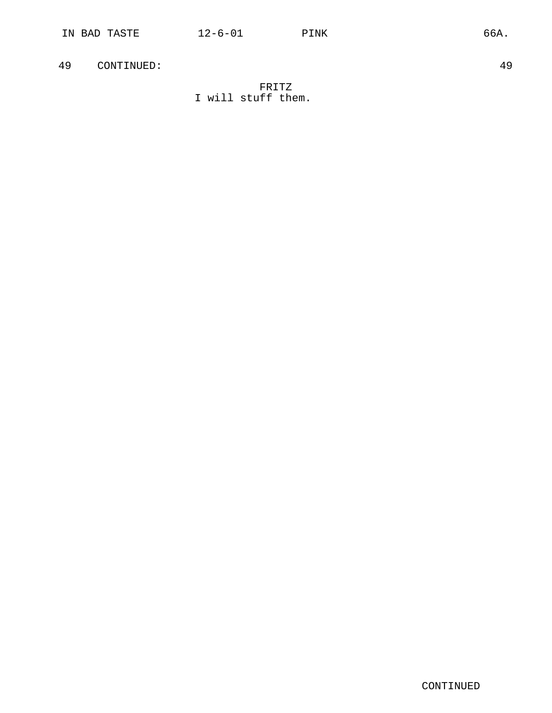# FRITZ I will stuff them.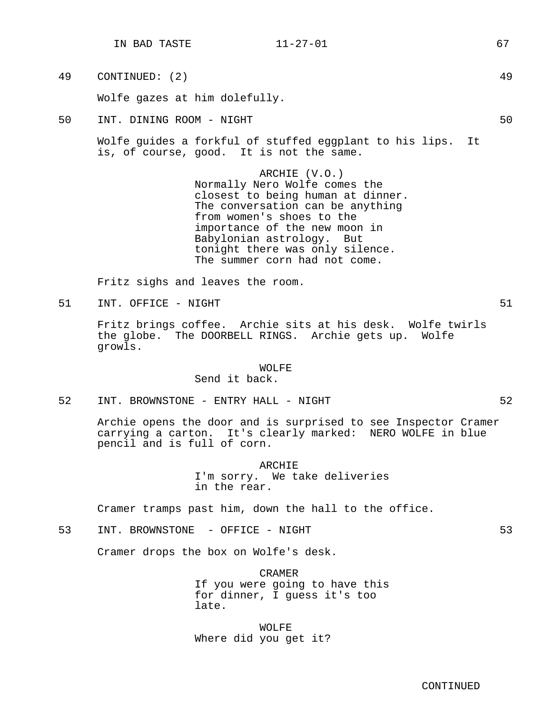Wolfe gazes at him dolefully.

50 INT. DINING ROOM - NIGHT 50

Wolfe guides a forkful of stuffed eggplant to his lips. It is, of course, good. It is not the same.

> ARCHIE (V.O.) Normally Nero Wolfe comes the closest to being human at dinner. The conversation can be anything from women's shoes to the importance of the new moon in Babylonian astrology. But tonight there was only silence. The summer corn had not come.

Fritz sighs and leaves the room.

51 INT. OFFICE - NIGHT 51

Fritz brings coffee. Archie sits at his desk. Wolfe twirls the globe. The DOORBELL RINGS. Archie gets up. Wolfe growls.

### WOLFE

Send it back.

52 INT. BROWNSTONE - ENTRY HALL - NIGHT 62

Archie opens the door and is surprised to see Inspector Cramer carrying a carton. It's clearly marked: NERO WOLFE in blue pencil and is full of corn.

ARCHIE

I'm sorry. We take deliveries in the rear.

Cramer tramps past him, down the hall to the office.

53 INT. BROWNSTONE - OFFICE - NIGHT 53

Cramer drops the box on Wolfe's desk.

CRAMER If you were going to have this for dinner, I guess it's too late.

WOLFE Where did you get it?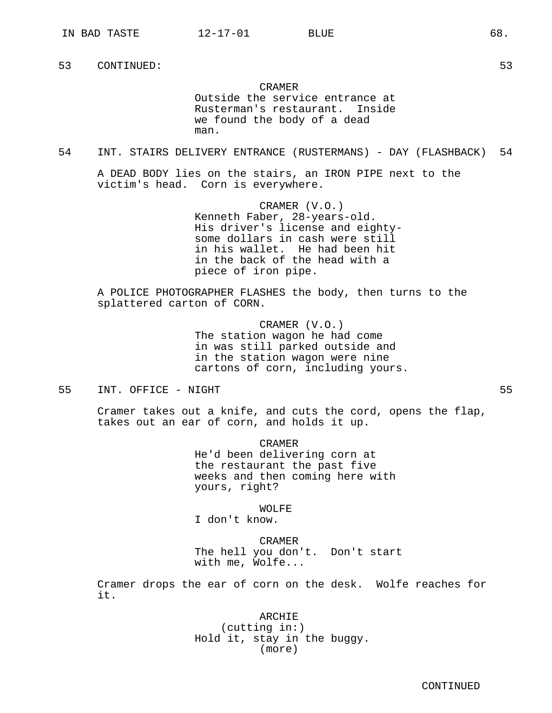CRAMER Outside the service entrance at Rusterman's restaurant. Inside we found the body of a dead man.

54 INT. STAIRS DELIVERY ENTRANCE (RUSTERMANS) - DAY (FLASHBACK) 54

A DEAD BODY lies on the stairs, an IRON PIPE next to the victim's head. Corn is everywhere.

> CRAMER (V.O.) Kenneth Faber, 28-years-old. His driver's license and eightysome dollars in cash were still in his wallet. He had been hit in the back of the head with a piece of iron pipe.

A POLICE PHOTOGRAPHER FLASHES the body, then turns to the splattered carton of CORN.

> CRAMER (V.O.) The station wagon he had come in was still parked outside and in the station wagon were nine cartons of corn, including yours.

55 INT. OFFICE - NIGHT 55

Cramer takes out a knife, and cuts the cord, opens the flap, takes out an ear of corn, and holds it up.

> CRAMER He'd been delivering corn at the restaurant the past five weeks and then coming here with yours, right?

> > WOLFE

I don't know.

CRAMER The hell you don't. Don't start with me, Wolfe...

Cramer drops the ear of corn on the desk. Wolfe reaches for it.

> ARCHIE (cutting in:) Hold it, stay in the buggy. (more)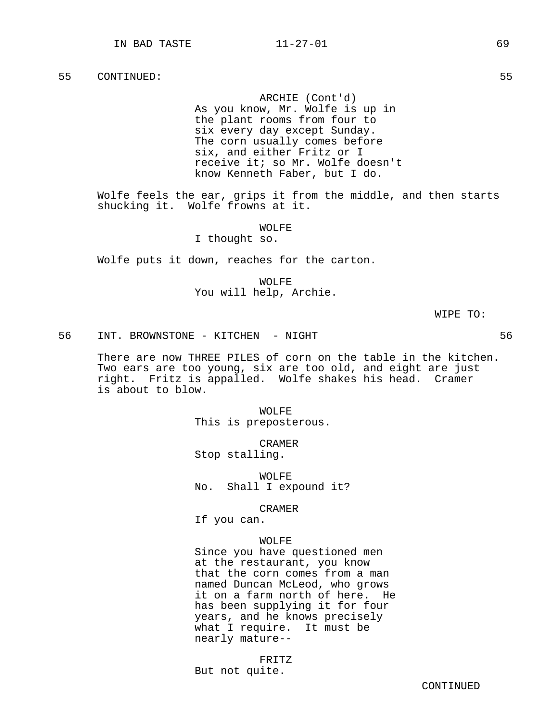ARCHIE (Cont'd) As you know, Mr. Wolfe is up in the plant rooms from four to six every day except Sunday. The corn usually comes before six, and either Fritz or I receive it; so Mr. Wolfe doesn't know Kenneth Faber, but I do.

Wolfe feels the ear, grips it from the middle, and then starts shucking it. Wolfe frowns at it.

WOLFE

# I thought so.

Wolfe puts it down, reaches for the carton.

WOLFE You will help, Archie.

WIPE TO:

56 INT. BROWNSTONE - KITCHEN - NIGHT 56

There are now THREE PILES of corn on the table in the kitchen. Two ears are too young, six are too old, and eight are just right. Fritz is appalled. Wolfe shakes his head. Cramer is about to blow.

> WOLFE This is preposterous.

CRAMER Stop stalling.

WOLFE No. Shall I expound it?

CRAMER

If you can.

### WOLFE

Since you have questioned men at the restaurant, you know that the corn comes from a man named Duncan McLeod, who grows it on a farm north of here. He has been supplying it for four years, and he knows precisely what I require. It must be nearly mature--

FRITZ

But not quite.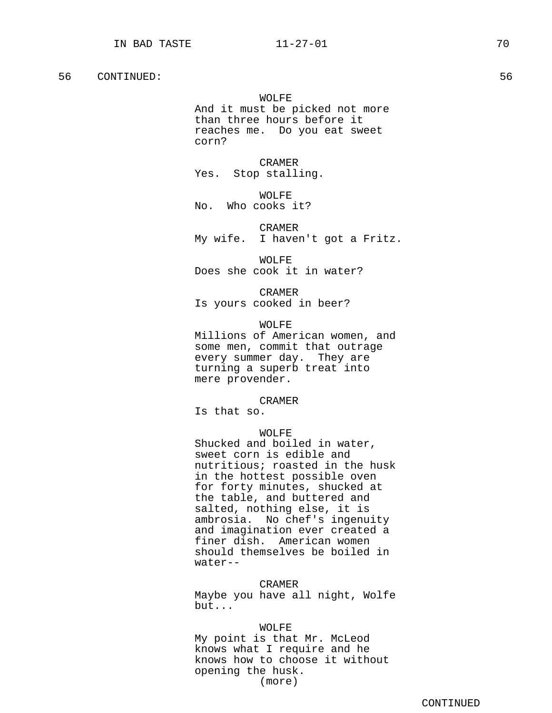WOLFE And it must be picked not more than three hours before it reaches me. Do you eat sweet corn?

CRAMER Yes. Stop stalling.

WOLFF. No. Who cooks it?

CRAMER My wife. I haven't got a Fritz.

WOLFE Does she cook it in water?

CRAMER Is yours cooked in beer?

WOLFE Millions of American women, and some men, commit that outrage every summer day. They are turning a superb treat into mere provender.

CRAMER

Is that so.

# WOLFF.

Shucked and boiled in water, sweet corn is edible and nutritious; roasted in the husk in the hottest possible oven for forty minutes, shucked at the table, and buttered and salted, nothing else, it is ambrosia. No chef's ingenuity and imagination ever created a finer dish. American women should themselves be boiled in water--

### CRAMER

Maybe you have all night, Wolfe but...

### WOLFE

My point is that Mr. McLeod knows what I require and he knows how to choose it without opening the husk. (more)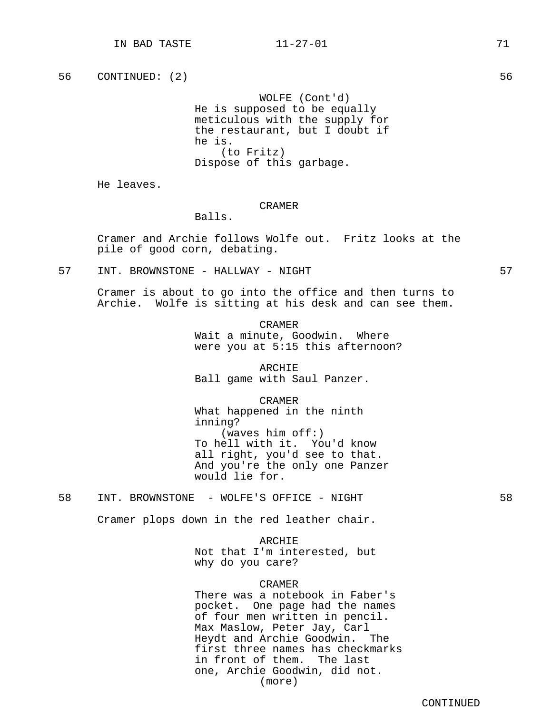WOLFE (Cont'd) He is supposed to be equally meticulous with the supply for the restaurant, but I doubt if he is. (to Fritz) Dispose of this garbage.

He leaves.

### CRAMER

Balls.

Cramer and Archie follows Wolfe out. Fritz looks at the pile of good corn, debating.

57 INT. BROWNSTONE - HALLWAY - NIGHT 57

Cramer is about to go into the office and then turns to Archie. Wolfe is sitting at his desk and can see them.

> CRAMER Wait a minute, Goodwin. Where were you at 5:15 this afternoon?

ARCHIE Ball game with Saul Panzer.

CRAMER What happened in the ninth inning? (waves him off:) To hell with it. You'd know all right, you'd see to that. And you're the only one Panzer would lie for.

58 INT. BROWNSTONE - WOLFE'S OFFICE - NIGHT 58

Cramer plops down in the red leather chair.

ARCHIE Not that I'm interested, but why do you care?

# CRAMER

There was a notebook in Faber's pocket. One page had the names of four men written in pencil. Max Maslow, Peter Jay, Carl Heydt and Archie Goodwin. The first three names has checkmarks in front of them. The last one, Archie Goodwin, did not. (more)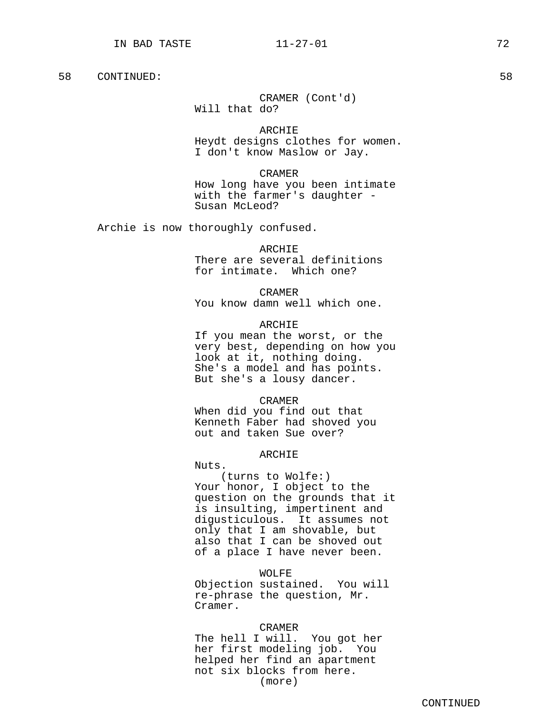# CRAMER (Cont'd) Will that do?

ARCHIE Heydt designs clothes for women. I don't know Maslow or Jay.

CRAMER

How long have you been intimate with the farmer's daughter - Susan McLeod?

Archie is now thoroughly confused.

ARCHIE

There are several definitions for intimate. Which one?

CRAMER

You know damn well which one.

ARCHIE

If you mean the worst, or the very best, depending on how you look at it, nothing doing. She's a model and has points. But she's a lousy dancer.

CRAMER

When did you find out that Kenneth Faber had shoved you out and taken Sue over?

# ARCHIE

Nuts.

(turns to Wolfe:) Your honor, I object to the question on the grounds that it is insulting, impertinent and digusticulous. It assumes not only that I am shovable, but also that I can be shoved out of a place I have never been.

WOLFE

Objection sustained. You will re-phrase the question, Mr. Cramer.

### CRAMER

The hell I will. You got her her first modeling job. You helped her find an apartment not six blocks from here. (more)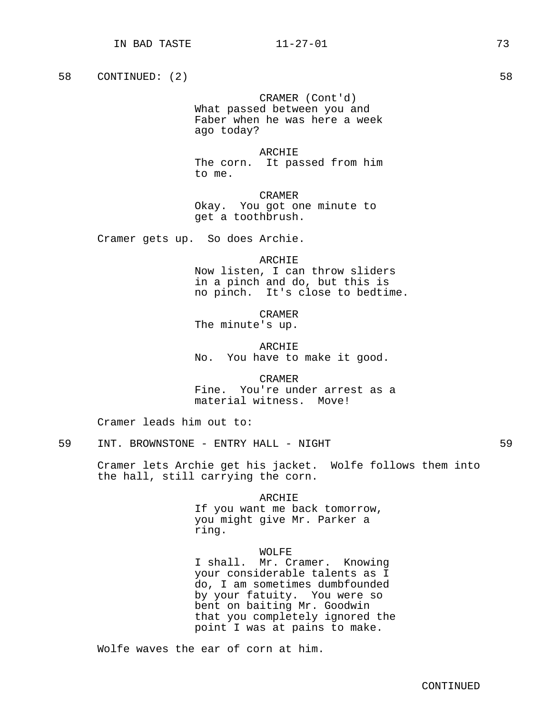CRAMER (Cont'd) What passed between you and Faber when he was here a week ago today?

ARCHIE The corn. It passed from him to me.

CRAMER Okay. You got one minute to get a toothbrush.

Cramer gets up. So does Archie.

ARCHIE Now listen, I can throw sliders in a pinch and do, but this is no pinch. It's close to bedtime.

CRAMER The minute's up.

ARCHIE No. You have to make it good.

CRAMER Fine. You're under arrest as a material witness. Move!

Cramer leads him out to:

59 INT. BROWNSTONE - ENTRY HALL - NIGHT 59

Cramer lets Archie get his jacket. Wolfe follows them into the hall, still carrying the corn.

ARCHIE

If you want me back tomorrow, you might give Mr. Parker a ring.

### WOLFE

I shall. Mr. Cramer. Knowing your considerable talents as I do, I am sometimes dumbfounded by your fatuity. You were so bent on baiting Mr. Goodwin that you completely ignored the point I was at pains to make.

Wolfe waves the ear of corn at him.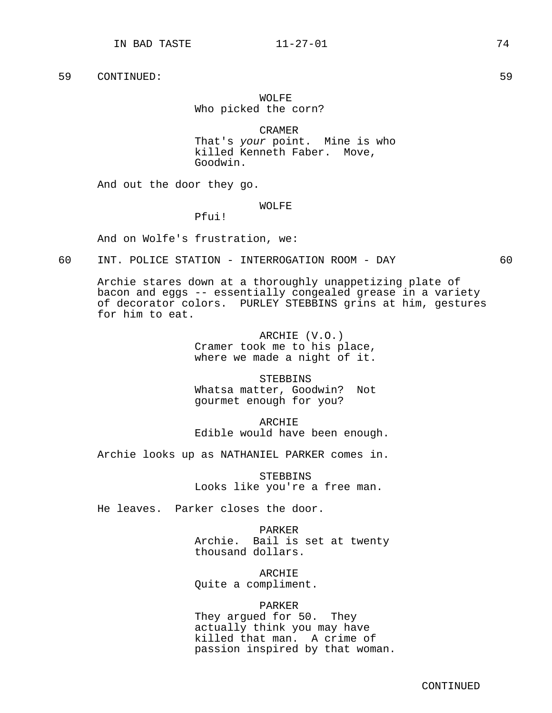# WOLFE. Who picked the corn?

CRAMER That's your point. Mine is who killed Kenneth Faber. Move, Goodwin.

And out the door they go.

WOLFE

Pfui!

And on Wolfe's frustration, we:

# 60 INT. POLICE STATION - INTERROGATION ROOM - DAY 60

Archie stares down at a thoroughly unappetizing plate of bacon and eggs -- essentially congealed grease in a variety of decorator colors. PURLEY STEBBINS grins at him, gestures for him to eat.

> ARCHIE (V.O.) Cramer took me to his place, where we made a night of it.

> **STEBBINS** Whatsa matter, Goodwin? Not gourmet enough for you?

ARCHIE Edible would have been enough.

Archie looks up as NATHANIEL PARKER comes in.

**STEBBINS** Looks like you're a free man.

He leaves. Parker closes the door.

PARKER Archie. Bail is set at twenty thousand dollars.

ARCHIE Quite a compliment.

### PARKER

They argued for 50. They actually think you may have killed that man. A crime of passion inspired by that woman.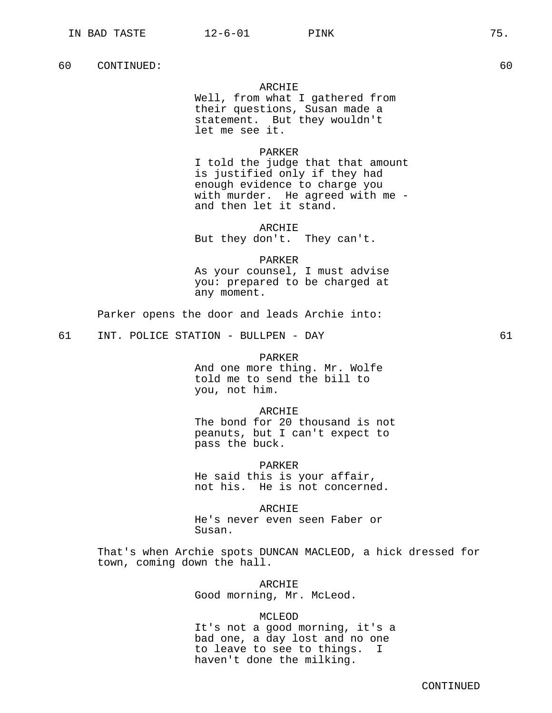## ARCHIE

Well, from what I gathered from their questions, Susan made a statement. But they wouldn't let me see it.

# PARKER

I told the judge that that amount is justified only if they had enough evidence to charge you with murder. He agreed with me and then let it stand.

### ARCHIE

But they don't. They can't.

# PARKER

As your counsel, I must advise you: prepared to be charged at any moment.

Parker opens the door and leads Archie into:

61 INT. POLICE STATION - BULLPEN - DAY 61

# PARKER

And one more thing. Mr. Wolfe told me to send the bill to you, not him.

### ARCHIE

The bond for 20 thousand is not peanuts, but I can't expect to pass the buck.

PARKER

He said this is your affair, not his. He is not concerned.

ARCHIE He's never even seen Faber or Susan.

That's when Archie spots DUNCAN MACLEOD, a hick dressed for town, coming down the hall.

> ARCHIE Good morning, Mr. McLeod.

# MCLEOD

It's not a good morning, it's a bad one, a day lost and no one to leave to see to things. I haven't done the milking.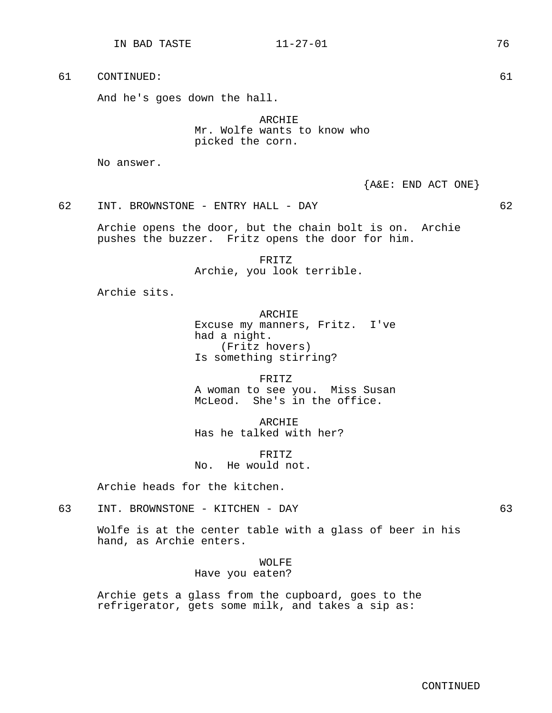And he's goes down the hall.

ARCHIE Mr. Wolfe wants to know who picked the corn.

No answer.

{A&E: END ACT ONE}

62 INT. BROWNSTONE - ENTRY HALL - DAY 62

Archie opens the door, but the chain bolt is on. Archie pushes the buzzer. Fritz opens the door for him.

> FRITZ Archie, you look terrible.

Archie sits.

ARCHIE Excuse my manners, Fritz. I've had a night. (Fritz hovers) Is something stirring?

FRITZ A woman to see you. Miss Susan McLeod. She's in the office.

ARCHIE Has he talked with her?

FRITZ No. He would not.

Archie heads for the kitchen.

63 INT. BROWNSTONE - KITCHEN - DAY 63

Wolfe is at the center table with a glass of beer in his hand, as Archie enters.

> WOLFE Have you eaten?

Archie gets a glass from the cupboard, goes to the refrigerator, gets some milk, and takes a sip as:

IN BAD TASTE 11-27-01 76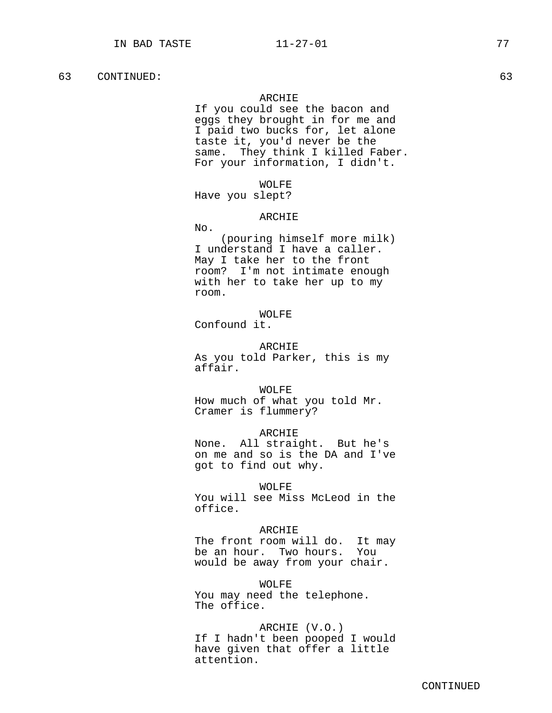### ARCHIE

If you could see the bacon and eggs they brought in for me and I paid two bucks for, let alone taste it, you'd never be the same. They think I killed Faber. For your information, I didn't.

### WOLFE

Have you slept?

# ARCHIE

No.

(pouring himself more milk) I understand I have a caller. May I take her to the front room? I'm not intimate enough with her to take her up to my room.

# WOLFE

Confound it.

ARCHIE As you told Parker, this is my affair.

WOLFE

How much of what you told Mr. Cramer is flummery?

ARCHIE

None. All straight. But he's on me and so is the DA and I've got to find out why.

WOLFE You will see Miss McLeod in the office.

# ARCHIE

The front room will do. It may<br>be an hour. Two hours. You be an hour. Two hours. would be away from your chair.

WOLFE You may need the telephone. The office.

ARCHIE (V.O.) If I hadn't been pooped I would have given that offer a little attention.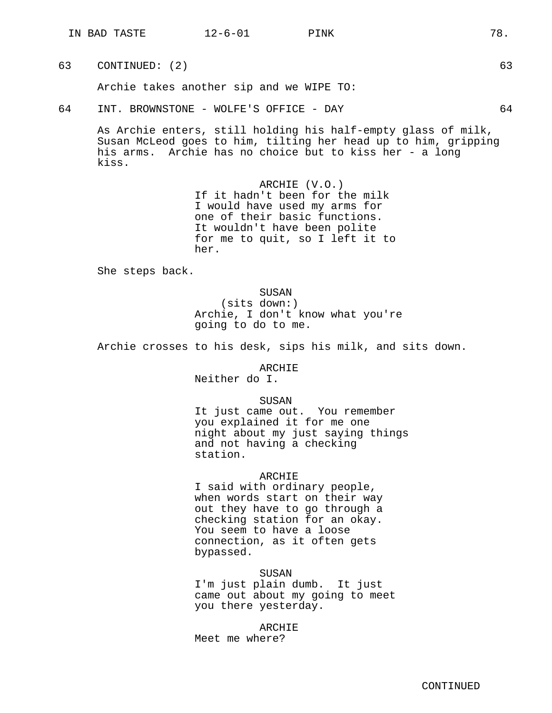Archie takes another sip and we WIPE TO:

# 64 INT. BROWNSTONE - WOLFE'S OFFICE - DAY 64

As Archie enters, still holding his half-empty glass of milk, Susan McLeod goes to him, tilting her head up to him, gripping his arms. Archie has no choice but to kiss her - a long kiss.

> ARCHIE (V.O.) If it hadn't been for the milk I would have used my arms for one of their basic functions. It wouldn't have been polite for me to quit, so I left it to her.

She steps back.

SUSAN (sits down:) Archie, I don't know what you're going to do to me.

Archie crosses to his desk, sips his milk, and sits down.

ARCHIE

Neither do I.

SUSAN

It just came out. You remember you explained it for me one night about my just saying things and not having a checking station.

# ARCHIE

I said with ordinary people, when words start on their way out they have to go through a checking station for an okay. You seem to have a loose connection, as it often gets bypassed.

SUSAN

I'm just plain dumb. It just came out about my going to meet you there yesterday.

ARCHIE Meet me where?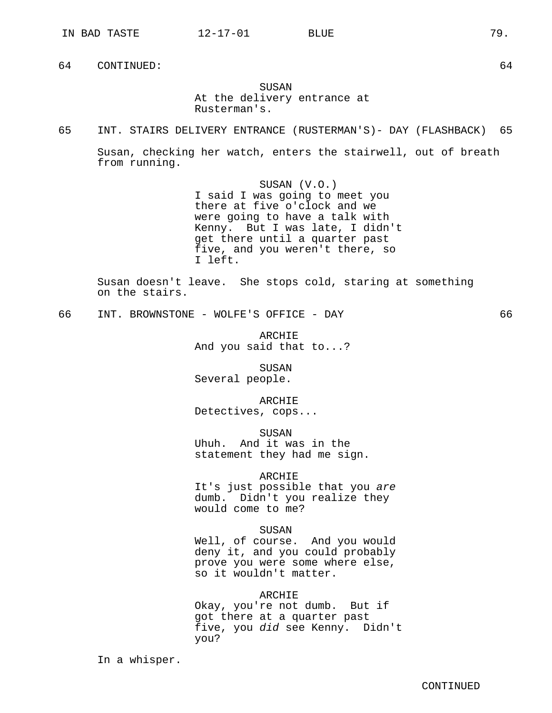# SUSAN At the delivery entrance at Rusterman's.

65 INT. STAIRS DELIVERY ENTRANCE (RUSTERMAN'S)- DAY (FLASHBACK) 65

Susan, checking her watch, enters the stairwell, out of breath from running.

> SUSAN (V.O.) I said I was going to meet you there at five o'clock and we were going to have a talk with Kenny. But I was late, I didn't get there until a quarter past five, and you weren't there, so I left.

Susan doesn't leave. She stops cold, staring at something on the stairs.

66 INT. BROWNSTONE - WOLFE'S OFFICE - DAY 66

ARCHIE And you said that to...?

SUSAN Several people.

ARCHIE

Detectives, cops...

**SUSAN** Uhuh. And it was in the statement they had me sign.

# ARCHIE

It's just possible that you are dumb. Didn't you realize they would come to me?

SUSAN

Well, of course. And you would deny it, and you could probably prove you were some where else, so it wouldn't matter.

ARCHIE

Okay, you're not dumb. But if got there at a quarter past five, you did see Kenny. Didn't you?

In a whisper.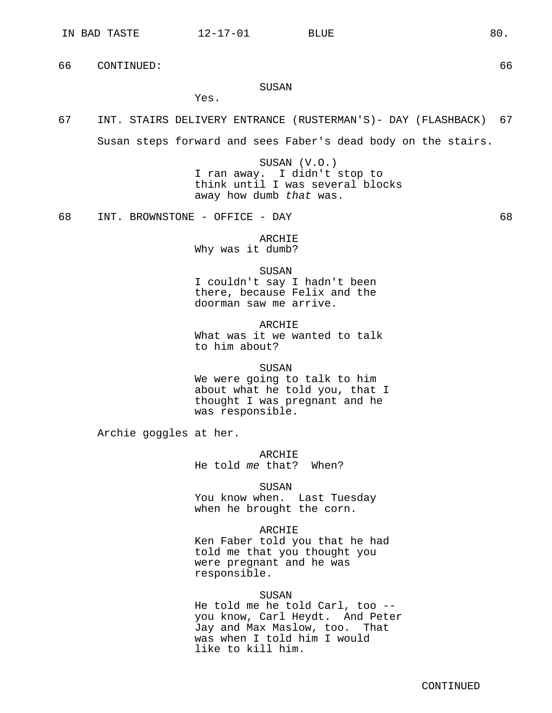Yes.

66 CONTINUED: 66

# SUSAN

67 INT. STAIRS DELIVERY ENTRANCE (RUSTERMAN'S)- DAY (FLASHBACK) 67

Susan steps forward and sees Faber's dead body on the stairs.

SUSAN (V.O.) I ran away. I didn't stop to think until I was several blocks away how dumb that was.

68 INT. BROWNSTONE - OFFICE - DAY 68

ARCHIE Why was it dumb?

### SUSAN

I couldn't say I hadn't been there, because Felix and the doorman saw me arrive.

ARCHIE What was it we wanted to talk to him about?

SUSAN

We were going to talk to him about what he told you, that I thought I was pregnant and he was responsible.

Archie goggles at her.

ARCHIE He told me that? When?

SUSAN

You know when. Last Tuesday when he brought the corn.

ARCHIE

Ken Faber told you that he had told me that you thought you were pregnant and he was responsible.

# SUSAN

He told me he told Carl, too - you know, Carl Heydt. And Peter Jay and Max Maslow, too. That was when I told him I would like to kill him.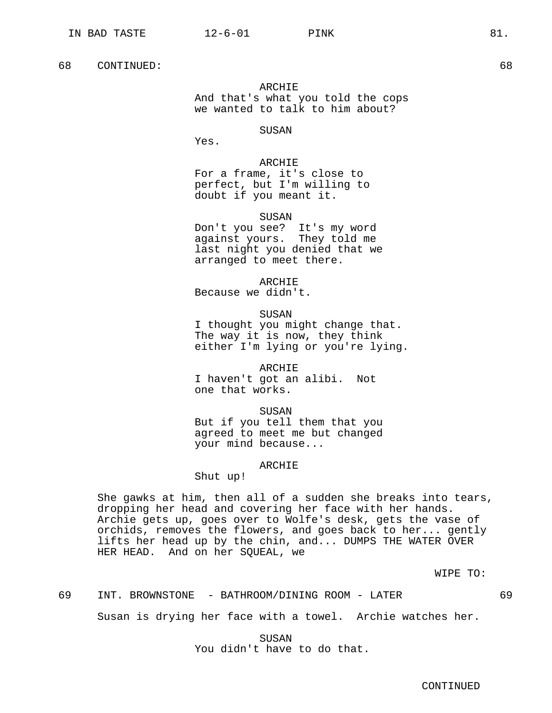ARCHIE And that's what you told the cops we wanted to talk to him about?

SUSAN

Yes.

ARCHIE

For a frame, it's close to perfect, but I'm willing to doubt if you meant it.

SUSAN

Don't you see? It's my word against yours. They told me last night you denied that we arranged to meet there.

ARCHIE

Because we didn't.

SUSAN

I thought you might change that. The way it is now, they think either I'm lying or you're lying.

ARCHIE I haven't got an alibi. Not one that works.

SUSAN But if you tell them that you

agreed to meet me but changed your mind because...

# ARCHIE

Shut up!

She gawks at him, then all of a sudden she breaks into tears, dropping her head and covering her face with her hands. Archie gets up, goes over to Wolfe's desk, gets the vase of orchids, removes the flowers, and goes back to her... gently lifts her head up by the chin, and... DUMPS THE WATER OVER HER HEAD. And on her SQUEAL, we

WIPE TO:

69 INT. BROWNSTONE - BATHROOM/DINING ROOM - LATER 69

Susan is drying her face with a towel. Archie watches her.

SUSAN You didn't have to do that.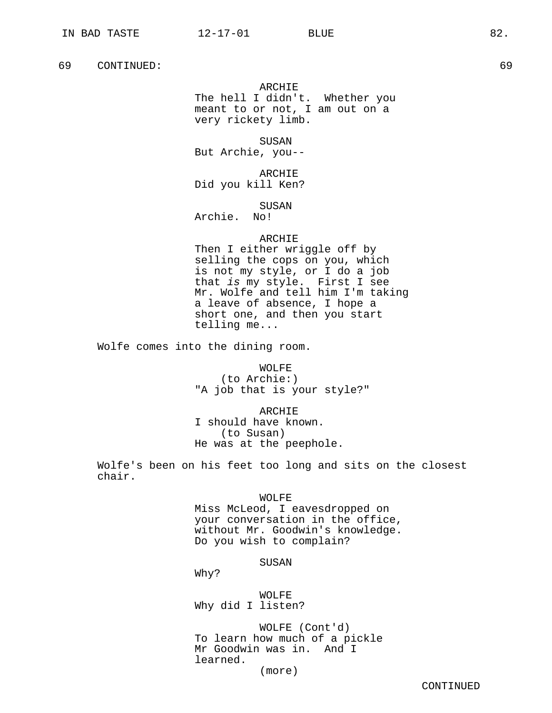ARCHIE The hell I didn't. Whether you meant to or not, I am out on a very rickety limb.

SUSAN But Archie, you--

ARCHIE Did you kill Ken?

SUSAN

Archie. No!

# ARCHIE

Then I either wriggle off by selling the cops on you, which is not my style, or I do a job that is my style. First I see Mr. Wolfe and tell him I'm taking a leave of absence, I hope a short one, and then you start telling me...

Wolfe comes into the dining room.

WOLFE

(to Archie:) "A job that is your style?"

ARCHIE I should have known. (to Susan) He was at the peephole.

Wolfe's been on his feet too long and sits on the closest chair.

WOLFE

Miss McLeod, I eavesdropped on your conversation in the office, without Mr. Goodwin's knowledge. Do you wish to complain?

SUSAN

Why?

WOLFE Why did I listen?

WOLFE (Cont'd) To learn how much of a pickle Mr Goodwin was in. And I learned.

(more)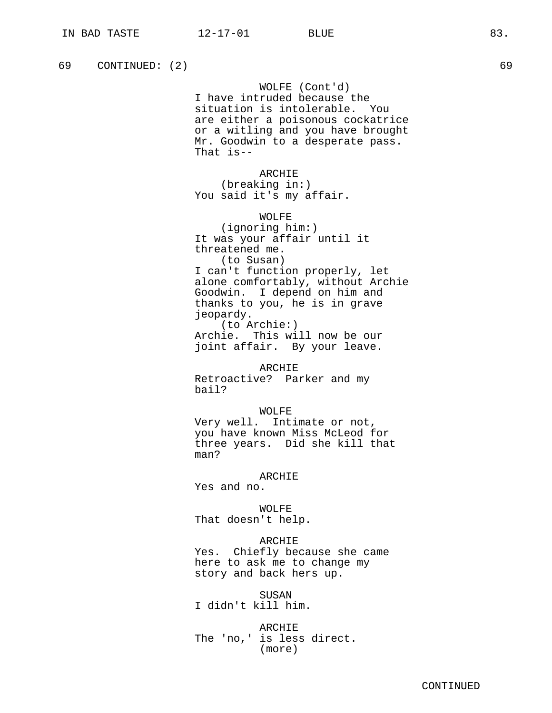WOLFE (Cont'd) I have intruded because the situation is intolerable. You are either a poisonous cockatrice or a witling and you have brought Mr. Goodwin to a desperate pass. That is--

ARCHIE (breaking in:) You said it's my affair.

WOLFE (ignoring him:) It was your affair until it threatened me. (to Susan) I can't function properly, let alone comfortably, without Archie Goodwin. I depend on him and thanks to you, he is in grave jeopardy. (to Archie:) Archie. This will now be our

joint affair. By your leave.

ARCHIE Retroactive? Parker and my bail?

# WOLFE

Very well. Intimate or not, you have known Miss McLeod for three years. Did she kill that man?

# ARCHIE

Yes and no.

WOLFE That doesn't help.

### ARCHIE

Yes. Chiefly because she came here to ask me to change my story and back hers up.

SUSAN I didn't kill him.

ARCHIE The 'no,' is less direct. (more)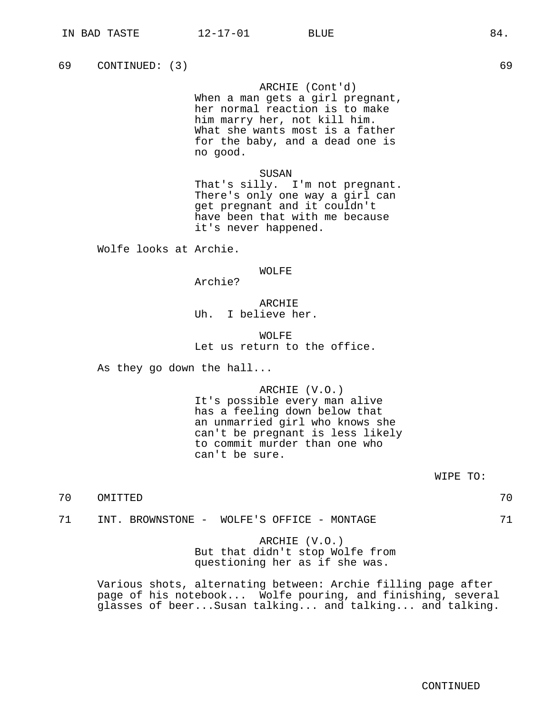ARCHIE (Cont'd)

When a man gets a girl pregnant, her normal reaction is to make him marry her, not kill him. What she wants most is a father for the baby, and a dead one is no good.

### SUSAN

That's silly. I'm not pregnant. There's only one way a girl can get pregnant and it couldn't have been that with me because it's never happened.

Wolfe looks at Archie.

### WOLFE

Archie?

# ARCHIE Uh. I believe her.

# WOLFF. Let us return to the office.

As they go down the hall...

# ARCHIE (V.O.)

It's possible every man alive has a feeling down below that an unmarried girl who knows she can't be pregnant is less likely to commit murder than one who can't be sure.

WIPE TO:

```
70 OMITTED 70
```
71 INT. BROWNSTONE - WOLFE'S OFFICE - MONTAGE 71

# ARCHIE (V.O.) But that didn't stop Wolfe from questioning her as if she was.

Various shots, alternating between: Archie filling page after page of his notebook... Wolfe pouring, and finishing, several glasses of beer...Susan talking... and talking... and talking.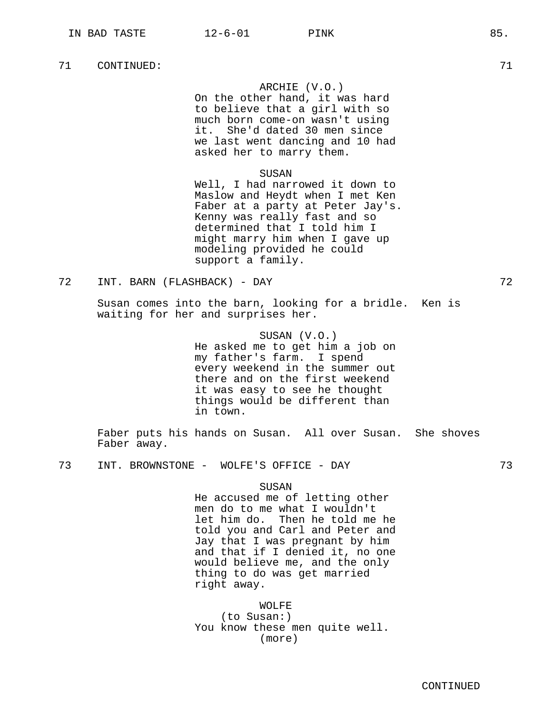### ARCHIE (V.O.)

On the other hand, it was hard to believe that a girl with so much born come-on wasn't using it. She'd dated 30 men since we last went dancing and 10 had asked her to marry them.

### SUSAN

Well, I had narrowed it down to Maslow and Heydt when I met Ken Faber at a party at Peter Jay's. Kenny was really fast and so determined that I told him I might marry him when I gave up modeling provided he could support a family.

Susan comes into the barn, looking for a bridle. Ken is waiting for her and surprises her.

> SUSAN (V.O.) He asked me to get him a job on my father's farm. I spend every weekend in the summer out there and on the first weekend it was easy to see he thought things would be different than in town.

Faber puts his hands on Susan. All over Susan. She shoves Faber away.

73 INT. BROWNSTONE - WOLFE'S OFFICE - DAY 73

SUSAN

He accused me of letting other men do to me what I wouldn't let him do. Then he told me he told you and Carl and Peter and Jay that I was pregnant by him and that if I denied it, no one would believe me, and the only thing to do was get married right away.

WOLFE

(to Susan:) You know these men quite well. (more)

<sup>72</sup> INT. BARN (FLASHBACK) - DAY 72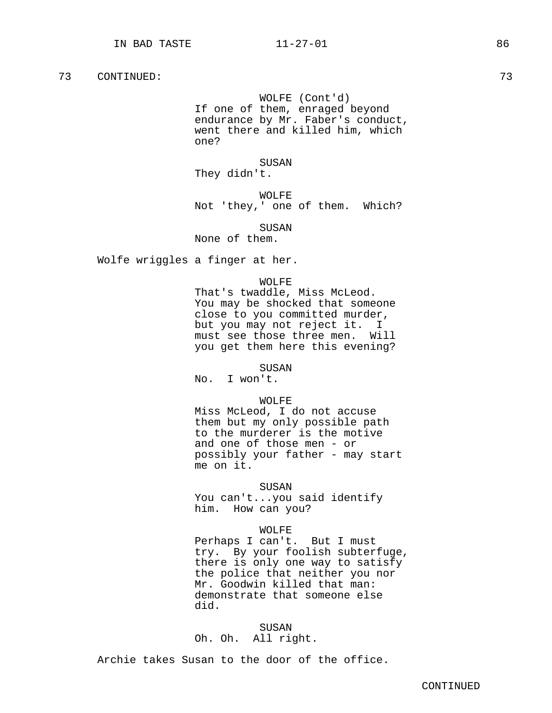# WOLFE (Cont'd)

If one of them, enraged beyond endurance by Mr. Faber's conduct, went there and killed him, which one?

# SUSAN

They didn't.

WOLFE Not 'they,' one of them. Which?

# SUSAN

None of them.

Wolfe wriggles a finger at her.

### WOLFE

That's twaddle, Miss McLeod. You may be shocked that someone close to you committed murder, but you may not reject it. I must see those three men. Will you get them here this evening?

### SUSAN

No. I won't.

### WOLFE

Miss McLeod, I do not accuse them but my only possible path to the murderer is the motive and one of those men - or possibly your father - may start me on it.

### SUSAN

You can't...you said identify him. How can you?

# WOLFE

Perhaps I can't. But I must try. By your foolish subterfuge, there is only one way to satisfy the police that neither you nor Mr. Goodwin killed that man: demonstrate that someone else did.

SUSAN Oh. Oh. All right.

Archie takes Susan to the door of the office.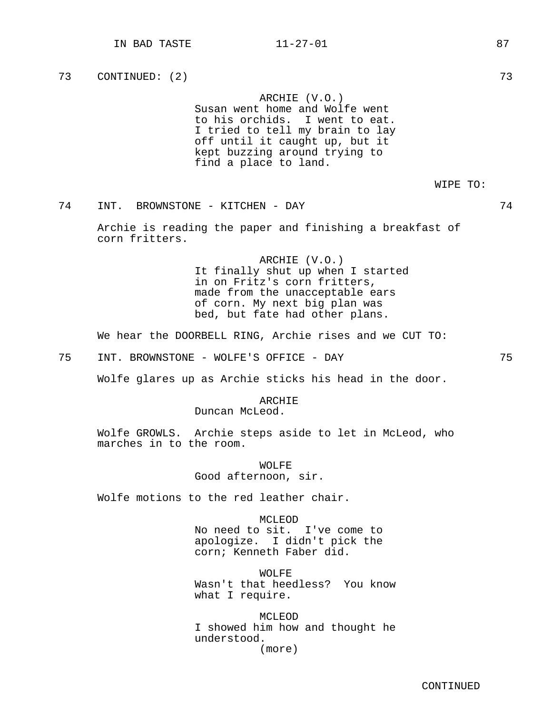ARCHIE (V.O.) Susan went home and Wolfe went to his orchids. I went to eat. I tried to tell my brain to lay off until it caught up, but it kept buzzing around trying to find a place to land.

WIPE TO:

74 INT. BROWNSTONE - KITCHEN - DAY 74

Archie is reading the paper and finishing a breakfast of corn fritters.

> ARCHIE (V.O.) It finally shut up when I started in on Fritz's corn fritters, made from the unacceptable ears of corn. My next big plan was bed, but fate had other plans.

We hear the DOORBELL RING, Archie rises and we CUT TO:

75 INT. BROWNSTONE - WOLFE'S OFFICE - DAY 75

Wolfe glares up as Archie sticks his head in the door.

ARCHIE

Duncan McLeod.

Wolfe GROWLS. Archie steps aside to let in McLeod, who marches in to the room.

> WOLFE Good afternoon, sir.

Wolfe motions to the red leather chair.

MCLEOD No need to sit. I've come to apologize. I didn't pick the corn; Kenneth Faber did.

WOLFF. Wasn't that heedless? You know what I require.

MCLEOD I showed him how and thought he understood. (more)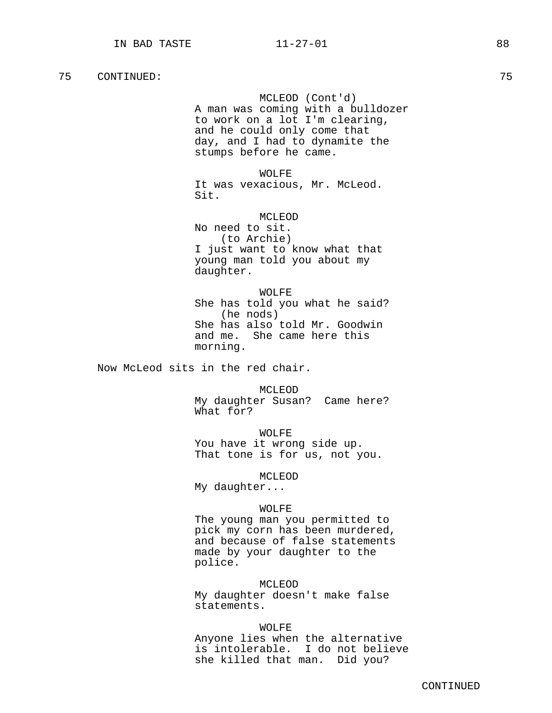# MCLEOD (Cont'd)

A man was coming with a bulldozer to work on a lot I'm clearing, and he could only come that day, and I had to dynamite the stumps before he came.

WOLFE

It was vexacious, Mr. McLeod. Sit.

MCLEOD

No need to sit. (to Archie) I just want to know what that young man told you about my daughter.

WOLFE

She has told you what he said? (he nods) She has also told Mr. Goodwin and me. She came here this morning.

Now McLeod sits in the red chair.

MCLEOD My daughter Susan? Came here? What for?

WOLFE You have it wrong side up. That tone is for us, not you.

MCLEOD

My daughter...

### WOLFE

The young man you permitted to pick my corn has been murdered, and because of false statements made by your daughter to the police.

MCLEOD

My daughter doesn't make false statements.

### WOLFE

Anyone lies when the alternative is intolerable. I do not believe she killed that man. Did you?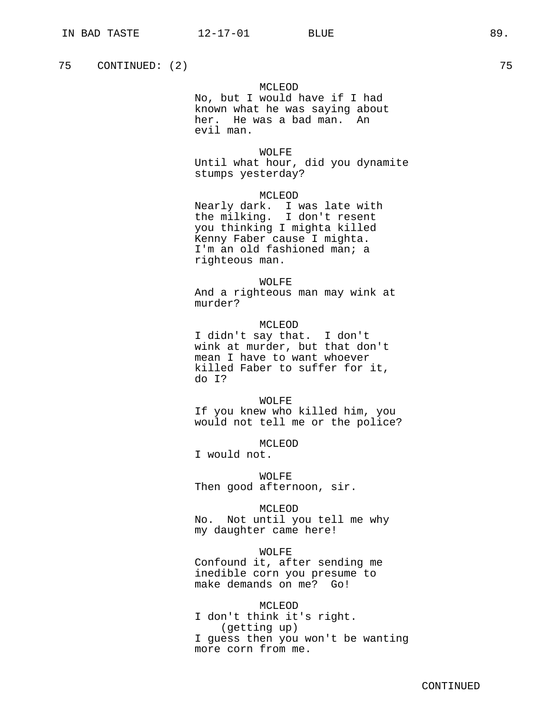# MCLEOD

No, but I would have if I had known what he was saying about her. He was a bad man. An evil man.

# WOLFE

Until what hour, did you dynamite stumps yesterday?

# MCLEOD

Nearly dark. I was late with the milking. I don't resent you thinking I mighta killed Kenny Faber cause I mighta. I'm an old fashioned man; a righteous man.

### WOLFE

And a righteous man may wink at murder?

# MCLEOD

I didn't say that. I don't wink at murder, but that don't mean I have to want whoever killed Faber to suffer for it, do I?

### WOLFE

If you knew who killed him, you would not tell me or the police?

MCLEOD

I would not.

# WOLFE

Then good afternoon, sir.

### MCLEOD

No. Not until you tell me why my daughter came here!

### WOLFE

Confound it, after sending me inedible corn you presume to make demands on me? Go!

# MCLEOD

I don't think it's right. (getting up) I guess then you won't be wanting more corn from me.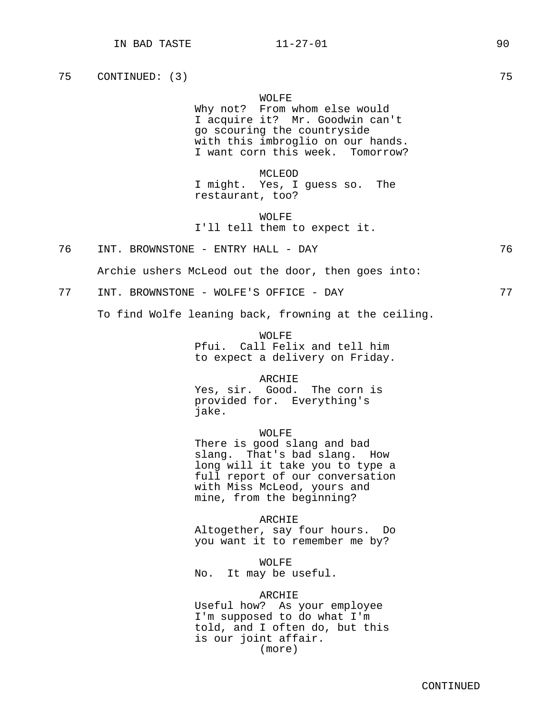### WOLFE

Why not? From whom else would I acquire it? Mr. Goodwin can't go scouring the countryside with this imbroglio on our hands. I want corn this week. Tomorrow?

MCLEOD I might. Yes, I guess so. The restaurant, too?

WOLFE I'll tell them to expect it.

76 INT. BROWNSTONE - ENTRY HALL - DAY 76

Archie ushers McLeod out the door, then goes into:

77 INT. BROWNSTONE - WOLFE'S OFFICE - DAY 77

To find Wolfe leaning back, frowning at the ceiling.

WOLFF. Pfui. Call Felix and tell him to expect a delivery on Friday.

ARCHIE

Yes, sir. Good. The corn is provided for. Everything's jake.

WOLFE

There is good slang and bad slang. That's bad slang. How long will it take you to type a full report of our conversation with Miss McLeod, yours and mine, from the beginning?

ARCHIE

Altogether, say four hours. Do you want it to remember me by?

WOLFE No. It may be useful.

# ARCHIE

Useful how? As your employee I'm supposed to do what I'm told, and I often do, but this is our joint affair. (more)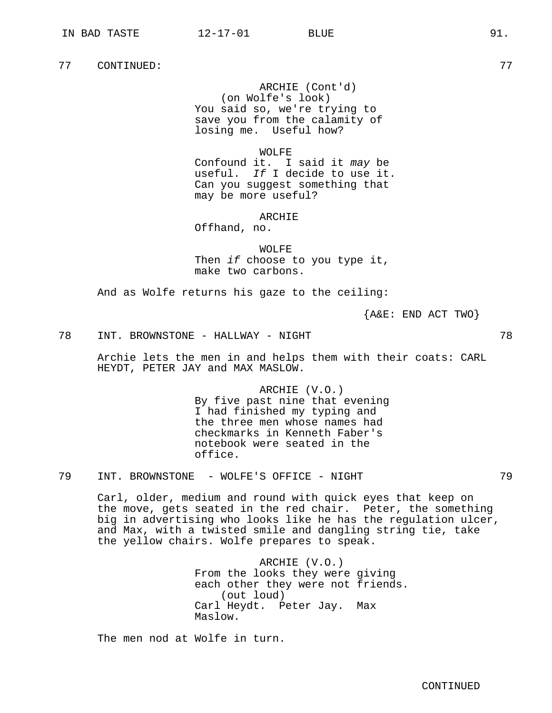ARCHIE (Cont'd) (on Wolfe's look) You said so, we're trying to save you from the calamity of losing me. Useful how?

WOLFE

Confound it. I said it may be useful. If I decide to use it. Can you suggest something that may be more useful?

ARCHIE

Offhand, no.

WOLFE Then if choose to you type it, make two carbons.

And as Wolfe returns his gaze to the ceiling:

{A&E: END ACT TWO}

78 INT. BROWNSTONE - HALLWAY - NIGHT 78

Archie lets the men in and helps them with their coats: CARL HEYDT, PETER JAY and MAX MASLOW.

> ARCHIE (V.O.) By five past nine that evening I had finished my typing and the three men whose names had checkmarks in Kenneth Faber's notebook were seated in the office.

79 INT. BROWNSTONE - WOLFE'S OFFICE - NIGHT 79

Carl, older, medium and round with quick eyes that keep on the move, gets seated in the red chair. Peter, the something big in advertising who looks like he has the regulation ulcer, and Max, with a twisted smile and dangling string tie, take the yellow chairs. Wolfe prepares to speak.

> ARCHIE (V.O.) From the looks they were giving each other they were not friends. (out loud) Carl Heydt. Peter Jay. Max Maslow.

The men nod at Wolfe in turn.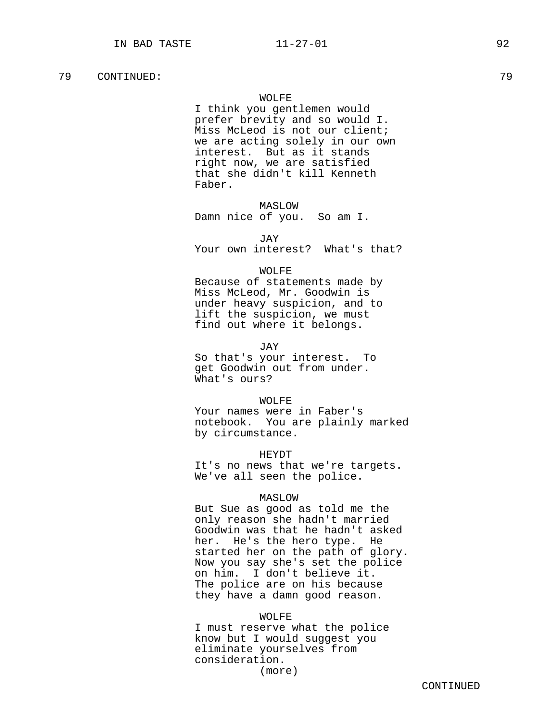### WOLFE

I think you gentlemen would prefer brevity and so would I. Miss McLeod is not our client; we are acting solely in our own interest. But as it stands right now, we are satisfied that she didn't kill Kenneth Faber.

MASLOW

Damn nice of you. So am I.

JAY

Your own interest? What's that?

### WOLFE

Because of statements made by Miss McLeod, Mr. Goodwin is under heavy suspicion, and to lift the suspicion, we must find out where it belongs.

JAY

So that's your interest. To get Goodwin out from under. What's ours?

### WOLFE

Your names were in Faber's notebook. You are plainly marked by circumstance.

# HEYDT

It's no news that we're targets. We've all seen the police.

# MASLOW

But Sue as good as told me the only reason she hadn't married Goodwin was that he hadn't asked her. He's the hero type. He started her on the path of glory. Now you say she's set the police on him. I don't believe it. The police are on his because they have a damn good reason.

### WOLFE

I must reserve what the police know but I would suggest you eliminate yourselves from consideration.

(more)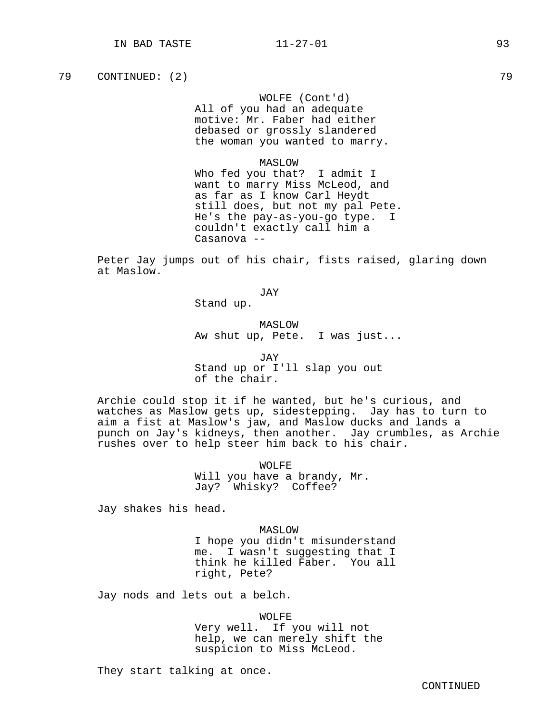# WOLFE (Cont'd)

All of you had an adequate motive: Mr. Faber had either debased or grossly slandered the woman you wanted to marry.

### MASLOW

Who fed you that? I admit I want to marry Miss McLeod, and as far as I know Carl Heydt still does, but not my pal Pete. He's the pay-as-you-go type. I couldn't exactly call him a Casanova --

Peter Jay jumps out of his chair, fists raised, glaring down at Maslow.

JAY

Stand up.

MASLOW Aw shut up, Pete. I was just...

JAY Stand up or I'll slap you out of the chair.

Archie could stop it if he wanted, but he's curious, and watches as Maslow gets up, sidestepping. Jay has to turn to aim a fist at Maslow's jaw, and Maslow ducks and lands a punch on Jay's kidneys, then another. Jay crumbles, as Archie rushes over to help steer him back to his chair.

> WOLFE Will you have a brandy, Mr. Jay? Whisky? Coffee?

Jay shakes his head.

MASLOW I hope you didn't misunderstand me. I wasn't suggesting that I think he killed Faber. You all right, Pete?

Jay nods and lets out a belch.

WOLFE

Very well. If you will not help, we can merely shift the suspicion to Miss McLeod.

They start talking at once.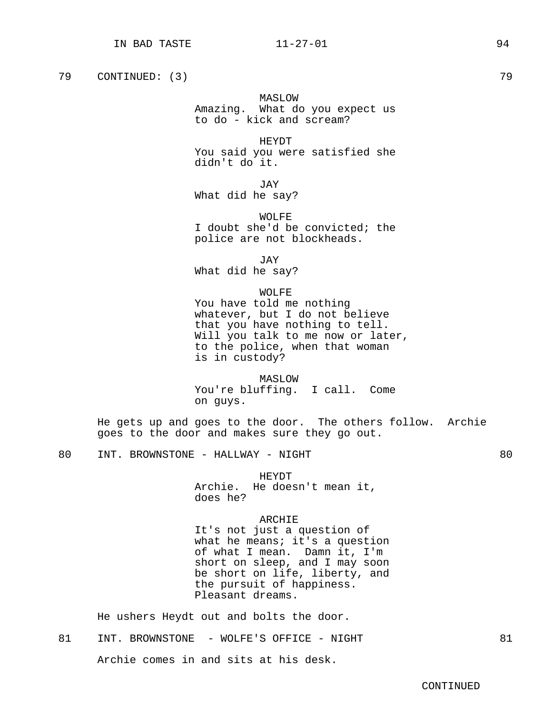# MASLOW

Amazing. What do you expect us to do - kick and scream?

# HEYDT

You said you were satisfied she didn't do it.

JTAY

What did he say?

WOLFE I doubt she'd be convicted; the police are not blockheads.

JAY

What did he say?

### WOLFE

You have told me nothing whatever, but I do not believe that you have nothing to tell. Will you talk to me now or later, to the police, when that woman is in custody?

### MASLOW

You're bluffing. I call. Come on guys.

He gets up and goes to the door. The others follow. Archie goes to the door and makes sure they go out.

# HEYDT

Archie. He doesn't mean it, does he?

# ARCHIE

It's not just a question of what he means; it's a question of what I mean. Damn it, I'm short on sleep, and I may soon be short on life, liberty, and the pursuit of happiness. Pleasant dreams.

He ushers Heydt out and bolts the door.

81 INT. BROWNSTONE - WOLFE'S OFFICE - NIGHT 81

Archie comes in and sits at his desk.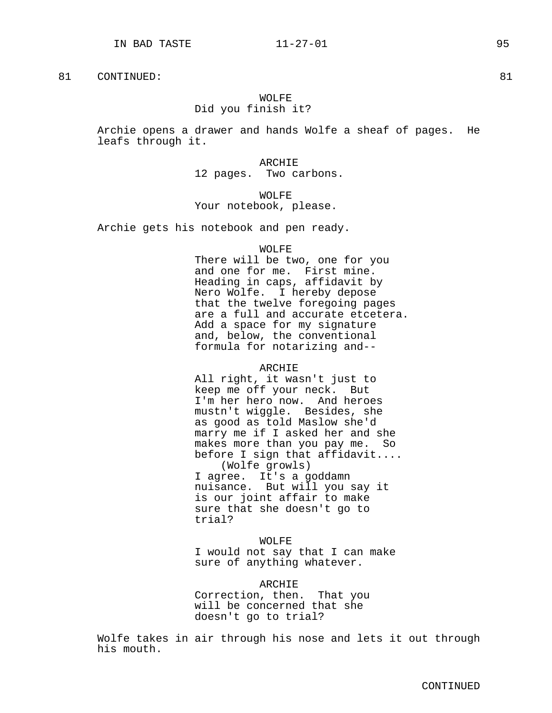# WOLFF. Did you finish it?

Archie opens a drawer and hands Wolfe a sheaf of pages. He leafs through it.

> ARCHIE 12 pages. Two carbons.

WOLFF. Your notebook, please.

Archie gets his notebook and pen ready.

### WOLFE

There will be two, one for you and one for me. First mine. Heading in caps, affidavit by Nero Wolfe. I hereby depose that the twelve foregoing pages are a full and accurate etcetera. Add a space for my signature and, below, the conventional formula for notarizing and--

### ARCHIE

All right, it wasn't just to keep me off your neck. But I'm her hero now. And heroes mustn't wiggle. Besides, she as good as told Maslow she'd marry me if I asked her and she makes more than you pay me. So before I sign that affidavit.... (Wolfe growls) I agree. It's a goddamn nuisance. But will you say it is our joint affair to make sure that she doesn't go to trial?

### WOLFE

I would not say that I can make sure of anything whatever.

### ARCHIE

Correction, then. That you will be concerned that she doesn't go to trial?

Wolfe takes in air through his nose and lets it out through his mouth.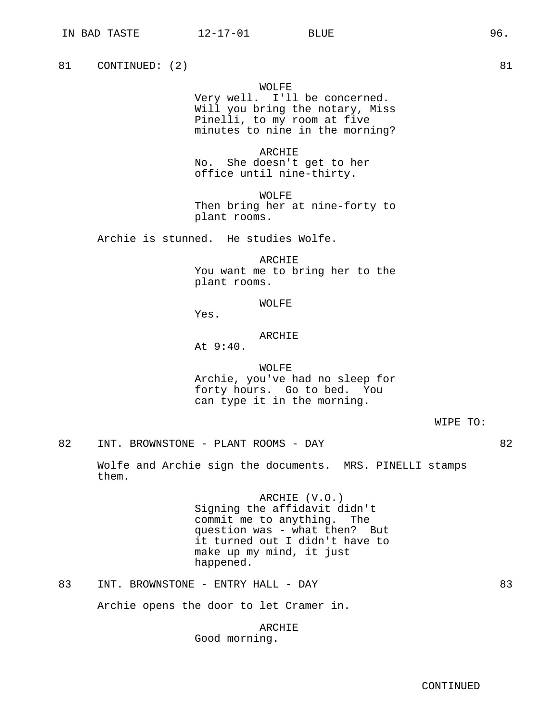# WOLFE

Very well. I'll be concerned. Will you bring the notary, Miss Pinelli, to my room at five minutes to nine in the morning?

ARCHIE No. She doesn't get to her office until nine-thirty.

WOLFF. Then bring her at nine-forty to plant rooms.

Archie is stunned. He studies Wolfe.

ARCHIE You want me to bring her to the plant rooms.

WOLFE

Yes.

### ARCHIE

At 9:40.

WOLFE Archie, you've had no sleep for forty hours. Go to bed. You can type it in the morning.

WIPE TO:

82 INT. BROWNSTONE - PLANT ROOMS - DAY 62

Wolfe and Archie sign the documents. MRS. PINELLI stamps them.

> ARCHIE (V.O.) Signing the affidavit didn't commit me to anything. The question was - what then? But it turned out I didn't have to make up my mind, it just happened.

83 INT. BROWNSTONE - ENTRY HALL - DAY 63

Archie opens the door to let Cramer in.

ARCHIE Good morning.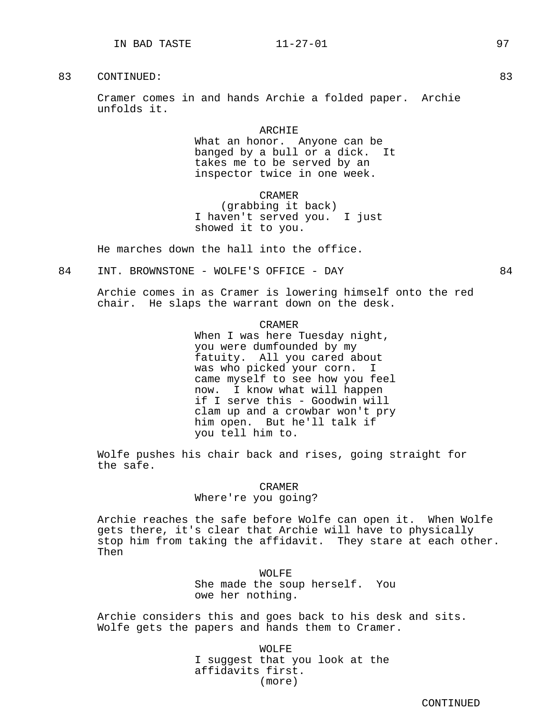Cramer comes in and hands Archie a folded paper. Archie unfolds it.

### ARCHIE

What an honor. Anyone can be banged by a bull or a dick. It takes me to be served by an inspector twice in one week.

### CRAMER

(grabbing it back) I haven't served you. I just showed it to you.

He marches down the hall into the office.

84 INT. BROWNSTONE - WOLFE'S OFFICE - DAY 64

Archie comes in as Cramer is lowering himself onto the red chair. He slaps the warrant down on the desk.

### CRAMER

When I was here Tuesday night, you were dumfounded by my fatuity. All you cared about was who picked your corn. I came myself to see how you feel now. I know what will happen if I serve this - Goodwin will clam up and a crowbar won't pry him open. But he'll talk if you tell him to.

Wolfe pushes his chair back and rises, going straight for the safe.

### CRAMER

Where're you going?

Archie reaches the safe before Wolfe can open it. When Wolfe gets there, it's clear that Archie will have to physically stop him from taking the affidavit. They stare at each other. Then

> WOLFE She made the soup herself. You owe her nothing.

Archie considers this and goes back to his desk and sits. Wolfe gets the papers and hands them to Cramer.

> WOLFE I suggest that you look at the affidavits first. (more)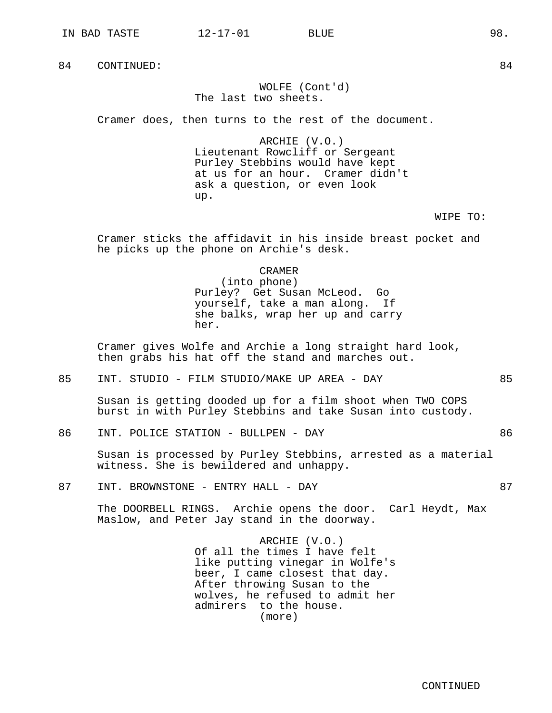# WOLFE (Cont'd) The last two sheets.

Cramer does, then turns to the rest of the document.

ARCHIE (V.O.) Lieutenant Rowcliff or Sergeant Purley Stebbins would have kept at us for an hour. Cramer didn't ask a question, or even look up.

WIPE TO:

Cramer sticks the affidavit in his inside breast pocket and he picks up the phone on Archie's desk.

CRAMER

(into phone) Purley? Get Susan McLeod. Go yourself, take a man along. If she balks, wrap her up and carry her.

Cramer gives Wolfe and Archie a long straight hard look, then grabs his hat off the stand and marches out.

85 INT. STUDIO - FILM STUDIO/MAKE UP AREA - DAY 85

Susan is getting dooded up for a film shoot when TWO COPS burst in with Purley Stebbins and take Susan into custody.

86 INT. POLICE STATION - BULLPEN - DAY 86

Susan is processed by Purley Stebbins, arrested as a material witness. She is bewildered and unhappy.

87 INT. BROWNSTONE - ENTRY HALL - DAY 67

The DOORBELL RINGS. Archie opens the door. Carl Heydt, Max Maslow, and Peter Jay stand in the doorway.

> ARCHIE (V.O.) Of all the times I have felt like putting vinegar in Wolfe's beer, I came closest that day. After throwing Susan to the wolves, he refused to admit her admirers to the house. (more)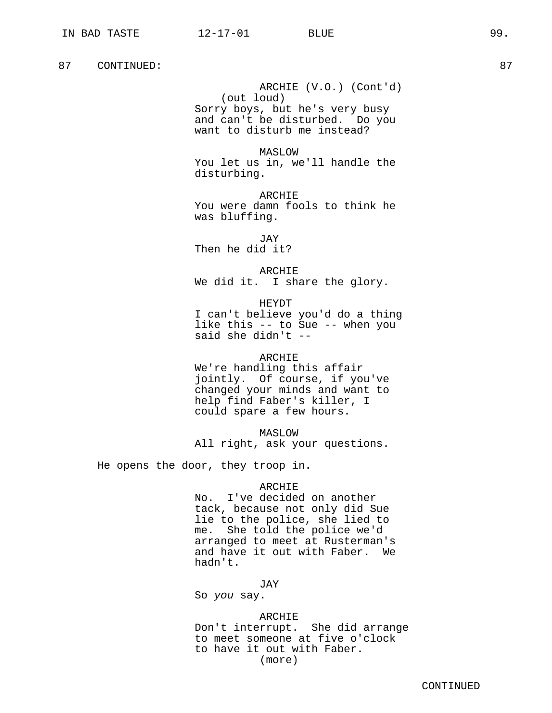ARCHIE (V.O.) (Cont'd) (out loud) Sorry boys, but he's very busy and can't be disturbed. Do you want to disturb me instead?

MASLOW You let us in, we'll handle the disturbing.

ARCHIE You were damn fools to think he was bluffing.

JAY Then he did it?

ARCHIE We did it. I share the glory.

HEYDT I can't believe you'd do a thing like this -- to Sue -- when you said she didn't --

#### ARCHIE

We're handling this affair jointly. Of course, if you've changed your minds and want to help find Faber's killer, I could spare a few hours.

MASLOW All right, ask your questions.

He opens the door, they troop in.

#### ARCHIE

No. I've decided on another tack, because not only did Sue lie to the police, she lied to me. She told the police we'd arranged to meet at Rusterman's and have it out with Faber. We hadn't.

JAY

So you say.

#### ARCHIE

Don't interrupt. She did arrange to meet someone at five o'clock to have it out with Faber. (more)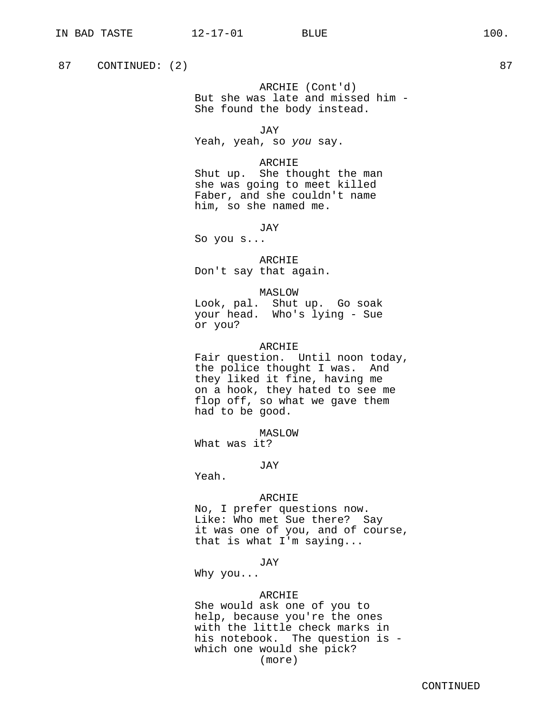87 CONTINUED: (2) 87

ARCHIE (Cont'd) But she was late and missed him - She found the body instead.

JAY

Yeah, yeah, so you say.

## ARCHIE

Shut up. She thought the man she was going to meet killed Faber, and she couldn't name him, so she named me.

JAY

So you s...

ARCHIE Don't say that again.

#### MASLOW

Look, pal. Shut up. Go soak your head. Who's lying - Sue or you?

## ARCHIE

Fair question. Until noon today, the police thought I was. And they liked it fine, having me on a hook, they hated to see me flop off, so what we gave them had to be good.

MASLOW

What was it?

#### JAY

Yeah.

#### ARCHIE

No, I prefer questions now. Like: Who met Sue there? Say it was one of you, and of course, that is what I'm saying...

JAY

Why you...

## ARCHIE

She would ask one of you to help, because you're the ones with the little check marks in his notebook. The question is which one would she pick? (more)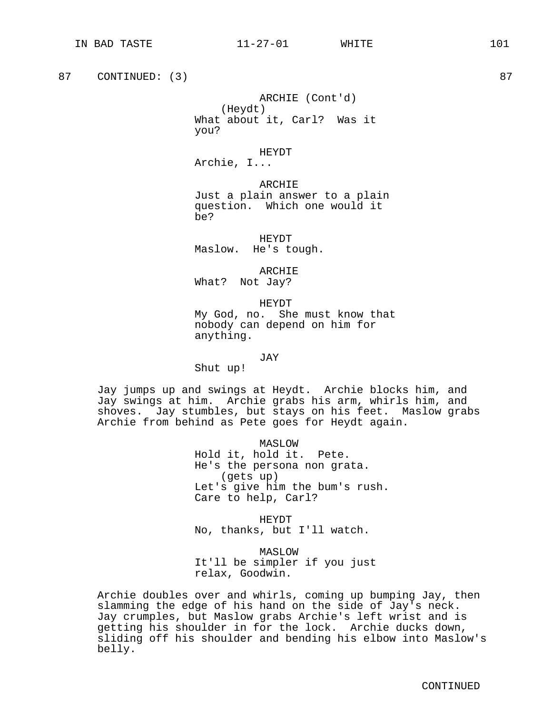87 CONTINUED: (3) 87

ARCHIE (Cont'd) (Heydt) What about it, Carl? Was it you?

HEYDT

Archie, I...

ARCHIE Just a plain answer to a plain question. Which one would it be?

HEYDT Maslow. He's tough.

ARCHIE What? Not Jay?

HEYDT My God, no. She must know that nobody can depend on him for anything.

JAY

Shut up!

Jay jumps up and swings at Heydt. Archie blocks him, and Jay swings at him. Archie grabs his arm, whirls him, and shoves. Jay stumbles, but stays on his feet. Maslow grabs Archie from behind as Pete goes for Heydt again.

> MASLOW Hold it, hold it. Pete. He's the persona non grata. (gets up) Let's give him the bum's rush. Care to help, Carl?

HEYDT No, thanks, but I'll watch.

MASLOW It'll be simpler if you just relax, Goodwin.

Archie doubles over and whirls, coming up bumping Jay, then slamming the edge of his hand on the side of Jay's neck. Jay crumples, but Maslow grabs Archie's left wrist and is getting his shoulder in for the lock. Archie ducks down, sliding off his shoulder and bending his elbow into Maslow's belly.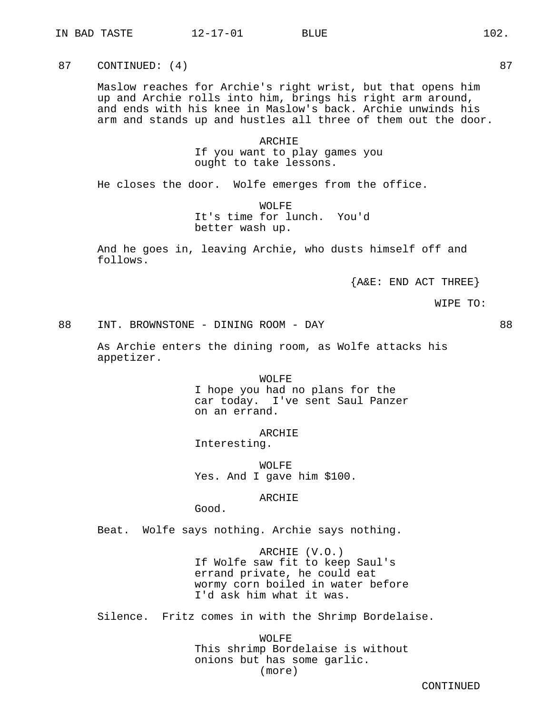87 CONTINUED: (4) 87

Maslow reaches for Archie's right wrist, but that opens him up and Archie rolls into him, brings his right arm around, and ends with his knee in Maslow's back. Archie unwinds his arm and stands up and hustles all three of them out the door.

> ARCHIE If you want to play games you ought to take lessons.

He closes the door. Wolfe emerges from the office.

WOLFE It's time for lunch. You'd better wash up.

And he goes in, leaving Archie, who dusts himself off and follows.

{A&E: END ACT THREE}

WIPE TO:

88 INT. BROWNSTONE - DINING ROOM - DAY 88

As Archie enters the dining room, as Wolfe attacks his appetizer.

> WOLFE I hope you had no plans for the car today. I've sent Saul Panzer on an errand.

ARCHIE Interesting.

WOLFE Yes. And I gave him \$100.

## ARCHIE

Good.

Beat. Wolfe says nothing. Archie says nothing.

ARCHIE (V.O.) If Wolfe saw fit to keep Saul's errand private, he could eat wormy corn boiled in water before I'd ask him what it was.

Silence. Fritz comes in with the Shrimp Bordelaise.

WOLFE This shrimp Bordelaise is without onions but has some garlic. (more)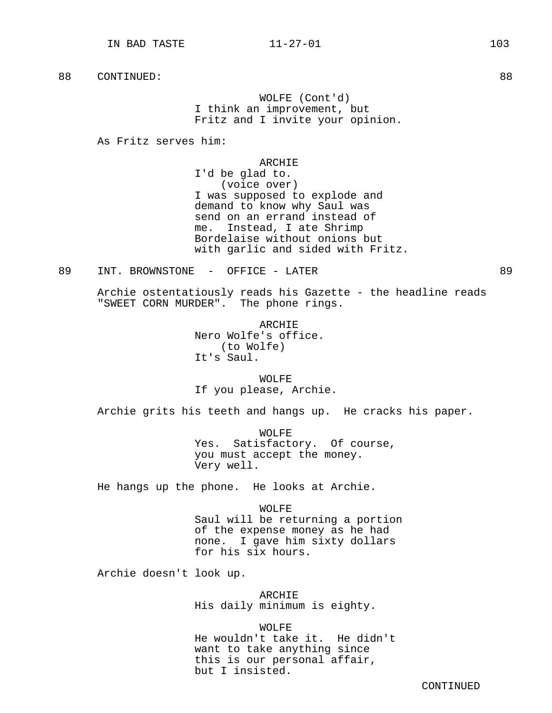WOLFE (Cont'd) I think an improvement, but Fritz and I invite your opinion.

As Fritz serves him:

#### ARCHIE

I'd be glad to. (voice over) I was supposed to explode and demand to know why Saul was send on an errand instead of me. Instead, I ate Shrimp Bordelaise without onions but with garlic and sided with Fritz.

89 INT. BROWNSTONE - OFFICE - LATER 89

Archie ostentatiously reads his Gazette - the headline reads "SWEET CORN MURDER". The phone rings.

> ARCHIE Nero Wolfe's office. (to Wolfe) It's Saul.

WOLFE If you please, Archie.

Archie grits his teeth and hangs up. He cracks his paper.

WOLFF. Yes. Satisfactory. Of course, you must accept the money. Very well.

He hangs up the phone. He looks at Archie.

WOLFE Saul will be returning a portion of the expense money as he had none. I gave him sixty dollars for his six hours.

Archie doesn't look up.

ARCHIE His daily minimum is eighty.

WOLFE He wouldn't take it. He didn't want to take anything since this is our personal affair, but I insisted.

CONTINUED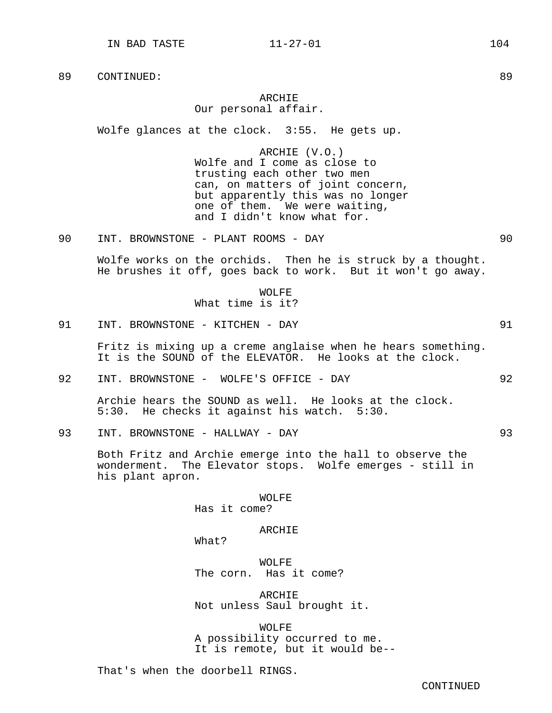# ARCHIE

# Our personal affair.

Wolfe glances at the clock. 3:55. He gets up.

ARCHIE (V.O.) Wolfe and I come as close to trusting each other two men can, on matters of joint concern, but apparently this was no longer one of them. We were waiting, and I didn't know what for.

90 INT. BROWNSTONE - PLANT ROOMS - DAY 90

Wolfe works on the orchids. Then he is struck by a thought. He brushes it off, goes back to work. But it won't go away.

> WOLFE What time is it?

91 INT. BROWNSTONE - KITCHEN - DAY 91

Fritz is mixing up a creme anglaise when he hears something. It is the SOUND of the ELEVATOR. He looks at the clock.

92 INT. BROWNSTONE - WOLFE'S OFFICE - DAY 92

Archie hears the SOUND as well. He looks at the clock. 5:30. He checks it against his watch. 5:30.

93 INT. BROWNSTONE - HALLWAY - DAY 93

Both Fritz and Archie emerge into the hall to observe the wonderment. The Elevator stops. Wolfe emerges - still in his plant apron.

WOLFE

Has it come?

#### ARCHIE

What?

WOLFE The corn. Has it come?

ARCHIE Not unless Saul brought it.

WOLFE A possibility occurred to me. It is remote, but it would be--

That's when the doorbell RINGS.

CONTINUED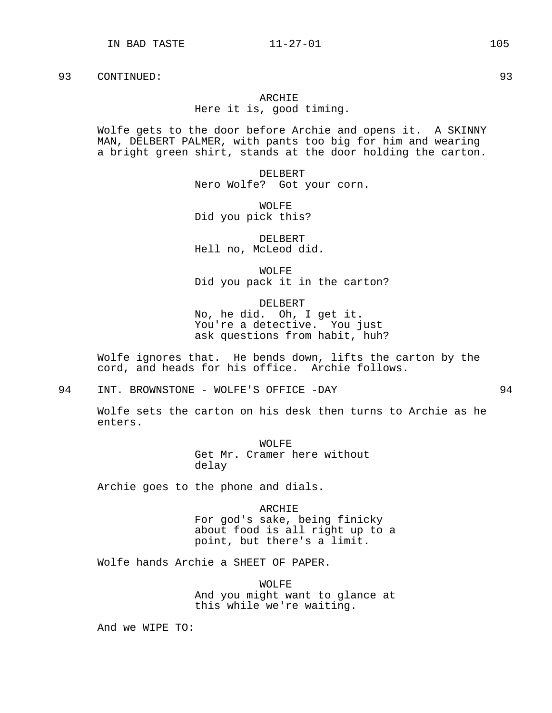#### ARCHIE

Here it is, good timing.

Wolfe gets to the door before Archie and opens it. A SKINNY MAN, DELBERT PALMER, with pants too big for him and wearing a bright green shirt, stands at the door holding the carton.

> DELBERT Nero Wolfe? Got your corn.

WOLFE Did you pick this?

DELBERT Hell no, McLeod did.

WOLFE Did you pack it in the carton?

DELBERT No, he did. Oh, I get it. You're a detective. You just ask questions from habit, huh?

Wolfe ignores that. He bends down, lifts the carton by the cord, and heads for his office. Archie follows.

94 INT. BROWNSTONE - WOLFE'S OFFICE -DAY 94

Wolfe sets the carton on his desk then turns to Archie as he enters.

> WOLFE Get Mr. Cramer here without delay

Archie goes to the phone and dials.

ARCHIE For god's sake, being finicky about food is all right up to a point, but there's a limit.

Wolfe hands Archie a SHEET OF PAPER.

WOLFE And you might want to glance at this while we're waiting.

And we WIPE TO: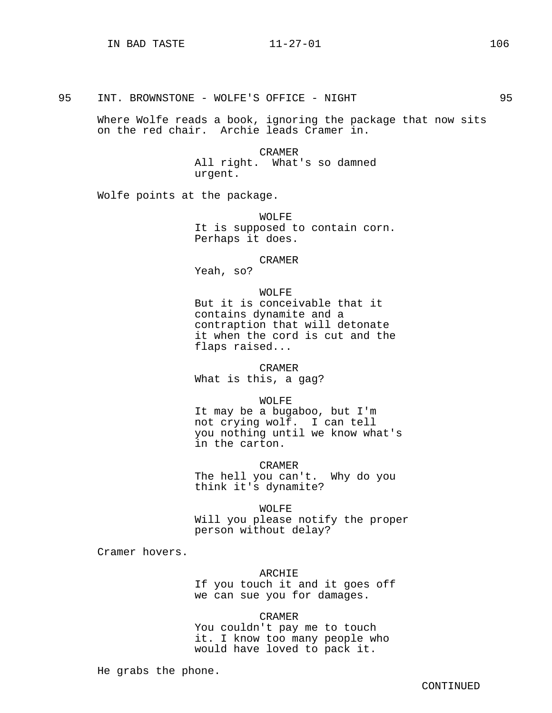Where Wolfe reads a book, ignoring the package that now sits on the red chair. Archie leads Cramer in.

> CRAMER All right. What's so damned urgent.

Wolfe points at the package.

WOLFE It is supposed to contain corn. Perhaps it does.

#### CRAMER

Yeah, so?

#### WOLFE

But it is conceivable that it contains dynamite and a contraption that will detonate it when the cord is cut and the flaps raised...

CRAMER

What is this, a gag?

WOLFE

It may be a bugaboo, but I'm not crying wolf. I can tell you nothing until we know what's in the carton.

CRAMER The hell you can't. Why do you think it's dynamite?

WOLFE Will you please notify the proper person without delay?

Cramer hovers.

#### ARCHIE

If you touch it and it goes off we can sue you for damages.

# CRAMER

You couldn't pay me to touch it. I know too many people who would have loved to pack it.

He grabs the phone.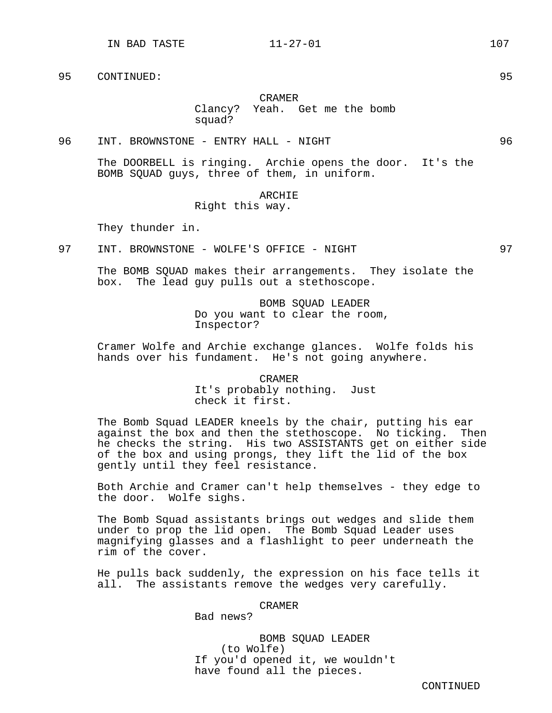# CRAMER Clancy? Yeah. Get me the bomb squad?

96 INT. BROWNSTONE - ENTRY HALL - NIGHT 96

The DOORBELL is ringing. Archie opens the door. It's the BOMB SQUAD guys, three of them, in uniform.

#### ARCHIE

Right this way.

They thunder in.

97 INT. BROWNSTONE - WOLFE'S OFFICE - NIGHT 97

The BOMB SQUAD makes their arrangements. They isolate the box. The lead guy pulls out a stethoscope.

> BOMB SQUAD LEADER Do you want to clear the room, Inspector?

Cramer Wolfe and Archie exchange glances. Wolfe folds his hands over his fundament. He's not going anywhere.

#### CRAMER

It's probably nothing. Just check it first.

The Bomb Squad LEADER kneels by the chair, putting his ear against the box and then the stethoscope. No ticking. Then he checks the string. His two ASSISTANTS get on either side of the box and using prongs, they lift the lid of the box gently until they feel resistance.

Both Archie and Cramer can't help themselves - they edge to the door. Wolfe sighs.

The Bomb Squad assistants brings out wedges and slide them under to prop the lid open. The Bomb Squad Leader uses magnifying glasses and a flashlight to peer underneath the rim of the cover.

He pulls back suddenly, the expression on his face tells it all. The assistants remove the wedges very carefully.

CRAMER

Bad news?

BOMB SQUAD LEADER (to Wolfe) If you'd opened it, we wouldn't have found all the pieces.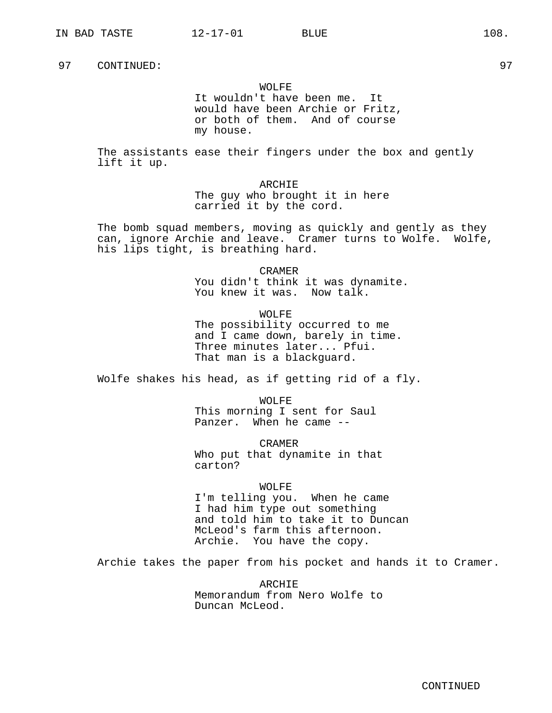## WOLFE

It wouldn't have been me. It would have been Archie or Fritz, or both of them. And of course my house.

The assistants ease their fingers under the box and gently lift it up.

> ARCHIE The guy who brought it in here carried it by the cord.

The bomb squad members, moving as quickly and gently as they can, ignore Archie and leave. Cramer turns to Wolfe. Wolfe, his lips tight, is breathing hard.

> CRAMER You didn't think it was dynamite.

You knew it was. Now talk.

WOLFF.

The possibility occurred to me and I came down, barely in time. Three minutes later... Pfui. That man is a blackguard.

Wolfe shakes his head, as if getting rid of a fly.

WOLFE This morning I sent for Saul Panzer. When he came --

CRAMER Who put that dynamite in that carton?

WOLFE I'm telling you. When he came I had him type out something and told him to take it to Duncan McLeod's farm this afternoon.

Archie. You have the copy.

Archie takes the paper from his pocket and hands it to Cramer.

ARCHIE Memorandum from Nero Wolfe to Duncan McLeod.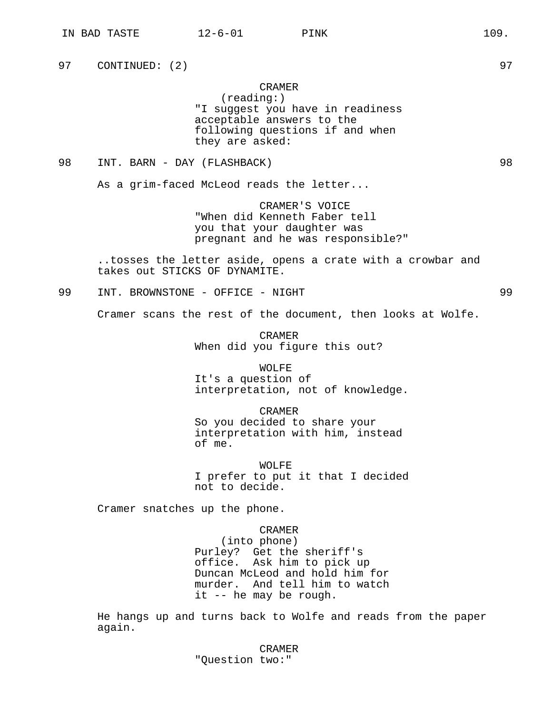97 CONTINUED: (2) 97

## CRAMER

(reading:) "I suggest you have in readiness acceptable answers to the following questions if and when they are asked:

98 INT. BARN - DAY (FLASHBACK) 98

As a grim-faced McLeod reads the letter...

CRAMER'S VOICE "When did Kenneth Faber tell you that your daughter was pregnant and he was responsible?"

..tosses the letter aside, opens a crate with a crowbar and takes out STICKS OF DYNAMITE.

99 INT. BROWNSTONE - OFFICE - NIGHT 99

Cramer scans the rest of the document, then looks at Wolfe.

CRAMER When did you figure this out?

WOLFE It's a question of interpretation, not of knowledge.

CRAMER So you decided to share your interpretation with him, instead of me.

WOLFE I prefer to put it that I decided not to decide.

Cramer snatches up the phone.

CRAMER (into phone) Purley? Get the sheriff's office. Ask him to pick up Duncan McLeod and hold him for murder. And tell him to watch it -- he may be rough.

He hangs up and turns back to Wolfe and reads from the paper again.

> CRAMER "Question two:"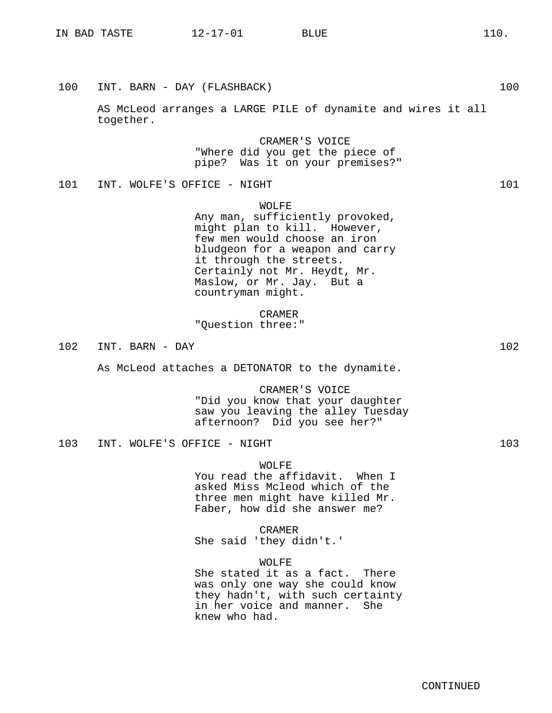| 100 | INT. BARN - DAY (FLASHBACK)                                                                                                                                                                                                                              | 100 |
|-----|----------------------------------------------------------------------------------------------------------------------------------------------------------------------------------------------------------------------------------------------------------|-----|
|     | AS McLeod arranges a LARGE PILE of dynamite and wires it all<br>together.                                                                                                                                                                                |     |
|     | CRAMER'S VOICE<br>"Where did you get the piece of<br>pipe? Was it on your premises?"                                                                                                                                                                     |     |
| 101 | INT. WOLFE'S OFFICE - NIGHT                                                                                                                                                                                                                              | 101 |
|     | WOLFE<br>Any man, sufficiently provoked,<br>might plan to kill. However,<br>few men would choose an iron<br>bludgeon for a weapon and carry<br>it through the streets.<br>Certainly not Mr. Heydt, Mr.<br>Maslow, or Mr. Jay. But a<br>countryman might. |     |
|     | CRAMER<br>"Question three:"                                                                                                                                                                                                                              |     |
| 102 | INT. BARN - DAY                                                                                                                                                                                                                                          | 102 |
|     | As McLeod attaches a DETONATOR to the dynamite.                                                                                                                                                                                                          |     |
|     | CRAMER'S VOICE<br>"Did you know that your daughter<br>saw you leaving the alley Tuesday<br>afternoon? Did you see her?"                                                                                                                                  |     |
| 103 | INT. WOLFE'S OFFICE - NIGHT                                                                                                                                                                                                                              | 103 |
|     | <b>WOLFE</b><br>You read the affidavit. When I<br>asked Miss Mcleod which of the<br>three men might have killed Mr.<br>Faber, how did she answer me?                                                                                                     |     |
|     | CRAMER<br>She said 'they didn't.'                                                                                                                                                                                                                        |     |
|     | WOLFE<br>She stated it as a fact. There<br>was only one way she could know<br>they hadn't, with such certainty<br>in her voice and manner.<br>She<br>knew who had.                                                                                       |     |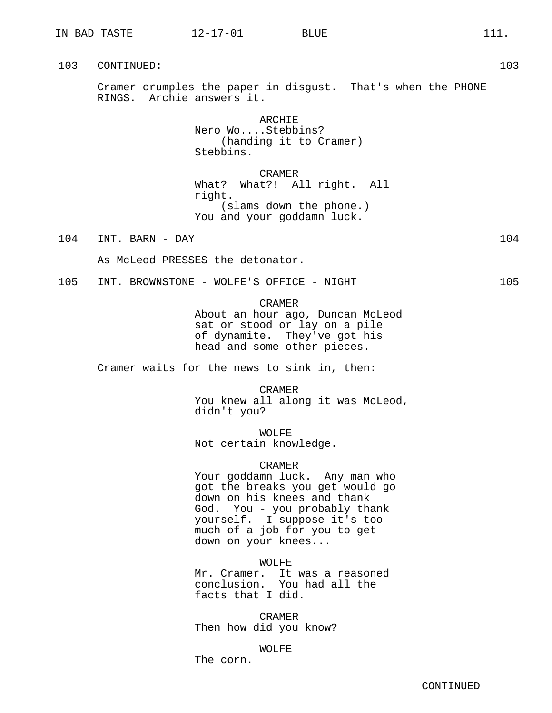Cramer crumples the paper in disgust. That's when the PHONE RINGS. Archie answers it.

> ARCHIE Nero Wo....Stebbins? (handing it to Cramer) Stebbins.

CRAMER What? What?! All right. All right. (slams down the phone.) You and your goddamn luck.

104 INT. BARN - DAY 104

As McLeod PRESSES the detonator.

105 INT. BROWNSTONE - WOLFE'S OFFICE - NIGHT 105

CRAMER

About an hour ago, Duncan McLeod sat or stood or lay on a pile of dynamite. They've got his head and some other pieces.

Cramer waits for the news to sink in, then:

CRAMER You knew all along it was McLeod, didn't you?

WOLFE Not certain knowledge.

# CRAMER

Your goddamn luck. Any man who got the breaks you get would go down on his knees and thank God. You - you probably thank yourself. I suppose it's too much of a job for you to get down on your knees...

WOLFE

Mr. Cramer. It was a reasoned conclusion. You had all the facts that I did.

CRAMER Then how did you know?

WOLFE

The corn.